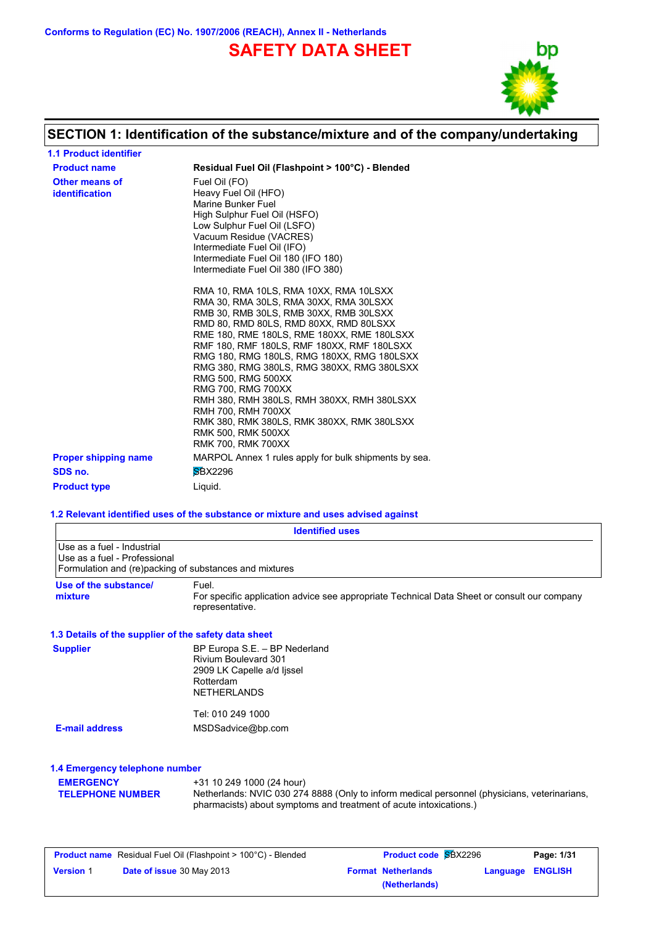**Conforms to Regulation (EC) No. 1907/2006 (REACH), Annex II - Netherlands**

# **SAFETY DATA SHEET**



# **SECTION 1: Identification of the substance/mixture and of the company/undertaking**

| <b>1.1 Product identifier</b>           |                                                                                                                                                                                                                                                                                                                                                                                                                                                                                                                                                                                                    |
|-----------------------------------------|----------------------------------------------------------------------------------------------------------------------------------------------------------------------------------------------------------------------------------------------------------------------------------------------------------------------------------------------------------------------------------------------------------------------------------------------------------------------------------------------------------------------------------------------------------------------------------------------------|
| <b>Product name</b>                     | Residual Fuel Oil (Flashpoint > 100°C) - Blended                                                                                                                                                                                                                                                                                                                                                                                                                                                                                                                                                   |
| Other means of<br><b>identification</b> | Fuel Oil (FO)<br>Heavy Fuel Oil (HFO)<br>Marine Bunker Fuel<br>High Sulphur Fuel Oil (HSFO)<br>Low Sulphur Fuel Oil (LSFO)<br>Vacuum Residue (VACRES)<br>Intermediate Fuel Oil (IFO)<br>Intermediate Fuel Oil 180 (IFO 180)<br>Intermediate Fuel Oil 380 (IFO 380)                                                                                                                                                                                                                                                                                                                                 |
|                                         | RMA 10, RMA 10LS, RMA 10XX, RMA 10LSXX<br>RMA 30, RMA 30LS, RMA 30XX, RMA 30LSXX<br>RMB 30, RMB 30LS, RMB 30XX, RMB 30LSXX<br>RMD 80, RMD 80LS, RMD 80XX, RMD 80LSXX<br>RME 180, RME 180LS, RME 180XX, RME 180LSXX<br>RMF 180, RMF 180LS, RMF 180XX, RMF 180LSXX<br>RMG 180, RMG 180LS, RMG 180XX, RMG 180LSXX<br>RMG 380, RMG 380LS, RMG 380XX, RMG 380LSXX<br>RMG 500, RMG 500XX<br><b>RMG 700, RMG 700XX</b><br>RMH 380, RMH 380LS, RMH 380XX, RMH 380LSXX<br><b>RMH 700, RMH 700XX</b><br>RMK 380, RMK 380LS, RMK 380XX, RMK 380LSXX<br><b>RMK 500. RMK 500XX</b><br><b>RMK 700. RMK 700XX</b> |
| <b>Proper shipping name</b>             | MARPOL Annex 1 rules apply for bulk shipments by sea.                                                                                                                                                                                                                                                                                                                                                                                                                                                                                                                                              |
| SDS no.                                 | <b>SBX2296</b>                                                                                                                                                                                                                                                                                                                                                                                                                                                                                                                                                                                     |
| <b>Product type</b>                     | Liguid.                                                                                                                                                                                                                                                                                                                                                                                                                                                                                                                                                                                            |

#### **1.2 Relevant identified uses of the substance or mixture and uses advised against**

|                                                            |                                                                                                                        | <b>Identified uses</b>                                                                                                                                             |          |                |
|------------------------------------------------------------|------------------------------------------------------------------------------------------------------------------------|--------------------------------------------------------------------------------------------------------------------------------------------------------------------|----------|----------------|
| Use as a fuel - Industrial<br>Use as a fuel - Professional | Formulation and (re)packing of substances and mixtures                                                                 |                                                                                                                                                                    |          |                |
| Use of the substance/<br>mixture                           | Fuel.<br>representative.                                                                                               | For specific application advice see appropriate Technical Data Sheet or consult our company                                                                        |          |                |
| 1.3 Details of the supplier of the safety data sheet       |                                                                                                                        |                                                                                                                                                                    |          |                |
| <b>Supplier</b>                                            | BP Europa S.E. - BP Nederland<br>Rivium Boulevard 301<br>2909 LK Capelle a/d lissel<br>Rotterdam<br><b>NETHERLANDS</b> |                                                                                                                                                                    |          |                |
|                                                            | Tel: 010 249 1000                                                                                                      |                                                                                                                                                                    |          |                |
| <b>E-mail address</b>                                      | MSDSadvice@bp.com                                                                                                      |                                                                                                                                                                    |          |                |
| 1.4 Emergency telephone number                             |                                                                                                                        |                                                                                                                                                                    |          |                |
| <b>EMERGENCY</b><br><b>TELEPHONE NUMBER</b>                | +31 10 249 1000 (24 hour)                                                                                              | Netherlands: NVIC 030 274 8888 (Only to inform medical personnel (physicians, veterinarians,<br>pharmacists) about symptoms and treatment of acute intoxications.) |          |                |
|                                                            | <b>Product name</b> Residual Fuel Oil (Flashpoint > 100°C) - Blended                                                   | <b>Product code SBX2296</b>                                                                                                                                        |          | Page: 1/31     |
| <b>Version 1</b>                                           | Date of issue 30 May 2013                                                                                              | <b>Format Netherlands</b>                                                                                                                                          | Language | <b>ENGLISH</b> |

**(Netherlands)**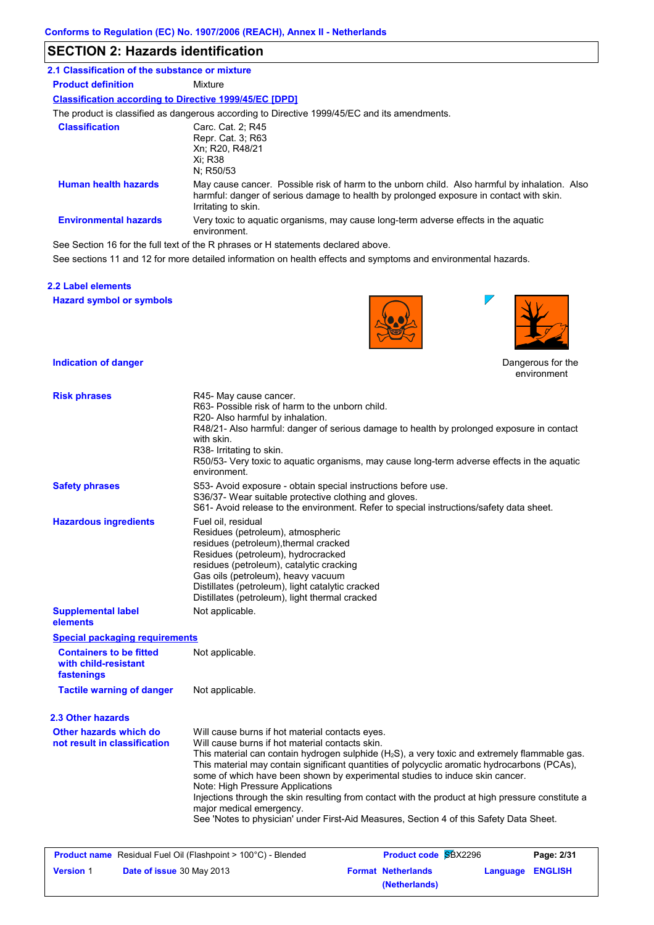### **SECTION 2: Hazards identification**

| 2.1 Classification of the substance or mixture                |                                                                                                                                                                                                                 |
|---------------------------------------------------------------|-----------------------------------------------------------------------------------------------------------------------------------------------------------------------------------------------------------------|
| <b>Product definition</b>                                     | Mixture                                                                                                                                                                                                         |
| <b>Classification according to Directive 1999/45/EC [DPD]</b> |                                                                                                                                                                                                                 |
|                                                               | The product is classified as dangerous according to Directive 1999/45/EC and its amendments.                                                                                                                    |
| <b>Classification</b>                                         | Carc. Cat. 2; R45<br>Repr. Cat. 3; R63<br>Xn; R20, R48/21<br>Xi: R38<br>N: R50/53                                                                                                                               |
| <b>Human health hazards</b>                                   | May cause cancer. Possible risk of harm to the unborn child. Also harmful by inhalation. Also<br>harmful: danger of serious damage to health by prolonged exposure in contact with skin.<br>Irritating to skin. |
| <b>Environmental hazards</b>                                  | Very toxic to aquatic organisms, may cause long-term adverse effects in the aquatic<br>environment.                                                                                                             |
|                                                               |                                                                                                                                                                                                                 |

See Section 16 for the full text of the R phrases or H statements declared above.

See sections 11 and 12 for more detailed information on health effects and symptoms and environmental hazards.

#### **2.2 Label elements**

**Hazard symbol or symbols**



**(Netherlands)**



 $\overline{\phantom{a}}$ 

Dangerous for the environment

| <b>Risk phrases</b>                                                  | R45- May cause cancer.<br>R63- Possible risk of harm to the unborn child.<br>R20- Also harmful by inhalation.<br>with skin.<br>R38- Irritating to skin.<br>environment.                                                                                                                                                        | R48/21- Also harmful: danger of serious damage to health by prolonged exposure in contact<br>R50/53- Very toxic to aquatic organisms, may cause long-term adverse effects in the aquatic                                                                                                                                                                                                                                                                                                  |                            |
|----------------------------------------------------------------------|--------------------------------------------------------------------------------------------------------------------------------------------------------------------------------------------------------------------------------------------------------------------------------------------------------------------------------|-------------------------------------------------------------------------------------------------------------------------------------------------------------------------------------------------------------------------------------------------------------------------------------------------------------------------------------------------------------------------------------------------------------------------------------------------------------------------------------------|----------------------------|
| <b>Safety phrases</b>                                                | S53- Avoid exposure - obtain special instructions before use.<br>S36/37- Wear suitable protective clothing and gloves.                                                                                                                                                                                                         | S61- Avoid release to the environment. Refer to special instructions/safety data sheet.                                                                                                                                                                                                                                                                                                                                                                                                   |                            |
| <b>Hazardous ingredients</b>                                         | Fuel oil, residual<br>Residues (petroleum), atmospheric<br>residues (petroleum), thermal cracked<br>Residues (petroleum), hydrocracked<br>residues (petroleum), catalytic cracking<br>Gas oils (petroleum), heavy vacuum<br>Distillates (petroleum), light catalytic cracked<br>Distillates (petroleum), light thermal cracked |                                                                                                                                                                                                                                                                                                                                                                                                                                                                                           |                            |
| <b>Supplemental label</b><br>elements                                | Not applicable.                                                                                                                                                                                                                                                                                                                |                                                                                                                                                                                                                                                                                                                                                                                                                                                                                           |                            |
| <b>Special packaging requirements</b>                                |                                                                                                                                                                                                                                                                                                                                |                                                                                                                                                                                                                                                                                                                                                                                                                                                                                           |                            |
| <b>Containers to be fitted</b><br>with child-resistant<br>fastenings | Not applicable.                                                                                                                                                                                                                                                                                                                |                                                                                                                                                                                                                                                                                                                                                                                                                                                                                           |                            |
| <b>Tactile warning of danger</b>                                     | Not applicable.                                                                                                                                                                                                                                                                                                                |                                                                                                                                                                                                                                                                                                                                                                                                                                                                                           |                            |
| 2.3 Other hazards                                                    |                                                                                                                                                                                                                                                                                                                                |                                                                                                                                                                                                                                                                                                                                                                                                                                                                                           |                            |
| Other hazards which do<br>not result in classification               | Will cause burns if hot material contacts eyes.<br>Will cause burns if hot material contacts skin.<br>Note: High Pressure Applications<br>major medical emergency.                                                                                                                                                             | This material can contain hydrogen sulphide (H <sub>2</sub> S), a very toxic and extremely flammable gas.<br>This material may contain significant quantities of polycyclic aromatic hydrocarbons (PCAs),<br>some of which have been shown by experimental studies to induce skin cancer.<br>Injections through the skin resulting from contact with the product at high pressure constitute a<br>See 'Notes to physician' under First-Aid Measures, Section 4 of this Safety Data Sheet. |                            |
| <b>Product name</b> Residual Fuel Oil (Flashpoint > 100°C) - Blended |                                                                                                                                                                                                                                                                                                                                | <b>Product code SBX2296</b>                                                                                                                                                                                                                                                                                                                                                                                                                                                               | Page: 2/31                 |
| <b>Version 1</b><br><b>Date of issue</b> 30 May 2013                 |                                                                                                                                                                                                                                                                                                                                | <b>Format Netherlands</b>                                                                                                                                                                                                                                                                                                                                                                                                                                                                 | <b>ENGLISH</b><br>Language |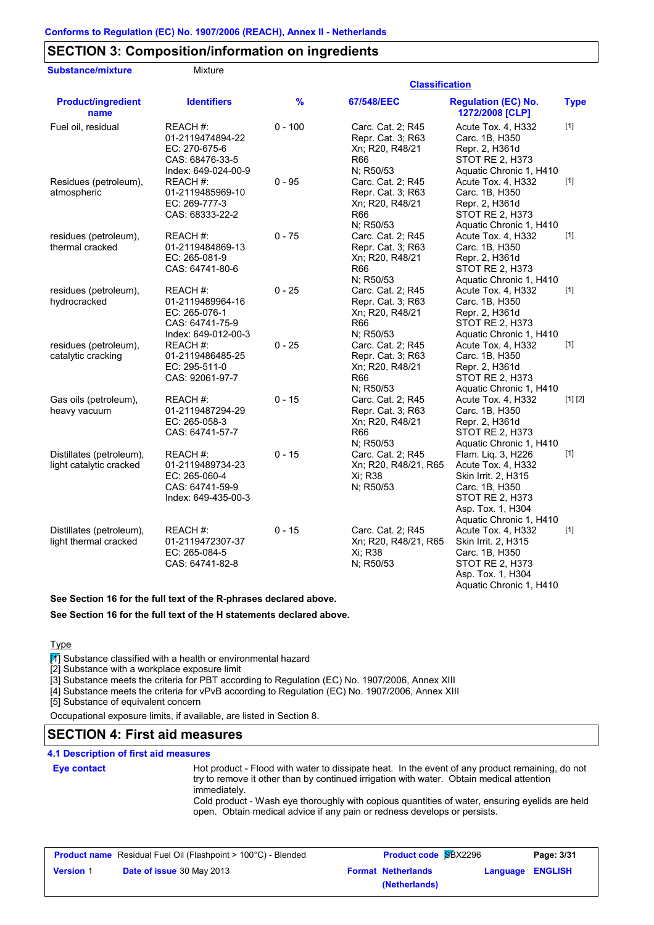# **SECTION 3: Composition/information on ingredients**

| <b>Substance/mixture</b><br>Mixture |  |
|-------------------------------------|--|

#### **Classification**

| <b>Product/ingredient</b><br>name                   | <b>Identifiers</b>                                                                      | %         | 67/548/EEC                                                                           | <b>Regulation (EC) No.</b><br>1272/2008 [CLP]                                                                                                        | <b>Type</b> |
|-----------------------------------------------------|-----------------------------------------------------------------------------------------|-----------|--------------------------------------------------------------------------------------|------------------------------------------------------------------------------------------------------------------------------------------------------|-------------|
| Fuel oil, residual                                  | REACH #:<br>01-2119474894-22<br>EC: 270-675-6<br>CAS: 68476-33-5<br>Index: 649-024-00-9 | $0 - 100$ | Carc. Cat. 2; R45<br>Repr. Cat. 3; R63<br>Xn; R20, R48/21<br>R66<br>N; R50/53        | Acute Tox. 4, H332<br>Carc. 1B, H350<br>Repr. 2, H361d<br>STOT RE 2, H373<br>Aquatic Chronic 1, H410                                                 | $[1]$       |
| Residues (petroleum),<br>atmospheric                | REACH #:<br>01-2119485969-10<br>EC: 269-777-3<br>CAS: 68333-22-2                        | $0 - 95$  | Carc. Cat. 2; R45<br>Repr. Cat. 3; R63<br>Xn; R20, R48/21<br><b>R66</b><br>N; R50/53 | Acute Tox. 4, H332<br>Carc. 1B, H350<br>Repr. 2, H361d<br>STOT RE 2, H373<br>Aquatic Chronic 1, H410                                                 | $[1]$       |
| residues (petroleum),<br>thermal cracked            | REACH #:<br>01-2119484869-13<br>EC: 265-081-9<br>CAS: 64741-80-6                        | $0 - 75$  | Carc. Cat. 2; R45<br>Repr. Cat. 3; R63<br>Xn; R20, R48/21<br>R66<br>N; R50/53        | Acute Tox. 4, H332<br>Carc. 1B, H350<br>Repr. 2, H361d<br>STOT RE 2, H373<br>Aquatic Chronic 1, H410                                                 | $[1]$       |
| residues (petroleum),<br>hydrocracked               | REACH #:<br>01-2119489964-16<br>EC: 265-076-1<br>CAS: 64741-75-9<br>Index: 649-012-00-3 | $0 - 25$  | Carc. Cat. 2; R45<br>Repr. Cat. 3; R63<br>Xn; R20, R48/21<br>R66<br>N; R50/53        | Acute Tox. 4, H332<br>Carc. 1B, H350<br>Repr. 2, H361d<br>STOT RE 2, H373<br>Aquatic Chronic 1, H410                                                 | $[1]$       |
| residues (petroleum),<br>catalytic cracking         | REACH #:<br>01-2119486485-25<br>EC: 295-511-0<br>CAS: 92061-97-7                        | $0 - 25$  | Carc. Cat. 2; R45<br>Repr. Cat. 3; R63<br>Xn; R20, R48/21<br><b>R66</b><br>N; R50/53 | Acute Tox. 4, H332<br>Carc. 1B, H350<br>Repr. 2, H361d<br>STOT RE 2, H373<br>Aquatic Chronic 1, H410                                                 | $[1]$       |
| Gas oils (petroleum),<br>heavy vacuum               | REACH #:<br>01-2119487294-29<br>EC: 265-058-3<br>CAS: 64741-57-7                        | $0 - 15$  | Carc. Cat. 2; R45<br>Repr. Cat. 3; R63<br>Xn; R20, R48/21<br>R66<br>N; R50/53        | Acute Tox. 4, H332<br>Carc. 1B, H350<br>Repr. 2, H361d<br>STOT RE 2, H373<br>Aquatic Chronic 1, H410                                                 | [1] [2]     |
| Distillates (petroleum),<br>light catalytic cracked | REACH#:<br>01-2119489734-23<br>EC: 265-060-4<br>CAS: 64741-59-9<br>Index: 649-435-00-3  | $0 - 15$  | Carc. Cat. 2; R45<br>Xn; R20, R48/21, R65<br>Xi; R38<br>N; R50/53                    | Flam. Lig. 3, H226<br>Acute Tox. 4, H332<br>Skin Irrit. 2, H315<br>Carc. 1B, H350<br>STOT RE 2, H373<br>Asp. Tox. 1, H304<br>Aquatic Chronic 1, H410 | $[1]$       |
| Distillates (petroleum),<br>light thermal cracked   | REACH #:<br>01-2119472307-37<br>EC: 265-084-5<br>CAS: 64741-82-8                        | $0 - 15$  | Carc. Cat. 2; R45<br>Xn; R20, R48/21, R65<br>Xi; R38<br>N; R50/53                    | Acute Tox. 4, H332<br>Skin Irrit. 2, H315<br>Carc. 1B, H350<br>STOT RE 2, H373<br>Asp. Tox. 1, H304                                                  | $[1]$       |

**See Section 16 for the full text of the R-phrases declared above.**

**See Section 16 for the full text of the H statements declared above.**

#### Type

 $\boxed{1}$  Substance classified with a health or environmental hazard

[2] Substance with a workplace exposure limit

[3] Substance meets the criteria for PBT according to Regulation (EC) No. 1907/2006, Annex XIII

[4] Substance meets the criteria for vPvB according to Regulation (EC) No. 1907/2006, Annex XIII

[5] Substance of equivalent concern

Occupational exposure limits, if available, are listed in Section 8.

### **SECTION 4: First aid measures**

#### **4.1 Description of first aid measures**

**Eye contact**

Hot product - Flood with water to dissipate heat. In the event of any product remaining, do not try to remove it other than by continued irrigation with water. Obtain medical attention immediately. Cold product - Wash eye thoroughly with copious quantities of water, ensuring eyelids are held

Aquatic Chronic 1, H410

open. Obtain medical advice if any pain or redness develops or persists.

| <b>Product name</b> Residual Fuel Oil (Flashpoint > 100°C) - Blended |                                  | <b>Product code SBX2296</b> |                           | Page: 3/31       |  |
|----------------------------------------------------------------------|----------------------------------|-----------------------------|---------------------------|------------------|--|
| <b>Version 1</b>                                                     | <b>Date of issue 30 May 2013</b> |                             | <b>Format Netherlands</b> | Language ENGLISH |  |
|                                                                      |                                  |                             | (Netherlands)             |                  |  |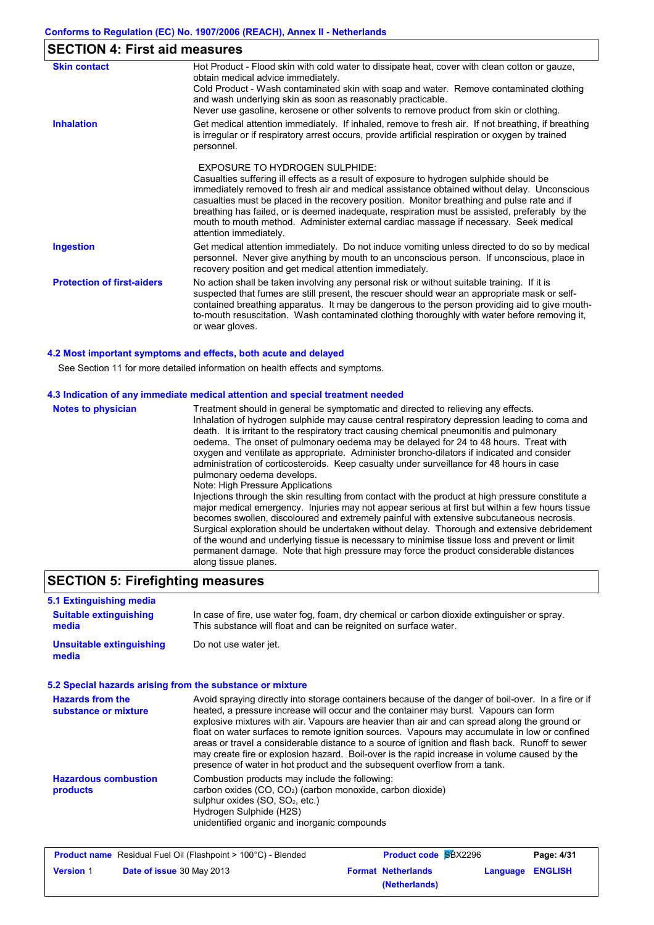| <b>SECTION 4: First aid measures</b>                                                                                                                                                                                                                                                                                                                                                                                                                                                                                                                |
|-----------------------------------------------------------------------------------------------------------------------------------------------------------------------------------------------------------------------------------------------------------------------------------------------------------------------------------------------------------------------------------------------------------------------------------------------------------------------------------------------------------------------------------------------------|
| Hot Product - Flood skin with cold water to dissipate heat, cover with clean cotton or gauze,<br>obtain medical advice immediately.<br>Cold Product - Wash contaminated skin with soap and water. Remove contaminated clothing<br>and wash underlying skin as soon as reasonably practicable.<br>Never use gasoline, kerosene or other solvents to remove product from skin or clothing.                                                                                                                                                            |
| Get medical attention immediately. If inhaled, remove to fresh air. If not breathing, if breathing<br>is irregular or if respiratory arrest occurs, provide artificial respiration or oxygen by trained<br>personnel.                                                                                                                                                                                                                                                                                                                               |
| <b>FXPOSURE TO HYDROGEN SULPHIDE:</b><br>Casualties suffering ill effects as a result of exposure to hydrogen sulphide should be<br>immediately removed to fresh air and medical assistance obtained without delay. Unconscious<br>casualties must be placed in the recovery position. Monitor breathing and pulse rate and if<br>breathing has failed, or is deemed inadequate, respiration must be assisted, preferably by the<br>mouth to mouth method. Administer external cardiac massage if necessary. Seek medical<br>attention immediately. |
| Get medical attention immediately. Do not induce vomiting unless directed to do so by medical<br>personnel. Never give anything by mouth to an unconscious person. If unconscious, place in<br>recovery position and get medical attention immediately.                                                                                                                                                                                                                                                                                             |
| No action shall be taken involving any personal risk or without suitable training. If it is<br>suspected that fumes are still present, the rescuer should wear an appropriate mask or self-<br>contained breathing apparatus. It may be dangerous to the person providing aid to give mouth-<br>to-mouth resuscitation. Wash contaminated clothing thoroughly with water before removing it,<br>or wear gloves.                                                                                                                                     |
|                                                                                                                                                                                                                                                                                                                                                                                                                                                                                                                                                     |

#### **4.2 Most important symptoms and effects, both acute and delayed**

See Section 11 for more detailed information on health effects and symptoms.

#### **4.3 Indication of any immediate medical attention and special treatment needed**

### **SECTION 5: Firefighting measures**

| 5.1 Extinguishing media                                   |                                                                                                                                                                                                                                                                                                                                                                                                                                                                                                                                                                                                                                                                              |                             |          |                |
|-----------------------------------------------------------|------------------------------------------------------------------------------------------------------------------------------------------------------------------------------------------------------------------------------------------------------------------------------------------------------------------------------------------------------------------------------------------------------------------------------------------------------------------------------------------------------------------------------------------------------------------------------------------------------------------------------------------------------------------------------|-----------------------------|----------|----------------|
| <b>Suitable extinguishing</b><br>media                    | In case of fire, use water fog, foam, dry chemical or carbon dioxide extinguisher or spray.<br>This substance will float and can be reignited on surface water.                                                                                                                                                                                                                                                                                                                                                                                                                                                                                                              |                             |          |                |
| <b>Unsuitable extinguishing</b><br>media                  | Do not use water jet.                                                                                                                                                                                                                                                                                                                                                                                                                                                                                                                                                                                                                                                        |                             |          |                |
| 5.2 Special hazards arising from the substance or mixture |                                                                                                                                                                                                                                                                                                                                                                                                                                                                                                                                                                                                                                                                              |                             |          |                |
| <b>Hazards from the</b><br>substance or mixture           | Avoid spraying directly into storage containers because of the danger of boil-over. In a fire or if<br>heated, a pressure increase will occur and the container may burst. Vapours can form<br>explosive mixtures with air. Vapours are heavier than air and can spread along the ground or<br>float on water surfaces to remote ignition sources. Vapours may accumulate in low or confined<br>areas or travel a considerable distance to a source of ignition and flash back. Runoff to sewer<br>may create fire or explosion hazard. Boil-over is the rapid increase in volume caused by the<br>presence of water in hot product and the subsequent overflow from a tank. |                             |          |                |
| <b>Hazardous combustion</b><br>products                   | Combustion products may include the following:<br>carbon oxides $(CO, CO2)$ (carbon monoxide, carbon dioxide)<br>sulphur oxides (SO, SO <sub>2</sub> , etc.)<br>Hydrogen Sulphide (H2S)<br>unidentified organic and inorganic compounds                                                                                                                                                                                                                                                                                                                                                                                                                                      |                             |          |                |
|                                                           | <b>Product name</b> Residual Fuel Oil (Flashpoint > 100°C) - Blended                                                                                                                                                                                                                                                                                                                                                                                                                                                                                                                                                                                                         | <b>Product code SBX2296</b> |          | Page: 4/31     |
| <b>Version 1</b><br>Date of issue 30 May 2013             |                                                                                                                                                                                                                                                                                                                                                                                                                                                                                                                                                                                                                                                                              | <b>Format Netherlands</b>   | Language | <b>ENGLISH</b> |

**(Netherlands)**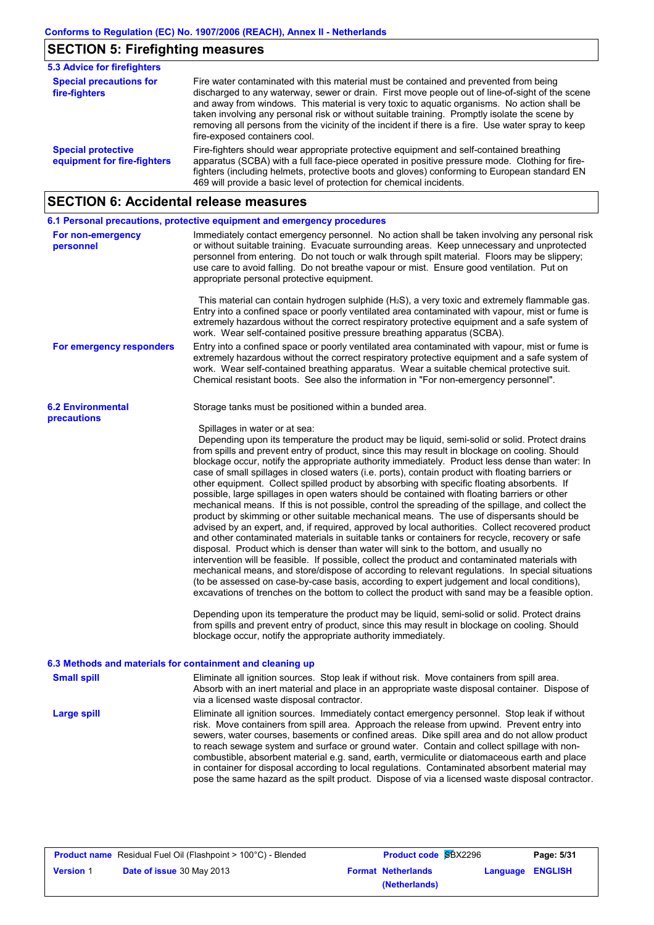# **SECTION 5: Firefighting measures**

| <b>5.3 Advice for firefighters</b>                       |                                                                                                                                                                                                                                                                                                                                                                                                                                                                                                                                 |
|----------------------------------------------------------|---------------------------------------------------------------------------------------------------------------------------------------------------------------------------------------------------------------------------------------------------------------------------------------------------------------------------------------------------------------------------------------------------------------------------------------------------------------------------------------------------------------------------------|
| <b>Special precautions for</b><br>fire-fighters          | Fire water contaminated with this material must be contained and prevented from being<br>discharged to any waterway, sewer or drain. First move people out of line-of-sight of the scene<br>and away from windows. This material is very toxic to aquatic organisms. No action shall be<br>taken involving any personal risk or without suitable training. Promptly isolate the scene by<br>removing all persons from the vicinity of the incident if there is a fire. Use water spray to keep<br>fire-exposed containers cool. |
| <b>Special protective</b><br>equipment for fire-fighters | Fire-fighters should wear appropriate protective equipment and self-contained breathing<br>apparatus (SCBA) with a full face-piece operated in positive pressure mode. Clothing for fire-<br>fighters (including helmets, protective boots and gloves) conforming to European standard EN<br>469 will provide a basic level of protection for chemical incidents.                                                                                                                                                               |

# **SECTION 6: Accidental release measures**

|                                                           | 6.1 Personal precautions, protective equipment and emergency procedures                                                                                                                                                                                                                                                                                                                                                                                                                                                                                                                                                                                                                                                                                                                                                                                                                                                                                                                                                                                                                                                                                                                                                                                                                                                                                                                                                                                                                                                                                                                                                                                                                                                                                                                                            |  |  |  |  |  |
|-----------------------------------------------------------|--------------------------------------------------------------------------------------------------------------------------------------------------------------------------------------------------------------------------------------------------------------------------------------------------------------------------------------------------------------------------------------------------------------------------------------------------------------------------------------------------------------------------------------------------------------------------------------------------------------------------------------------------------------------------------------------------------------------------------------------------------------------------------------------------------------------------------------------------------------------------------------------------------------------------------------------------------------------------------------------------------------------------------------------------------------------------------------------------------------------------------------------------------------------------------------------------------------------------------------------------------------------------------------------------------------------------------------------------------------------------------------------------------------------------------------------------------------------------------------------------------------------------------------------------------------------------------------------------------------------------------------------------------------------------------------------------------------------------------------------------------------------------------------------------------------------|--|--|--|--|--|
| For non-emergency<br>personnel                            | Immediately contact emergency personnel. No action shall be taken involving any personal risk<br>or without suitable training. Evacuate surrounding areas. Keep unnecessary and unprotected<br>personnel from entering. Do not touch or walk through spilt material. Floors may be slippery;<br>use care to avoid falling. Do not breathe vapour or mist. Ensure good ventilation. Put on<br>appropriate personal protective equipment.                                                                                                                                                                                                                                                                                                                                                                                                                                                                                                                                                                                                                                                                                                                                                                                                                                                                                                                                                                                                                                                                                                                                                                                                                                                                                                                                                                            |  |  |  |  |  |
|                                                           | This material can contain hydrogen sulphide $(H_2S)$ , a very toxic and extremely flammable gas.<br>Entry into a confined space or poorly ventilated area contaminated with vapour, mist or fume is<br>extremely hazardous without the correct respiratory protective equipment and a safe system of<br>work. Wear self-contained positive pressure breathing apparatus (SCBA).                                                                                                                                                                                                                                                                                                                                                                                                                                                                                                                                                                                                                                                                                                                                                                                                                                                                                                                                                                                                                                                                                                                                                                                                                                                                                                                                                                                                                                    |  |  |  |  |  |
| For emergency responders                                  | Entry into a confined space or poorly ventilated area contaminated with vapour, mist or fume is<br>extremely hazardous without the correct respiratory protective equipment and a safe system of<br>work. Wear self-contained breathing apparatus. Wear a suitable chemical protective suit.<br>Chemical resistant boots. See also the information in "For non-emergency personnel".                                                                                                                                                                                                                                                                                                                                                                                                                                                                                                                                                                                                                                                                                                                                                                                                                                                                                                                                                                                                                                                                                                                                                                                                                                                                                                                                                                                                                               |  |  |  |  |  |
| <b>6.2 Environmental</b><br>precautions                   | Storage tanks must be positioned within a bunded area.                                                                                                                                                                                                                                                                                                                                                                                                                                                                                                                                                                                                                                                                                                                                                                                                                                                                                                                                                                                                                                                                                                                                                                                                                                                                                                                                                                                                                                                                                                                                                                                                                                                                                                                                                             |  |  |  |  |  |
|                                                           | Spillages in water or at sea:<br>Depending upon its temperature the product may be liquid, semi-solid or solid. Protect drains<br>from spills and prevent entry of product, since this may result in blockage on cooling. Should<br>blockage occur, notify the appropriate authority immediately. Product less dense than water: In<br>case of small spillages in closed waters (i.e. ports), contain product with floating barriers or<br>other equipment. Collect spilled product by absorbing with specific floating absorbents. If<br>possible, large spillages in open waters should be contained with floating barriers or other<br>mechanical means. If this is not possible, control the spreading of the spillage, and collect the<br>product by skimming or other suitable mechanical means. The use of dispersants should be<br>advised by an expert, and, if required, approved by local authorities. Collect recovered product<br>and other contaminated materials in suitable tanks or containers for recycle, recovery or safe<br>disposal. Product which is denser than water will sink to the bottom, and usually no<br>intervention will be feasible. If possible, collect the product and contaminated materials with<br>mechanical means, and store/dispose of according to relevant regulations. In special situations<br>(to be assessed on case-by-case basis, according to expert judgement and local conditions),<br>excavations of trenches on the bottom to collect the product with sand may be a feasible option.<br>Depending upon its temperature the product may be liquid, semi-solid or solid. Protect drains<br>from spills and prevent entry of product, since this may result in blockage on cooling. Should<br>blockage occur, notify the appropriate authority immediately. |  |  |  |  |  |
| 6.3 Methods and materials for containment and cleaning up |                                                                                                                                                                                                                                                                                                                                                                                                                                                                                                                                                                                                                                                                                                                                                                                                                                                                                                                                                                                                                                                                                                                                                                                                                                                                                                                                                                                                                                                                                                                                                                                                                                                                                                                                                                                                                    |  |  |  |  |  |
| <b>Small spill</b>                                        | Eliminate all ignition sources. Stop leak if without risk. Move containers from spill area.<br>Absorb with an inert material and place in an appropriate waste disposal container. Dispose of<br>via a licensed waste disposal contractor.                                                                                                                                                                                                                                                                                                                                                                                                                                                                                                                                                                                                                                                                                                                                                                                                                                                                                                                                                                                                                                                                                                                                                                                                                                                                                                                                                                                                                                                                                                                                                                         |  |  |  |  |  |
| <b>Large spill</b>                                        | Eliminate all ignition sources. Immediately contact emergency personnel. Stop leak if without<br>risk. Move containers from spill area. Approach the release from upwind. Prevent entry into<br>sewers, water courses, basements or confined areas. Dike spill area and do not allow product<br>to reach sewage system and surface or ground water. Contain and collect spillage with non-<br>combustible, absorbent material e.g. sand, earth, vermiculite or diatomaceous earth and place<br>in container for disposal according to local regulations. Contaminated absorbent material may<br>pose the same hazard as the spilt product. Dispose of via a licensed waste disposal contractor.                                                                                                                                                                                                                                                                                                                                                                                                                                                                                                                                                                                                                                                                                                                                                                                                                                                                                                                                                                                                                                                                                                                    |  |  |  |  |  |

| <b>Product name</b> Residual Fuel Oil (Flashpoint > 100°C) - Blended |                                  | <b>Product code SBX2296</b> | Page: 5/31       |  |
|----------------------------------------------------------------------|----------------------------------|-----------------------------|------------------|--|
| <b>Version 1</b>                                                     | <b>Date of issue 30 May 2013</b> | <b>Format Netherlands</b>   | Language ENGLISH |  |
|                                                                      |                                  | (Netherlands)               |                  |  |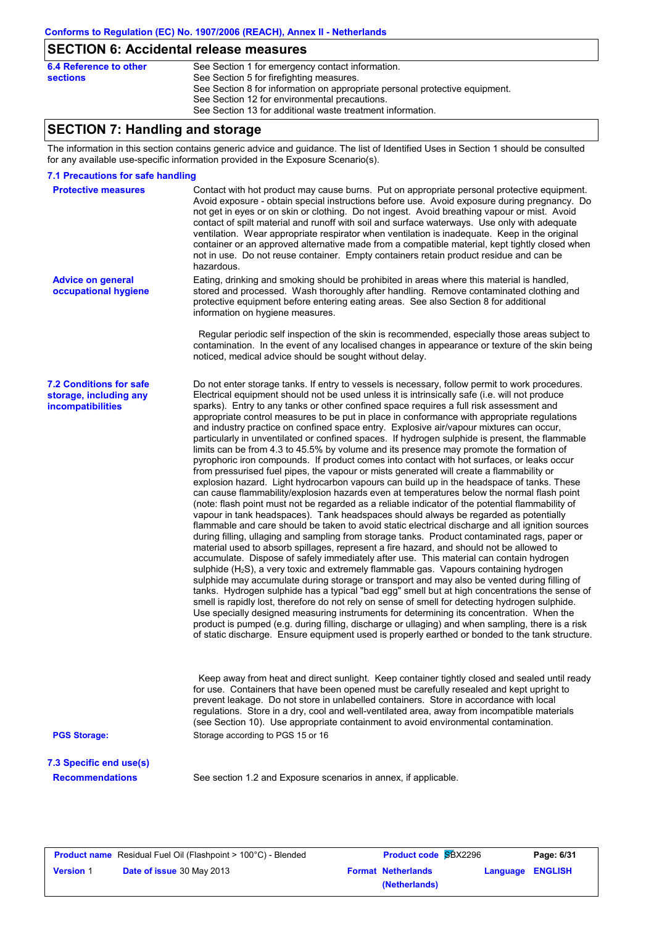# **SECTION 6: Accidental release measures**

| 6.4 Reference to other | See Section 1 for emergency contact information.                            |
|------------------------|-----------------------------------------------------------------------------|
| sections               | See Section 5 for firefighting measures.                                    |
|                        | See Section 8 for information on appropriate personal protective equipment. |
|                        | See Section 12 for environmental precautions.                               |
|                        | See Section 13 for additional waste treatment information.                  |
|                        |                                                                             |

# **SECTION 7: Handling and storage**

The information in this section contains generic advice and guidance. The list of Identified Uses in Section 1 should be consulted for any available use-specific information provided in the Exposure Scenario(s).

#### **7.1 Precautions for safe handling**

| <b>Protective measures</b>                                                    | Contact with hot product may cause burns. Put on appropriate personal protective equipment.<br>Avoid exposure - obtain special instructions before use. Avoid exposure during pregnancy. Do<br>not get in eyes or on skin or clothing. Do not ingest. Avoid breathing vapour or mist. Avoid<br>contact of spilt material and runoff with soil and surface waterways. Use only with adequate<br>ventilation. Wear appropriate respirator when ventilation is inadequate. Keep in the original<br>container or an approved alternative made from a compatible material, kept tightly closed when<br>not in use. Do not reuse container. Empty containers retain product residue and can be<br>hazardous.                                                                                                                                                                                                                                                                                                                                                                                                                                                                                                                                                                                                                                                                                                                                                                                                                                                                                                                                                                                                                                                                                                                                                                                                                                                                                                                                                                                                                                                                                                                                                                                                                                                                           |
|-------------------------------------------------------------------------------|----------------------------------------------------------------------------------------------------------------------------------------------------------------------------------------------------------------------------------------------------------------------------------------------------------------------------------------------------------------------------------------------------------------------------------------------------------------------------------------------------------------------------------------------------------------------------------------------------------------------------------------------------------------------------------------------------------------------------------------------------------------------------------------------------------------------------------------------------------------------------------------------------------------------------------------------------------------------------------------------------------------------------------------------------------------------------------------------------------------------------------------------------------------------------------------------------------------------------------------------------------------------------------------------------------------------------------------------------------------------------------------------------------------------------------------------------------------------------------------------------------------------------------------------------------------------------------------------------------------------------------------------------------------------------------------------------------------------------------------------------------------------------------------------------------------------------------------------------------------------------------------------------------------------------------------------------------------------------------------------------------------------------------------------------------------------------------------------------------------------------------------------------------------------------------------------------------------------------------------------------------------------------------------------------------------------------------------------------------------------------------|
| <b>Advice on general</b><br>occupational hygiene                              | Eating, drinking and smoking should be prohibited in areas where this material is handled,<br>stored and processed. Wash thoroughly after handling. Remove contaminated clothing and<br>protective equipment before entering eating areas. See also Section 8 for additional<br>information on hygiene measures.                                                                                                                                                                                                                                                                                                                                                                                                                                                                                                                                                                                                                                                                                                                                                                                                                                                                                                                                                                                                                                                                                                                                                                                                                                                                                                                                                                                                                                                                                                                                                                                                                                                                                                                                                                                                                                                                                                                                                                                                                                                                 |
|                                                                               | Regular periodic self inspection of the skin is recommended, especially those areas subject to<br>contamination. In the event of any localised changes in appearance or texture of the skin being<br>noticed, medical advice should be sought without delay.                                                                                                                                                                                                                                                                                                                                                                                                                                                                                                                                                                                                                                                                                                                                                                                                                                                                                                                                                                                                                                                                                                                                                                                                                                                                                                                                                                                                                                                                                                                                                                                                                                                                                                                                                                                                                                                                                                                                                                                                                                                                                                                     |
| <b>7.2 Conditions for safe</b><br>storage, including any<br>incompatibilities | Do not enter storage tanks. If entry to vessels is necessary, follow permit to work procedures.<br>Electrical equipment should not be used unless it is intrinsically safe (i.e. will not produce<br>sparks). Entry to any tanks or other confined space requires a full risk assessment and<br>appropriate control measures to be put in place in conformance with appropriate regulations<br>and industry practice on confined space entry. Explosive air/vapour mixtures can occur,<br>particularly in unventilated or confined spaces. If hydrogen sulphide is present, the flammable<br>limits can be from 4.3 to 45.5% by volume and its presence may promote the formation of<br>pyrophoric iron compounds. If product comes into contact with hot surfaces, or leaks occur<br>from pressurised fuel pipes, the vapour or mists generated will create a flammability or<br>explosion hazard. Light hydrocarbon vapours can build up in the headspace of tanks. These<br>can cause flammability/explosion hazards even at temperatures below the normal flash point<br>(note: flash point must not be regarded as a reliable indicator of the potential flammability of<br>vapour in tank headspaces). Tank headspaces should always be regarded as potentially<br>flammable and care should be taken to avoid static electrical discharge and all ignition sources<br>during filling, ullaging and sampling from storage tanks. Product contaminated rags, paper or<br>material used to absorb spillages, represent a fire hazard, and should not be allowed to<br>accumulate. Dispose of safely immediately after use. This material can contain hydrogen<br>sulphide (H <sub>2</sub> S), a very toxic and extremely flammable gas. Vapours containing hydrogen<br>sulphide may accumulate during storage or transport and may also be vented during filling of<br>tanks. Hydrogen sulphide has a typical "bad egg" smell but at high concentrations the sense of<br>smell is rapidly lost, therefore do not rely on sense of smell for detecting hydrogen sulphide.<br>Use specially designed measuring instruments for determining its concentration. When the<br>product is pumped (e.g. during filling, discharge or ullaging) and when sampling, there is a risk<br>of static discharge. Ensure equipment used is properly earthed or bonded to the tank structure. |
|                                                                               | Keep away from heat and direct sunlight. Keep container tightly closed and sealed until ready<br>for use. Containers that have been opened must be carefully resealed and kept upright to<br>prevent leakage. Do not store in unlabelled containers. Store in accordance with local<br>regulations. Store in a dry, cool and well-ventilated area, away from incompatible materials<br>(see Section 10). Use appropriate containment to avoid environmental contamination.                                                                                                                                                                                                                                                                                                                                                                                                                                                                                                                                                                                                                                                                                                                                                                                                                                                                                                                                                                                                                                                                                                                                                                                                                                                                                                                                                                                                                                                                                                                                                                                                                                                                                                                                                                                                                                                                                                       |
| <b>PGS Storage:</b>                                                           | Storage according to PGS 15 or 16                                                                                                                                                                                                                                                                                                                                                                                                                                                                                                                                                                                                                                                                                                                                                                                                                                                                                                                                                                                                                                                                                                                                                                                                                                                                                                                                                                                                                                                                                                                                                                                                                                                                                                                                                                                                                                                                                                                                                                                                                                                                                                                                                                                                                                                                                                                                                |
| 7.3 Specific end use(s)                                                       |                                                                                                                                                                                                                                                                                                                                                                                                                                                                                                                                                                                                                                                                                                                                                                                                                                                                                                                                                                                                                                                                                                                                                                                                                                                                                                                                                                                                                                                                                                                                                                                                                                                                                                                                                                                                                                                                                                                                                                                                                                                                                                                                                                                                                                                                                                                                                                                  |
| <b>Recommendations</b>                                                        | See section 1.2 and Exposure scenarios in annex, if applicable.                                                                                                                                                                                                                                                                                                                                                                                                                                                                                                                                                                                                                                                                                                                                                                                                                                                                                                                                                                                                                                                                                                                                                                                                                                                                                                                                                                                                                                                                                                                                                                                                                                                                                                                                                                                                                                                                                                                                                                                                                                                                                                                                                                                                                                                                                                                  |
|                                                                               |                                                                                                                                                                                                                                                                                                                                                                                                                                                                                                                                                                                                                                                                                                                                                                                                                                                                                                                                                                                                                                                                                                                                                                                                                                                                                                                                                                                                                                                                                                                                                                                                                                                                                                                                                                                                                                                                                                                                                                                                                                                                                                                                                                                                                                                                                                                                                                                  |

|                  | <b>Product name</b> Residual Fuel Oil (Flashpoint > 100°C) - Blended |
|------------------|----------------------------------------------------------------------|
| <b>Version 1</b> | <b>Date of issue 30 May 2013</b>                                     |

| Residual Fuel Oil (Flashpoint > 100°C) - Blended | <b>Product code SBX2296</b> | Page: 6/31              |
|--------------------------------------------------|-----------------------------|-------------------------|
| Date of issue 30 May 2013                        | <b>Format Netherlands</b>   | <b>Language ENGLISH</b> |
|                                                  | (Netherlands)               |                         |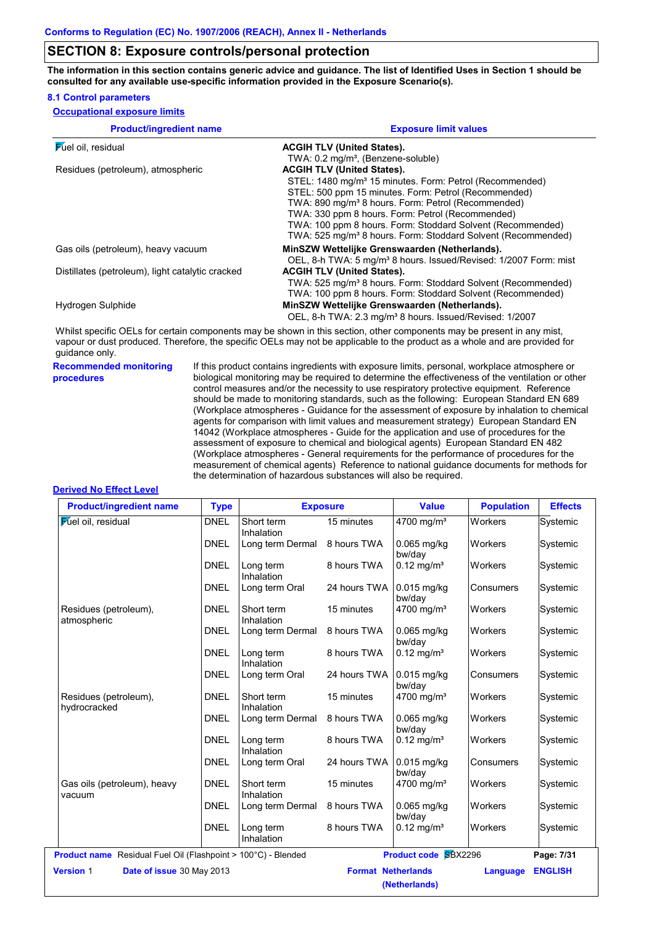### **SECTION 8: Exposure controls/personal protection**

**The information in this section contains generic advice and guidance. The list of Identified Uses in Section 1 should be consulted for any available use-specific information provided in the Exposure Scenario(s).**

#### **8.1 Control parameters**

| <b>Product/ingredient name</b>                   | <b>Exposure limit values</b>                                                 |  |  |  |
|--------------------------------------------------|------------------------------------------------------------------------------|--|--|--|
| <b>Fuel oil</b> , residual                       | <b>ACGIH TLV (United States).</b>                                            |  |  |  |
|                                                  | TWA: 0.2 mg/m <sup>3</sup> , (Benzene-soluble)                               |  |  |  |
| Residues (petroleum), atmospheric                | <b>ACGIH TLV (United States).</b>                                            |  |  |  |
|                                                  | STEL: 1480 mg/m <sup>3</sup> 15 minutes. Form: Petrol (Recommended)          |  |  |  |
|                                                  | STEL: 500 ppm 15 minutes. Form: Petrol (Recommended)                         |  |  |  |
|                                                  | TWA: 890 mg/m <sup>3</sup> 8 hours. Form: Petrol (Recommended)               |  |  |  |
|                                                  | TWA: 330 ppm 8 hours. Form: Petrol (Recommended)                             |  |  |  |
|                                                  | TWA: 100 ppm 8 hours. Form: Stoddard Solvent (Recommended)                   |  |  |  |
|                                                  | TWA: 525 mg/m <sup>3</sup> 8 hours. Form: Stoddard Solvent (Recommended)     |  |  |  |
| Gas oils (petroleum), heavy vacuum               | MinSZW Wettelijke Grenswaarden (Netherlands).                                |  |  |  |
|                                                  | OEL, 8-h TWA: 5 mg/m <sup>3</sup> 8 hours. Issued/Revised: 1/2007 Form: mist |  |  |  |
| Distillates (petroleum), light catalytic cracked | <b>ACGIH TLV (United States).</b>                                            |  |  |  |
|                                                  | TWA: 525 mg/m <sup>3</sup> 8 hours. Form: Stoddard Solvent (Recommended)     |  |  |  |
|                                                  | TWA: 100 ppm 8 hours. Form: Stoddard Solvent (Recommended)                   |  |  |  |
| Hydrogen Sulphide                                | MinSZW Wettelijke Grenswaarden (Netherlands).                                |  |  |  |
|                                                  | OEL, 8-h TWA: 2.3 mg/m <sup>3</sup> 8 hours. Issued/Revised: 1/2007          |  |  |  |

Whilst specific OELs for certain components may be shown in this section, other components may be present in any mist, vapour or dust produced. Therefore, the specific OELs may not be applicable to the product as a whole and are provided for guidance only.

**Recommended monitoring procedures**

If this product contains ingredients with exposure limits, personal, workplace atmosphere or biological monitoring may be required to determine the effectiveness of the ventilation or other control measures and/or the necessity to use respiratory protective equipment. Reference should be made to monitoring standards, such as the following: European Standard EN 689 (Workplace atmospheres - Guidance for the assessment of exposure by inhalation to chemical agents for comparison with limit values and measurement strategy) European Standard EN 14042 (Workplace atmospheres - Guide for the application and use of procedures for the assessment of exposure to chemical and biological agents) European Standard EN 482 (Workplace atmospheres - General requirements for the performance of procedures for the measurement of chemical agents) Reference to national guidance documents for methods for the determination of hazardous substances will also be required.

#### **Derived No Effect Level**

| Short term<br>Inhalation<br>Long term Dermal<br>Long term<br>Inhalation<br>Long term Oral<br>Short term<br>Inhalation<br>Long term Dermal | 15 minutes<br>8 hours TWA<br>8 hours TWA<br>24 hours TWA<br>15 minutes<br>8 hours TWA | 4700 mg/m <sup>3</sup><br>$0.065$ mg/kg<br>bw/day<br>$0.12$ mg/m <sup>3</sup><br>$0.015$ mg/kg<br>bw/day<br>4700 mg/m <sup>3</sup> | Workers<br>Workers<br>Workers<br>Consumers<br>Workers                | Systemic<br>Systemic<br>Systemic<br>Systemic<br>Systemic |
|-------------------------------------------------------------------------------------------------------------------------------------------|---------------------------------------------------------------------------------------|------------------------------------------------------------------------------------------------------------------------------------|----------------------------------------------------------------------|----------------------------------------------------------|
|                                                                                                                                           |                                                                                       |                                                                                                                                    |                                                                      |                                                          |
|                                                                                                                                           |                                                                                       |                                                                                                                                    |                                                                      |                                                          |
|                                                                                                                                           |                                                                                       |                                                                                                                                    |                                                                      |                                                          |
|                                                                                                                                           |                                                                                       |                                                                                                                                    |                                                                      |                                                          |
|                                                                                                                                           |                                                                                       |                                                                                                                                    |                                                                      |                                                          |
|                                                                                                                                           |                                                                                       | $0.065$ mg/kg<br>bw/day                                                                                                            | Workers                                                              | Systemic                                                 |
| Inhalation                                                                                                                                | 8 hours TWA                                                                           | $0.12 \text{ mg/m}^3$                                                                                                              | Workers                                                              | Systemic                                                 |
| Long term Oral                                                                                                                            | 24 hours TWA                                                                          | 0.015 mg/kg<br>bw/day                                                                                                              | Consumers                                                            | Systemic                                                 |
| Short term<br>Inhalation                                                                                                                  | 15 minutes                                                                            |                                                                                                                                    | Workers                                                              | Systemic                                                 |
| Long term Dermal                                                                                                                          | 8 hours TWA                                                                           | 0.065 mg/kg<br>bw/day                                                                                                              | Workers                                                              | Systemic                                                 |
| Long term<br>Inhalation                                                                                                                   | 8 hours TWA                                                                           | $0.12 \text{ mg/m}^3$                                                                                                              | Workers                                                              | Systemic                                                 |
| Long term Oral                                                                                                                            | 24 hours TWA                                                                          | $0.015$ mg/kg<br>bw/day                                                                                                            | Consumers                                                            | Systemic                                                 |
| Short term<br>Inhalation                                                                                                                  | 15 minutes                                                                            | 4700 mg/m <sup>3</sup>                                                                                                             | Workers                                                              | Systemic                                                 |
| Long term Dermal                                                                                                                          | 8 hours TWA                                                                           | 0.065 mg/kg<br>bw/day                                                                                                              | Workers                                                              | Systemic                                                 |
| Long term<br>Inhalation                                                                                                                   | 8 hours TWA                                                                           | $0.12 \text{ mg/m}^3$                                                                                                              | Workers                                                              | Systemic                                                 |
|                                                                                                                                           |                                                                                       |                                                                                                                                    |                                                                      | Page: 7/31                                               |
| Date of issue 30 May 2013<br><b>Version 1</b>                                                                                             |                                                                                       |                                                                                                                                    | Language                                                             | <b>ENGLISH</b>                                           |
|                                                                                                                                           | Long term<br>Product name Residual Fuel Oil (Flashpoint > 100°C) - Blended            |                                                                                                                                    | 4700 mg/m <sup>3</sup><br><b>Format Netherlands</b><br>(Netherlands) | Product code SBX2296                                     |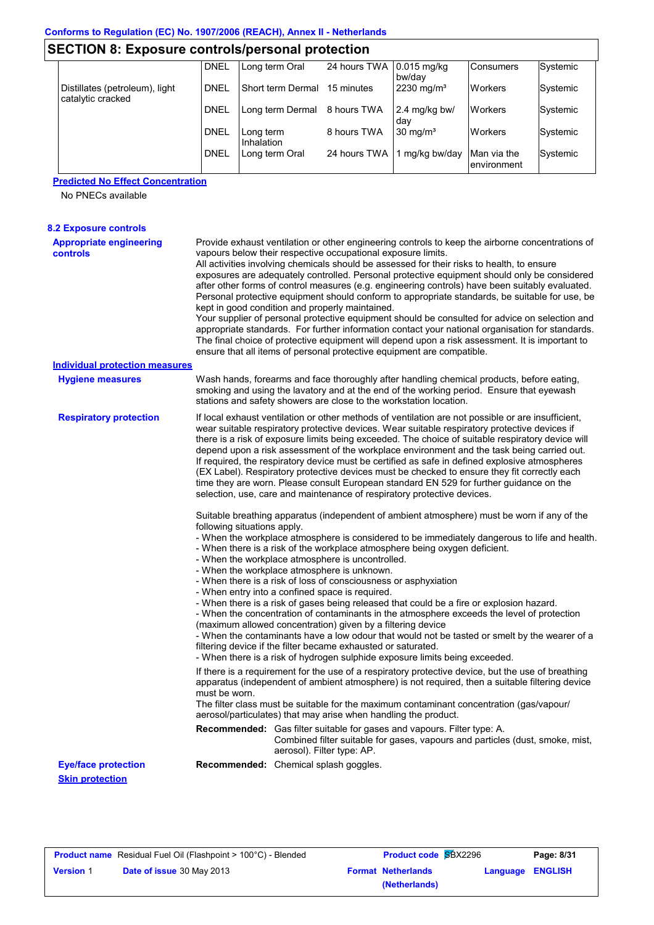| <b>SECTION 8: Exposure controls/personal protection</b> |             |                         |              |                         |                             |          |  |  |
|---------------------------------------------------------|-------------|-------------------------|--------------|-------------------------|-----------------------------|----------|--|--|
|                                                         | <b>DNEL</b> | Long term Oral          | 24 hours TWA | $0.015$ mg/kg<br>bw/dav | <b>Consumers</b>            | Systemic |  |  |
| Distillates (petroleum), light<br>catalytic cracked     | DNEL        | Short term Dermal       | 15 minutes   | $2230 \text{ mg/m}^3$   | <b>Workers</b>              | Systemic |  |  |
|                                                         | <b>DNEL</b> | Long term Dermal        | 8 hours TWA  | 2.4 mg/kg bw/<br>dav    | <b>Workers</b>              | Systemic |  |  |
|                                                         | <b>DNEL</b> | Long term<br>Inhalation | 8 hours TWA  | $30 \text{ mg/m}^3$     | <b>Workers</b>              | Systemic |  |  |
|                                                         | <b>DNEL</b> | Long term Oral          | 24 hours TWA | 1 mg/kg bw/day          | Man via the<br>lenvironment | Systemic |  |  |

# **Predicted No Effect Concentration**

No PNECs available

| <b>8.2 Exposure controls</b>               |                             |                                                                                                                                                                                                                                                                                                                                                                                                                                                                                                                                                                                                                                                                                                                                                                                                                                                                                                                                                                                                                                                                                                                     |
|--------------------------------------------|-----------------------------|---------------------------------------------------------------------------------------------------------------------------------------------------------------------------------------------------------------------------------------------------------------------------------------------------------------------------------------------------------------------------------------------------------------------------------------------------------------------------------------------------------------------------------------------------------------------------------------------------------------------------------------------------------------------------------------------------------------------------------------------------------------------------------------------------------------------------------------------------------------------------------------------------------------------------------------------------------------------------------------------------------------------------------------------------------------------------------------------------------------------|
| <b>Appropriate engineering</b><br>controls |                             | Provide exhaust ventilation or other engineering controls to keep the airborne concentrations of<br>vapours below their respective occupational exposure limits.<br>All activities involving chemicals should be assessed for their risks to health, to ensure<br>exposures are adequately controlled. Personal protective equipment should only be considered<br>after other forms of control measures (e.g. engineering controls) have been suitably evaluated.<br>Personal protective equipment should conform to appropriate standards, be suitable for use, be<br>kept in good condition and properly maintained.<br>Your supplier of personal protective equipment should be consulted for advice on selection and<br>appropriate standards. For further information contact your national organisation for standards.<br>The final choice of protective equipment will depend upon a risk assessment. It is important to<br>ensure that all items of personal protective equipment are compatible.                                                                                                           |
| <b>Individual protection measures</b>      |                             |                                                                                                                                                                                                                                                                                                                                                                                                                                                                                                                                                                                                                                                                                                                                                                                                                                                                                                                                                                                                                                                                                                                     |
| <b>Hygiene measures</b>                    |                             | Wash hands, forearms and face thoroughly after handling chemical products, before eating,<br>smoking and using the lavatory and at the end of the working period. Ensure that eyewash<br>stations and safety showers are close to the workstation location.                                                                                                                                                                                                                                                                                                                                                                                                                                                                                                                                                                                                                                                                                                                                                                                                                                                         |
| <b>Respiratory protection</b>              |                             | If local exhaust ventilation or other methods of ventilation are not possible or are insufficient,<br>wear suitable respiratory protective devices. Wear suitable respiratory protective devices if<br>there is a risk of exposure limits being exceeded. The choice of suitable respiratory device will<br>depend upon a risk assessment of the workplace environment and the task being carried out.<br>If required, the respiratory device must be certified as safe in defined explosive atmospheres<br>(EX Label). Respiratory protective devices must be checked to ensure they fit correctly each<br>time they are worn. Please consult European standard EN 529 for further guidance on the<br>selection, use, care and maintenance of respiratory protective devices.                                                                                                                                                                                                                                                                                                                                      |
|                                            | following situations apply. | Suitable breathing apparatus (independent of ambient atmosphere) must be worn if any of the<br>- When the workplace atmosphere is considered to be immediately dangerous to life and health.<br>- When there is a risk of the workplace atmosphere being oxygen deficient.<br>- When the workplace atmosphere is uncontrolled.<br>- When the workplace atmosphere is unknown.<br>- When there is a risk of loss of consciousness or asphyxiation<br>- When entry into a confined space is required.<br>- When there is a risk of gases being released that could be a fire or explosion hazard.<br>- When the concentration of contaminants in the atmosphere exceeds the level of protection<br>(maximum allowed concentration) given by a filtering device<br>- When the contaminants have a low odour that would not be tasted or smelt by the wearer of a<br>filtering device if the filter became exhausted or saturated.<br>- When there is a risk of hydrogen sulphide exposure limits being exceeded.<br>If there is a requirement for the use of a respiratory protective device, but the use of breathing |
|                                            | must be worn.               | apparatus (independent of ambient atmosphere) is not required, then a suitable filtering device<br>The filter class must be suitable for the maximum contaminant concentration (gas/vapour/<br>aerosol/particulates) that may arise when handling the product.                                                                                                                                                                                                                                                                                                                                                                                                                                                                                                                                                                                                                                                                                                                                                                                                                                                      |
|                                            |                             | Recommended: Gas filter suitable for gases and vapours. Filter type: A.<br>Combined filter suitable for gases, vapours and particles (dust, smoke, mist,<br>aerosol). Filter type: AP.                                                                                                                                                                                                                                                                                                                                                                                                                                                                                                                                                                                                                                                                                                                                                                                                                                                                                                                              |
| <b>Eye/face protection</b>                 |                             | Recommended: Chemical splash goggles.                                                                                                                                                                                                                                                                                                                                                                                                                                                                                                                                                                                                                                                                                                                                                                                                                                                                                                                                                                                                                                                                               |
| <b>Skin protection</b>                     |                             |                                                                                                                                                                                                                                                                                                                                                                                                                                                                                                                                                                                                                                                                                                                                                                                                                                                                                                                                                                                                                                                                                                                     |

| <b>Product name</b> Residual Fuel Oil (Flashpoint > 100°C) - Blended |                                  | <b>Product code SBX2296</b> |                         | Page: 8/31 |
|----------------------------------------------------------------------|----------------------------------|-----------------------------|-------------------------|------------|
| <b>Version 1</b>                                                     | <b>Date of issue</b> 30 May 2013 | <b>Format Netherlands</b>   | <b>Language ENGLISH</b> |            |
|                                                                      |                                  | (Netherlands)               |                         |            |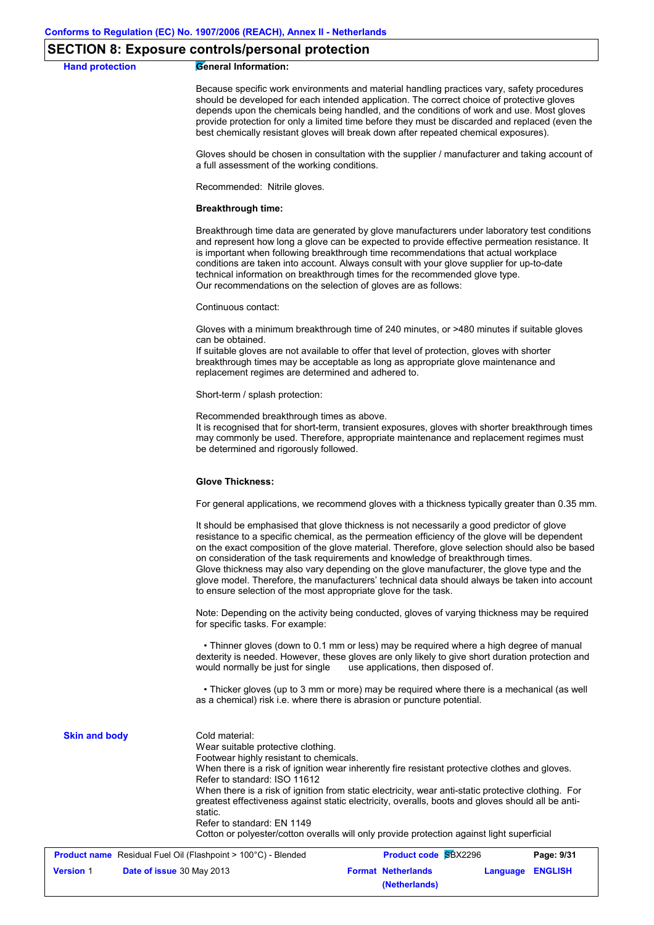### **SECTION 8: Exposure controls/personal protection**

# **Hand protection General Information:** Because specific work environments and material handling practices vary, safety procedures should be developed for each intended application. The correct choice of protective gloves depends upon the chemicals being handled, and the conditions of work and use. Most gloves provide protection for only a limited time before they must be discarded and replaced (even the best chemically resistant gloves will break down after repeated chemical exposures). Gloves should be chosen in consultation with the supplier / manufacturer and taking account of a full assessment of the working conditions. Recommended: Nitrile gloves. **Breakthrough time:** Breakthrough time data are generated by glove manufacturers under laboratory test conditions and represent how long a glove can be expected to provide effective permeation resistance. It is important when following breakthrough time recommendations that actual workplace conditions are taken into account. Always consult with your glove supplier for up-to-date technical information on breakthrough times for the recommended glove type. Our recommendations on the selection of gloves are as follows: Continuous contact: Gloves with a minimum breakthrough time of 240 minutes, or >480 minutes if suitable gloves can be obtained. If suitable gloves are not available to offer that level of protection, gloves with shorter breakthrough times may be acceptable as long as appropriate glove maintenance and replacement regimes are determined and adhered to. Short-term / splash protection: Recommended breakthrough times as above. It is recognised that for short-term, transient exposures, gloves with shorter breakthrough times may commonly be used. Therefore, appropriate maintenance and replacement regimes must be determined and rigorously followed. **Glove Thickness:** For general applications, we recommend gloves with a thickness typically greater than 0.35 mm. It should be emphasised that glove thickness is not necessarily a good predictor of glove resistance to a specific chemical, as the permeation efficiency of the glove will be dependent on the exact composition of the glove material. Therefore, glove selection should also be based on consideration of the task requirements and knowledge of breakthrough times. Glove thickness may also vary depending on the glove manufacturer, the glove type and the glove model. Therefore, the manufacturers' technical data should always be taken into account to ensure selection of the most appropriate glove for the task. Note: Depending on the activity being conducted, gloves of varying thickness may be required for specific tasks. For example: • Thinner gloves (down to 0.1 mm or less) may be required where a high degree of manual dexterity is needed. However, these gloves are only likely to give short duration protection and would normally be just for single use applications, then disposed of. • Thicker gloves (up to 3 mm or more) may be required where there is a mechanical (as well as a chemical) risk i.e. where there is abrasion or puncture potential. Cold material: Wear suitable protective clothing. Footwear highly resistant to chemicals. When there is a risk of ignition wear inherently fire resistant protective clothes and gloves. Refer to standard: ISO 11612 When there is a risk of ignition from static electricity, wear anti-static protective clothing. For greatest effectiveness against static electricity, overalls, boots and gloves should all be antistatic. Refer to standard: EN 1149 Cotton or polyester/cotton overalls will only provide protection against light superficial **Skin and body**

|                  | <b>Product name</b> Residual Fuel Oil (Flashpoint > 100°C) - Blended | <b>Product code SBX2296</b> | Page: 9/31                |                  |  |
|------------------|----------------------------------------------------------------------|-----------------------------|---------------------------|------------------|--|
| <b>Version 1</b> | <b>Date of issue</b> 30 May 2013                                     |                             | <b>Format Netherlands</b> | Language ENGLISH |  |
|                  |                                                                      |                             | (Netherlands)             |                  |  |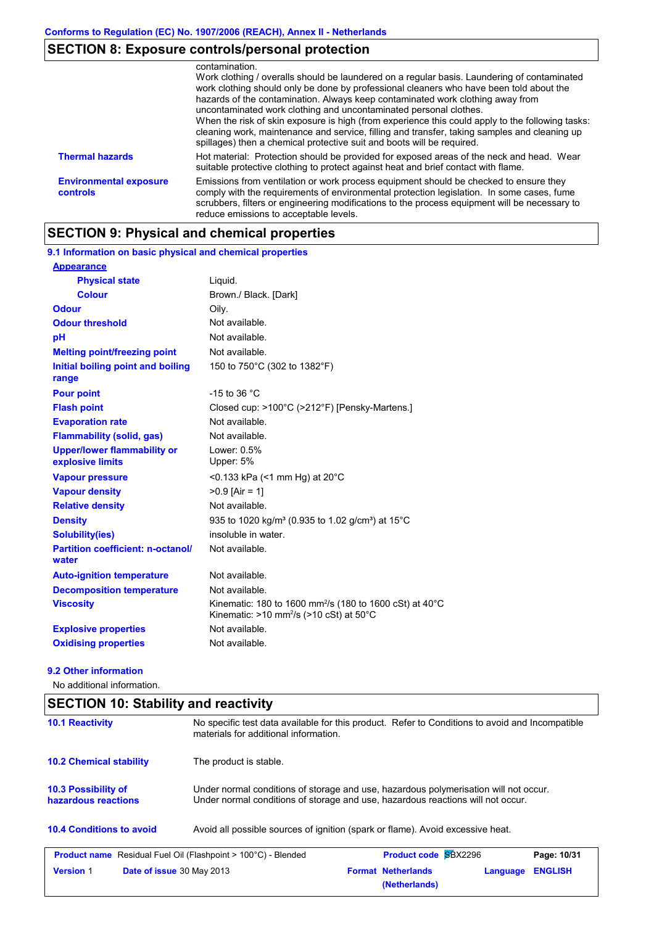# **SECTION 8: Exposure controls/personal protection**

|                                           | contamination.<br>Work clothing / overalls should be laundered on a regular basis. Laundering of contaminated<br>work clothing should only be done by professional cleaners who have been told about the<br>hazards of the contamination. Always keep contaminated work clothing away from<br>uncontaminated work clothing and uncontaminated personal clothes.<br>When the risk of skin exposure is high (from experience this could apply to the following tasks:<br>cleaning work, maintenance and service, filling and transfer, taking samples and cleaning up<br>spillages) then a chemical protective suit and boots will be required. |
|-------------------------------------------|-----------------------------------------------------------------------------------------------------------------------------------------------------------------------------------------------------------------------------------------------------------------------------------------------------------------------------------------------------------------------------------------------------------------------------------------------------------------------------------------------------------------------------------------------------------------------------------------------------------------------------------------------|
| <b>Thermal hazards</b>                    | Hot material: Protection should be provided for exposed areas of the neck and head. Wear<br>suitable protective clothing to protect against heat and brief contact with flame.                                                                                                                                                                                                                                                                                                                                                                                                                                                                |
| <b>Environmental exposure</b><br>controls | Emissions from ventilation or work process equipment should be checked to ensure they<br>comply with the requirements of environmental protection legislation. In some cases, fume<br>scrubbers, filters or engineering modifications to the process equipment will be necessary to<br>reduce emissions to acceptable levels.                                                                                                                                                                                                                                                                                                                 |

# **SECTION 9: Physical and chemical properties**

#### 150 to 750°C (302 to 1382°F) **Physical state Melting point/freezing point Initial boiling point and boiling range Vapour pressure Relative density Vapour density** Liquid. Not available. Not available. >0.9 [Air = 1] <0.133 kPa (<1 mm Hg) at 20°C **Odour** Oily. **pH Colour** Brown./ Black. [Dark] **Evaporation rate** Not available. **Auto-ignition temperature Flash point** Not available. Closed cup: >100°C (>212°F) [Pensky-Martens.] Lower: 0.5% Upper: 5% Not available. Not available. Not available. **Viscosity** Minematic: 180 to 1600 mm<sup>2</sup>/s (180 to 1600 cSt) at 40°C Kinematic: >10 mm<sup>2</sup>/s (>10 cSt) at 50°C **Odour threshold** Not available. **Partition coefficient: n-octanol/ water Upper/lower flammability or explosive limits Explosive properties Oxidising properties** Not available. **9.1 Information on basic physical and chemical properties Appearance Decomposition temperature** Not available. **Flammability (solid, gas)** Not available. **Pour point**  $-15$  to 36 °C **Density** 935 to 1020 kg/m<sup>3</sup> (0.935 to 1.02 g/cm<sup>3</sup>) at 15°C **Solubility(ies)** insoluble in water.

#### **9.2 Other information**

No additional information.

# **SECTION 10: Stability and reactivity**

| <b>10.1 Reactivity</b>                            | No specific test data available for this product. Refer to Conditions to avoid and Incompatible<br>materials for additional information.                                |
|---------------------------------------------------|-------------------------------------------------------------------------------------------------------------------------------------------------------------------------|
| <b>10.2 Chemical stability</b>                    | The product is stable.                                                                                                                                                  |
| <b>10.3 Possibility of</b><br>hazardous reactions | Under normal conditions of storage and use, hazardous polymerisation will not occur.<br>Under normal conditions of storage and use, hazardous reactions will not occur. |
| <b>10.4 Conditions to avoid</b>                   | Avoid all possible sources of ignition (spark or flame). Avoid excessive heat.                                                                                          |
|                                                   | <b>Product code SBX2296</b><br><b>Product name</b> Residual Fuel Oil (Flashpoint > 100°C) - Blended<br>Page: 10/31                                                      |
| <b>Version 1</b>                                  | <b>ENGLISH</b><br><b>Format Netherlands</b><br><b>Date of issue 30 May 2013</b><br>Language<br>(Netherlands)                                                            |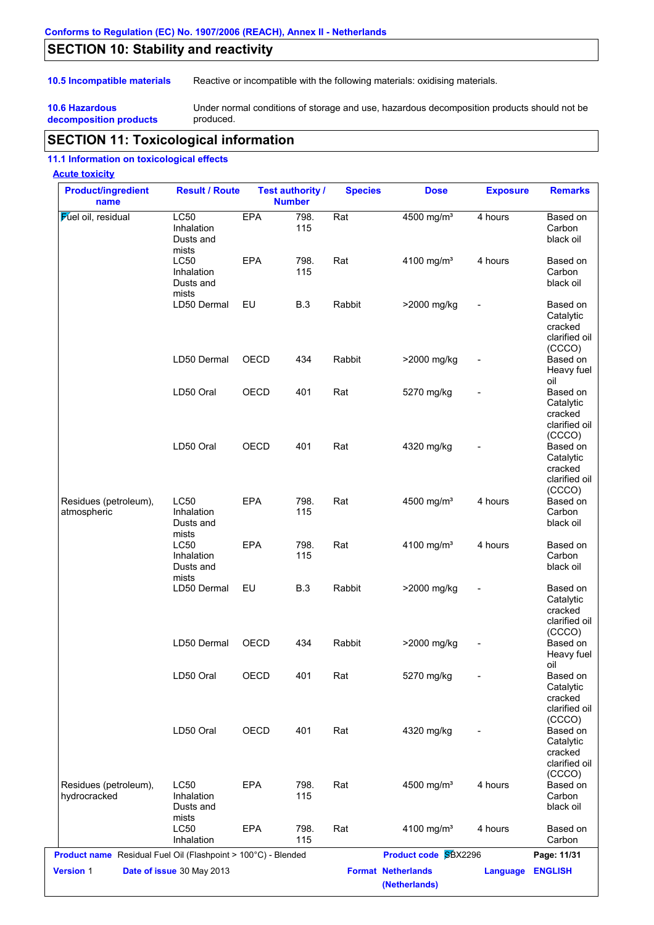# **SECTION 10: Stability and reactivity**

**10.5 Incompatible materials** Reactive or incompatible with the following materials: oxidising materials.

**10.6 Hazardous decomposition products** Under normal conditions of storage and use, hazardous decomposition products should not be produced.

# **SECTION 11: Toxicological information**

#### **11.1 Information on toxicological effects**

#### **Acute toxicity**

| <b>Product/ingredient</b><br>name                             | <b>Result / Route</b>                           |            | <b>Test authority /</b><br><b>Number</b> | <b>Species</b> | <b>Dose</b>                                | <b>Exposure</b> | <b>Remarks</b>                                                        |
|---------------------------------------------------------------|-------------------------------------------------|------------|------------------------------------------|----------------|--------------------------------------------|-----------------|-----------------------------------------------------------------------|
| <b>Fuel oil</b> , residual                                    | LC50<br>Inhalation<br>Dusts and<br>mists        | <b>EPA</b> | 798.<br>115                              | Rat            | 4500 mg/m <sup>3</sup>                     | 4 hours         | Based on<br>Carbon<br>black oil                                       |
|                                                               | <b>LC50</b><br>Inhalation<br>Dusts and<br>mists | <b>EPA</b> | 798.<br>115                              | Rat            | 4100 mg/m <sup>3</sup>                     | 4 hours         | Based on<br>Carbon<br>black oil                                       |
|                                                               | LD50 Dermal                                     | EU         | <b>B.3</b>                               | Rabbit         | >2000 mg/kg                                |                 | Based on<br>Catalytic<br>cracked<br>clarified oil<br>(CCCO)           |
|                                                               | LD50 Dermal                                     | OECD       | 434                                      | Rabbit         | >2000 mg/kg                                |                 | Based on<br>Heavy fuel<br>oil                                         |
|                                                               | LD50 Oral                                       | OECD       | 401                                      | Rat            | 5270 mg/kg                                 |                 | Based on<br>Catalytic<br>cracked<br>clarified oil                     |
|                                                               | LD50 Oral                                       | OECD       | 401                                      | Rat            | 4320 mg/kg                                 |                 | (CCCO)<br>Based on<br>Catalytic<br>cracked<br>clarified oil<br>(CCCO) |
| Residues (petroleum),<br>atmospheric                          | <b>LC50</b><br>Inhalation<br>Dusts and<br>mists | <b>EPA</b> | 798.<br>115                              | Rat            | 4500 mg/m <sup>3</sup>                     | 4 hours         | Based on<br>Carbon<br>black oil                                       |
|                                                               | <b>LC50</b><br>Inhalation<br>Dusts and<br>mists | <b>EPA</b> | 798.<br>115                              | Rat            | 4100 mg/m <sup>3</sup>                     | 4 hours         | Based on<br>Carbon<br>black oil                                       |
|                                                               | LD50 Dermal                                     | EU         | <b>B.3</b>                               | Rabbit         | >2000 mg/kg                                |                 | Based on<br>Catalytic<br>cracked<br>clarified oil<br>(CCCO)           |
|                                                               | LD50 Dermal                                     | OECD       | 434                                      | Rabbit         | >2000 mg/kg                                |                 | Based on<br>Heavy fuel<br>oil                                         |
|                                                               | LD50 Oral                                       | OECD       | 401                                      | Rat            | 5270 mg/kg                                 |                 | Based on<br>Catalytic<br>cracked<br>clarified oil<br>(CCCO)           |
|                                                               | LD50 Oral                                       | OECD       | 401                                      | Rat            | 4320 mg/kg                                 |                 | Based on<br>Catalytic<br>cracked<br>clarified oil<br>(CCCO)           |
| Residues (petroleum),<br>hydrocracked                         | <b>LC50</b><br>Inhalation<br>Dusts and<br>mists | EPA        | 798.<br>115                              | Rat            | 4500 mg/m <sup>3</sup>                     | 4 hours         | Based on<br>Carbon<br>black oil                                       |
|                                                               | LC50<br>Inhalation                              | EPA        | 798.<br>115                              | Rat            | 4100 mg/m <sup>3</sup>                     | 4 hours         | Based on<br>Carbon                                                    |
| Product name Residual Fuel Oil (Flashpoint > 100°C) - Blended |                                                 |            |                                          |                | <b>Product code SBX2296</b>                |                 | Page: 11/31                                                           |
| Version 1                                                     | Date of issue 30 May 2013                       |            |                                          |                | <b>Format Netherlands</b><br>(Netherlands) | <b>Language</b> | <b>ENGLISH</b>                                                        |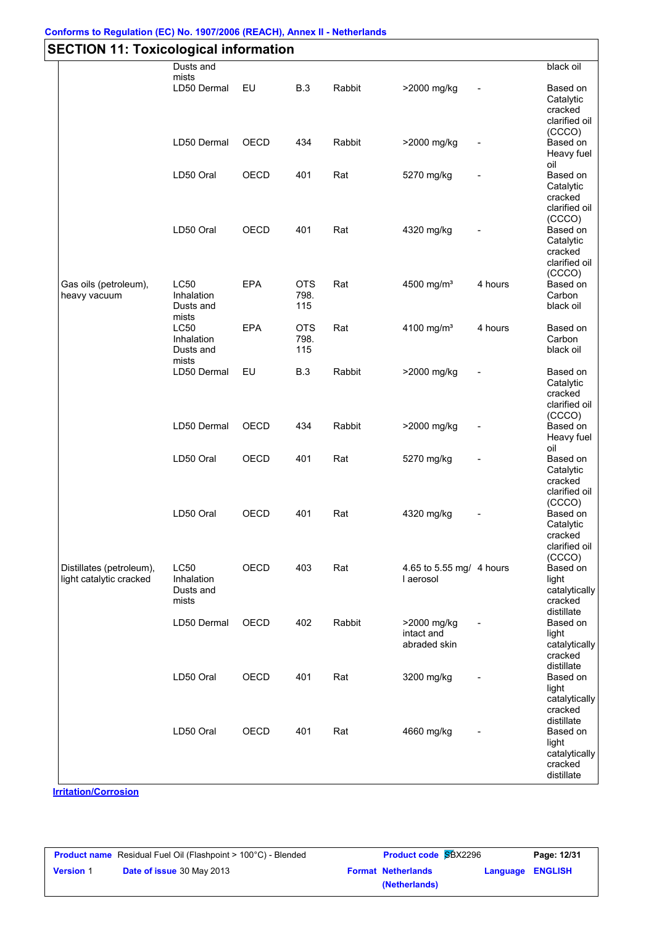# **Conforms to Regulation (EC) No. 1907/2006 (REACH), Annex II - Netherlands**

| <b>SECTION 11: Toxicological information</b>        |                                                 |             |                           |        |                                           |         |                                                                           |  |  |  |
|-----------------------------------------------------|-------------------------------------------------|-------------|---------------------------|--------|-------------------------------------------|---------|---------------------------------------------------------------------------|--|--|--|
|                                                     | Dusts and<br>mists                              |             |                           |        |                                           |         | black oil                                                                 |  |  |  |
|                                                     | LD50 Dermal                                     | EU          | <b>B.3</b>                | Rabbit | >2000 mg/kg                               |         | Based on<br>Catalytic<br>cracked<br>clarified oil                         |  |  |  |
|                                                     | LD50 Dermal                                     | OECD        | 434                       | Rabbit | >2000 mg/kg                               |         | (CCCO)<br>Based on<br>Heavy fuel<br>oil                                   |  |  |  |
|                                                     | LD50 Oral                                       | OECD        | 401                       | Rat    | 5270 mg/kg                                |         | Based on<br>Catalytic<br>cracked<br>clarified oil                         |  |  |  |
|                                                     | LD50 Oral                                       | OECD        | 401                       | Rat    | 4320 mg/kg                                |         | (CCCO)<br>Based on<br>Catalytic<br>cracked<br>clarified oil               |  |  |  |
| Gas oils (petroleum),<br>heavy vacuum               | <b>LC50</b><br>Inhalation<br>Dusts and<br>mists | <b>EPA</b>  | <b>OTS</b><br>798.<br>115 | Rat    | 4500 mg/m <sup>3</sup>                    | 4 hours | (CCCO)<br>Based on<br>Carbon<br>black oil                                 |  |  |  |
|                                                     | LC50<br>Inhalation<br>Dusts and<br>mists        | <b>EPA</b>  | <b>OTS</b><br>798.<br>115 | Rat    | 4100 mg/m <sup>3</sup>                    | 4 hours | Based on<br>Carbon<br>black oil                                           |  |  |  |
|                                                     | LD50 Dermal                                     | EU          | <b>B.3</b>                | Rabbit | >2000 mg/kg                               |         | Based on<br>Catalytic<br>cracked<br>clarified oil<br>(CCCO)               |  |  |  |
|                                                     | LD50 Dermal                                     | OECD        | 434                       | Rabbit | >2000 mg/kg                               |         | Based on<br>Heavy fuel<br>oil                                             |  |  |  |
|                                                     | LD50 Oral                                       | OECD        | 401                       | Rat    | 5270 mg/kg                                |         | Based on<br>Catalytic<br>cracked<br>clarified oil<br>(CCCO)               |  |  |  |
|                                                     | LD50 Oral                                       | <b>OECD</b> | 401                       | Rat    | 4320 mg/kg                                |         | Based on<br>Catalytic<br>cracked<br>clarified oil                         |  |  |  |
| Distillates (petroleum),<br>light catalytic cracked | <b>LC50</b><br>Inhalation<br>Dusts and<br>mists | OECD        | 403                       | Rat    | 4.65 to 5.55 mg/ 4 hours<br>I aerosol     |         | (CCCO)<br>Based on<br>light<br>catalytically<br>cracked<br>distillate     |  |  |  |
|                                                     | LD50 Dermal                                     | OECD        | 402                       | Rabbit | >2000 mg/kg<br>intact and<br>abraded skin |         | Based on<br>light<br>catalytically<br>cracked                             |  |  |  |
|                                                     | LD50 Oral                                       | OECD        | 401                       | Rat    | 3200 mg/kg                                |         | distillate<br>Based on<br>light<br>catalytically<br>cracked               |  |  |  |
|                                                     | LD50 Oral                                       | OECD        | 401                       | Rat    | 4660 mg/kg                                |         | distillate<br>Based on<br>light<br>catalytically<br>cracked<br>distillate |  |  |  |

**Irritation/Corrosion**

|                  | <b>Product name</b> Residual Fuel Oil (Flashpoint > 100°C) - Blended | <b>Product code SBX2296</b> | Page: 12/31               |                         |  |
|------------------|----------------------------------------------------------------------|-----------------------------|---------------------------|-------------------------|--|
| <b>Version 1</b> | <b>Date of issue 30 May 2013</b>                                     |                             | <b>Format Netherlands</b> | <b>Language ENGLISH</b> |  |
|                  |                                                                      |                             | (Netherlands)             |                         |  |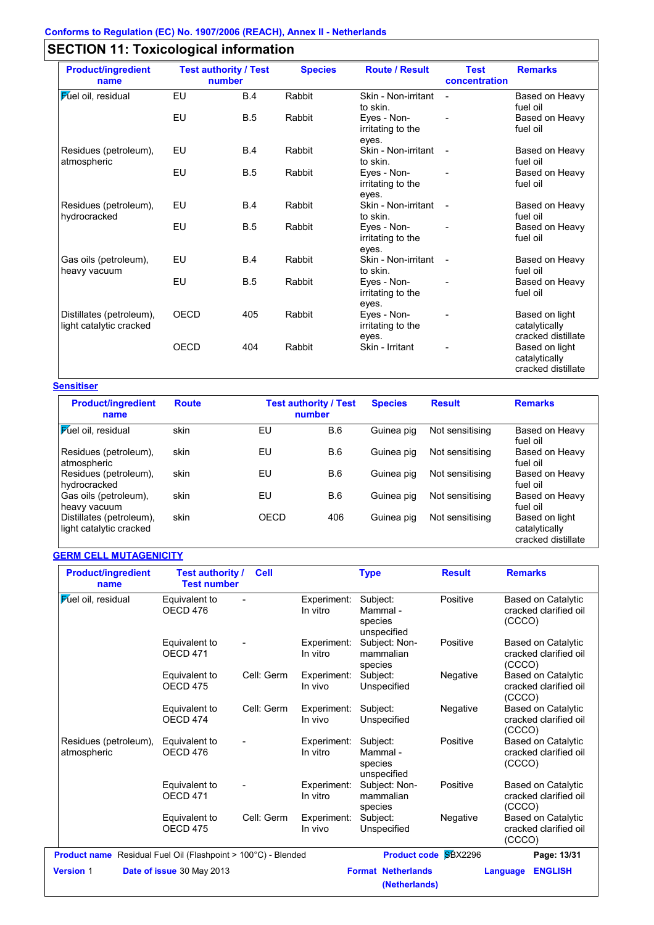# **SECTION 11: Toxicological information**

| <b>Product/ingredient</b><br>name                   |             | <b>Test authority / Test</b><br>number | <b>Species</b> | <b>Route / Result</b>                     | <b>Test</b><br>concentration | <b>Remarks</b>                                                              |
|-----------------------------------------------------|-------------|----------------------------------------|----------------|-------------------------------------------|------------------------------|-----------------------------------------------------------------------------|
| <b>Fuel oil</b> , residual                          | EU          | <b>B.4</b>                             | Rabbit         | Skin - Non-irritant<br>to skin.           | $\blacksquare$               | Based on Heavy<br>fuel oil                                                  |
|                                                     | EU          | B.5                                    | Rabbit         | Eyes - Non-<br>irritating to the<br>eyes. |                              | Based on Heavy<br>fuel oil                                                  |
| Residues (petroleum),<br>atmospheric                | EU          | B.4                                    | Rabbit         | Skin - Non-irritant<br>to skin.           |                              | Based on Heavy<br>fuel oil                                                  |
|                                                     | EU          | B.5                                    | Rabbit         | Eyes - Non-<br>irritating to the          |                              | Based on Heavy<br>fuel oil                                                  |
| Residues (petroleum),<br>hydrocracked               | EU          | <b>B.4</b>                             | Rabbit         | eyes.<br>Skin - Non-irritant<br>to skin.  |                              | Based on Heavy<br>fuel oil                                                  |
|                                                     | EU          | <b>B.5</b>                             | Rabbit         | Eyes - Non-<br>irritating to the          |                              | Based on Heavy<br>fuel oil                                                  |
| Gas oils (petroleum),<br>heavy vacuum               | EU          | B.4                                    | Rabbit         | eyes.<br>Skin - Non-irritant<br>to skin.  | $\overline{a}$               | Based on Heavy<br>fuel oil                                                  |
|                                                     | EU          | B.5                                    | Rabbit         | Eyes - Non-<br>irritating to the<br>eyes. |                              | Based on Heavy<br>fuel oil                                                  |
| Distillates (petroleum),<br>light catalytic cracked | <b>OECD</b> | 405                                    | Rabbit         | Eyes - Non-<br>irritating to the          |                              | Based on light<br>catalytically                                             |
|                                                     | <b>OECD</b> | 404                                    | Rabbit         | eyes.<br>Skin - Irritant                  |                              | cracked distillate<br>Based on light<br>catalytically<br>cracked distillate |

### **Sensitiser**

| <b>Product/ingredient</b><br>name                   | <b>Route</b> |      | <b>Test authority / Test</b><br>number | <b>Species</b> | <b>Result</b>   | <b>Remarks</b>                                        |
|-----------------------------------------------------|--------------|------|----------------------------------------|----------------|-----------------|-------------------------------------------------------|
| <b>Fuel oil</b> , residual                          | skin         | EU   | B.6                                    | Guinea pig     | Not sensitising | Based on Heavy<br>fuel oil                            |
| Residues (petroleum),<br>atmospheric                | skin         | EU   | B.6                                    | Guinea pig     | Not sensitising | Based on Heavy<br>fuel oil                            |
| Residues (petroleum),<br>hydrocracked               | skin         | EU   | B.6                                    | Guinea pig     | Not sensitising | Based on Heavy<br>fuel oil                            |
| Gas oils (petroleum),<br>heavy vacuum               | skin         | EU   | B.6                                    | Guinea pig     | Not sensitising | Based on Heavy<br>fuel oil                            |
| Distillates (petroleum),<br>light catalytic cracked | skin         | OECD | 406                                    | Guinea pig     | Not sensitising | Based on light<br>catalytically<br>cracked distillate |

# **GERM CELL MUTAGENICITY**

| <b>Product/ingredient</b><br>name                                    | Test authority /<br><b>Test number</b> | <b>Cell</b> |                         | <b>Type</b>                                    | <b>Result</b>        | <b>Remarks</b>                                               |
|----------------------------------------------------------------------|----------------------------------------|-------------|-------------------------|------------------------------------------------|----------------------|--------------------------------------------------------------|
| <b>Fuel oil</b> , residual                                           | Equivalent to<br>OECD 476              |             | Experiment:<br>In vitro | Subject:<br>Mammal -<br>species<br>unspecified | Positive             | Based on Catalytic<br>cracked clarified oil<br>(CCCO)        |
|                                                                      | Equivalent to<br><b>OECD 471</b>       |             | Experiment:<br>In vitro | Subject: Non-<br>mammalian<br>species          | Positive             | <b>Based on Catalytic</b><br>cracked clarified oil<br>(CCCO) |
|                                                                      | Equivalent to<br>OECD <sub>475</sub>   | Cell: Germ  | Experiment:<br>In vivo  | Subject:<br>Unspecified                        | Negative             | <b>Based on Catalytic</b><br>cracked clarified oil<br>(CCCO) |
|                                                                      | Equivalent to<br>OECD <sub>474</sub>   | Cell: Germ  | Experiment:<br>In vivo  | Subject:<br>Unspecified                        | Negative             | <b>Based on Catalytic</b><br>cracked clarified oil<br>(CCCO) |
| Residues (petroleum),<br>atmospheric                                 | Equivalent to<br>OECD 476              |             | Experiment:<br>In vitro | Subject:<br>Mammal -<br>species<br>unspecified | Positive             | Based on Catalytic<br>cracked clarified oil<br>(CCCO)        |
|                                                                      | Equivalent to<br>OECD <sub>471</sub>   |             | Experiment:<br>In vitro | Subject: Non-<br>mammalian<br>species          | Positive             | <b>Based on Catalytic</b><br>cracked clarified oil<br>(CCCO) |
|                                                                      | Equivalent to<br>OECD <sub>475</sub>   | Cell: Germ  | Experiment:<br>In vivo  | Subject:<br>Unspecified                        | Negative             | <b>Based on Catalytic</b><br>cracked clarified oil<br>(CCCO) |
| <b>Product name</b> Residual Fuel Oil (Flashpoint > 100°C) - Blended |                                        |             |                         |                                                | Product code SBX2296 | Page: 13/31                                                  |
| <b>Version 1</b>                                                     | Date of issue 30 May 2013              |             |                         | <b>Format Netherlands</b><br>(Netherlands)     |                      | <b>ENGLISH</b><br>Language                                   |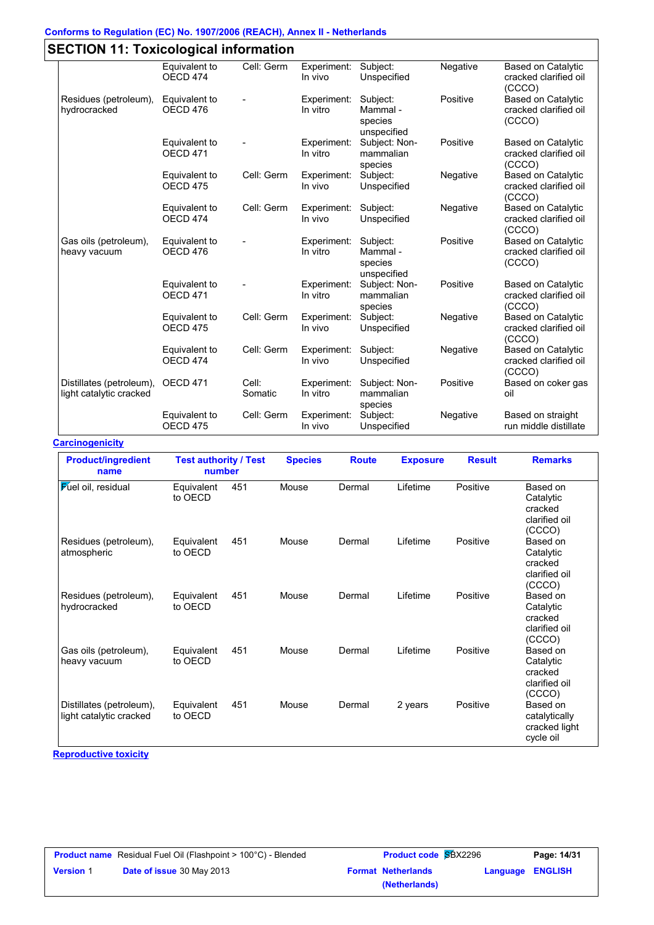# **Conforms to Regulation (EC) No. 1907/2006 (REACH), Annex II - Netherlands**

|                                                     | Equivalent to                        | Cell: Germ       | Experiment:             | Subject:                                       | Negative | <b>Based on Catalytic</b>                                    |
|-----------------------------------------------------|--------------------------------------|------------------|-------------------------|------------------------------------------------|----------|--------------------------------------------------------------|
|                                                     | OECD <sub>474</sub>                  |                  | In vivo                 | Unspecified                                    |          | cracked clarified oil<br>(CCCO)                              |
| Residues (petroleum),<br>hydrocracked               | Equivalent to<br>OECD <sub>476</sub> |                  | Experiment:<br>In vitro | Subject:<br>Mammal -<br>species<br>unspecified | Positive | <b>Based on Catalytic</b><br>cracked clarified oil<br>(CCCO) |
|                                                     | Equivalent to<br>OECD <sub>471</sub> |                  | Experiment:<br>In vitro | Subject: Non-<br>mammalian<br>species          | Positive | <b>Based on Catalytic</b><br>cracked clarified oil<br>(CCCO) |
|                                                     | Equivalent to<br>OECD <sub>475</sub> | Cell: Germ       | Experiment:<br>In vivo  | Subject:<br>Unspecified                        | Negative | <b>Based on Catalytic</b><br>cracked clarified oil<br>(CCCO) |
|                                                     | Equivalent to<br>OECD <sub>474</sub> | Cell: Germ       | Experiment:<br>In vivo  | Subject:<br>Unspecified                        | Negative | <b>Based on Catalytic</b><br>cracked clarified oil<br>(CCCO) |
| Gas oils (petroleum),<br>heavy vacuum               | Equivalent to<br>OECD <sub>476</sub> |                  | Experiment:<br>In vitro | Subject:<br>Mammal -<br>species<br>unspecified | Positive | <b>Based on Catalytic</b><br>cracked clarified oil<br>(CCCO) |
|                                                     | Equivalent to<br>OECD <sub>471</sub> |                  | Experiment:<br>In vitro | Subject: Non-<br>mammalian<br>species          | Positive | <b>Based on Catalytic</b><br>cracked clarified oil<br>(CCCO) |
|                                                     | Equivalent to<br>OECD <sub>475</sub> | Cell: Germ       | Experiment:<br>In vivo  | Subject:<br>Unspecified                        | Negative | <b>Based on Catalytic</b><br>cracked clarified oil<br>(CCCO) |
|                                                     | Equivalent to<br>OECD <sub>474</sub> | Cell: Germ       | Experiment:<br>In vivo  | Subject:<br>Unspecified                        | Negative | <b>Based on Catalytic</b><br>cracked clarified oil<br>(CCCO) |
| Distillates (petroleum),<br>light catalytic cracked | OECD 471                             | Cell:<br>Somatic | Experiment:<br>In vitro | Subject: Non-<br>mammalian<br>species          | Positive | Based on coker gas<br>oil                                    |
|                                                     | Equivalent to<br>OECD <sub>475</sub> | Cell: Germ       | Experiment:<br>In vivo  | Subject:<br>Unspecified                        | Negative | Based on straight<br>run middle distillate                   |

**Carcinogenicity**

| <b>Product/ingredient</b><br>name                   | <b>Test authority / Test</b><br>number |     | <b>Species</b> | <b>Route</b> | <b>Exposure</b> | <b>Result</b> | <b>Remarks</b>                                              |
|-----------------------------------------------------|----------------------------------------|-----|----------------|--------------|-----------------|---------------|-------------------------------------------------------------|
| <b>Fuel oil</b> , residual                          | Equivalent<br>to OECD                  | 451 | Mouse          | Dermal       | Lifetime        | Positive      | Based on<br>Catalytic<br>cracked<br>clarified oil<br>(CCCO) |
| Residues (petroleum),<br>atmospheric                | Equivalent<br>to OECD                  | 451 | Mouse          | Dermal       | Lifetime        | Positive      | Based on<br>Catalytic<br>cracked<br>clarified oil<br>(CCCO) |
| Residues (petroleum),<br>hydrocracked               | Equivalent<br>to OECD                  | 451 | Mouse          | Dermal       | Lifetime        | Positive      | Based on<br>Catalytic<br>cracked<br>clarified oil<br>(CCCO) |
| Gas oils (petroleum),<br>heavy vacuum               | Equivalent<br>to OECD                  | 451 | Mouse          | Dermal       | Lifetime        | Positive      | Based on<br>Catalytic<br>cracked<br>clarified oil<br>(CCCO) |
| Distillates (petroleum),<br>light catalytic cracked | Equivalent<br>to OECD                  | 451 | Mouse          | Dermal       | 2 years         | Positive      | Based on<br>catalytically<br>cracked light<br>cycle oil     |

**Reproductive toxicity**

|                  | <b>Product name</b> Residual Fuel Oil (Flashpoint > 100°C) - Blended | <b>Product code SBX2296</b> | Page: 14/31               |                  |  |
|------------------|----------------------------------------------------------------------|-----------------------------|---------------------------|------------------|--|
| <b>Version 1</b> | <b>Date of issue 30 May 2013</b>                                     |                             | <b>Format Netherlands</b> | Language ENGLISH |  |
|                  |                                                                      |                             | (Netherlands)             |                  |  |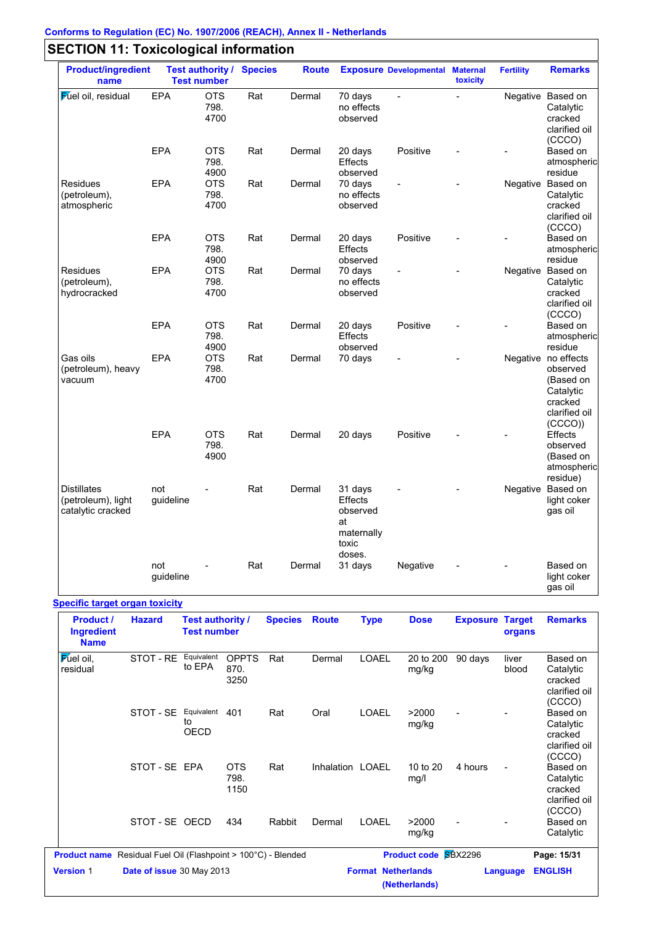| <b>Product/ingredient</b><br>name                             |                  | <b>Test number</b>         | <b>Test authority / Species</b> | <b>Route</b> |                                                                       | <b>Exposure Developmental Maternal</b> | toxicity       | <b>Fertility</b> | <b>Remarks</b>                                                                                  |
|---------------------------------------------------------------|------------------|----------------------------|---------------------------------|--------------|-----------------------------------------------------------------------|----------------------------------------|----------------|------------------|-------------------------------------------------------------------------------------------------|
| <b>Fuel oil</b> , residual                                    | <b>EPA</b>       | <b>OTS</b><br>798.<br>4700 | Rat                             | Dermal       | 70 days<br>no effects<br>observed                                     | $\overline{a}$                         | $\overline{a}$ |                  | Negative Based on<br>Catalytic<br>cracked<br>clarified oil<br>(CCCO)                            |
|                                                               | EPA              | <b>OTS</b><br>798.<br>4900 | Rat                             | Dermal       | 20 days<br><b>Effects</b><br>observed                                 | Positive                               |                |                  | Based on<br>atmospheric<br>residue                                                              |
| <b>Residues</b><br>(petroleum),<br>atmospheric                | EPA              | <b>OTS</b><br>798.<br>4700 | Rat                             | Dermal       | 70 days<br>no effects<br>observed                                     |                                        |                |                  | Negative Based on<br>Catalytic<br>cracked<br>clarified oil<br>(CCCO)                            |
|                                                               | <b>EPA</b>       | <b>OTS</b><br>798.<br>4900 | Rat                             | Dermal       | 20 days<br>Effects<br>observed                                        | Positive                               |                |                  | Based on<br>atmospheric<br>residue                                                              |
| Residues<br>(petroleum),<br>hydrocracked                      | <b>EPA</b>       | <b>OTS</b><br>798.<br>4700 | Rat                             | Dermal       | 70 days<br>no effects<br>observed                                     |                                        |                |                  | Negative Based on<br>Catalytic<br>cracked<br>clarified oil<br>(CCCO)                            |
|                                                               | EPA              | <b>OTS</b><br>798.<br>4900 | Rat                             | Dermal       | 20 days<br><b>Effects</b><br>observed                                 | Positive                               |                |                  | Based on<br>atmospheric<br>residue                                                              |
| Gas oils<br>(petroleum), heavy<br>vacuum                      | <b>EPA</b>       | <b>OTS</b><br>798.<br>4700 | Rat                             | Dermal       | 70 days                                                               | $\overline{a}$                         |                |                  | Negative no effects<br>observed<br>(Based on<br>Catalytic<br>cracked<br>clarified oil<br>(CCCO) |
|                                                               | EPA              | <b>OTS</b><br>798.<br>4900 | Rat                             | Dermal       | 20 days                                                               | Positive                               |                |                  | <b>Effects</b><br>observed<br>(Based on<br>atmospheric<br>residue)                              |
| <b>Distillates</b><br>(petroleum), light<br>catalytic cracked | not<br>guideline |                            | Rat                             | Dermal       | 31 days<br>Effects<br>observed<br>at<br>maternally<br>toxic<br>doses. |                                        |                |                  | Negative Based on<br>light coker<br>gas oil                                                     |
|                                                               | not<br>guideline |                            | Rat                             | Dermal       | 31 days                                                               | Negative                               |                |                  | Based on<br>light coker<br>gas oil                                                              |

### **Specific target organ toxicity**

| <b>Product /</b><br><b>Ingredient</b><br><b>Name</b> | <b>Hazard</b>                                                        | <b>Test authority /</b><br><b>Test number</b> |                              | <b>Species</b> | <b>Route</b>     | <b>Type</b>               | <b>Dose</b>                 | <b>Exposure</b> | <b>Target</b><br>organs | <b>Remarks</b>                                              |
|------------------------------------------------------|----------------------------------------------------------------------|-----------------------------------------------|------------------------------|----------------|------------------|---------------------------|-----------------------------|-----------------|-------------------------|-------------------------------------------------------------|
| Fuel oil,<br>residual                                | STOT - RE                                                            | Equivalent<br>to EPA                          | <b>OPPTS</b><br>870.<br>3250 | Rat            | Dermal           | LOAEL                     | 20 to 200<br>mg/kg          | 90 days         | liver<br>blood          | Based on<br>Catalytic<br>cracked<br>clarified oil<br>(CCCO) |
|                                                      | STOT - SE                                                            | Equivalent<br>to<br><b>OECD</b>               | 401                          | Rat            | Oral             | <b>LOAEL</b>              | >2000<br>mg/kg              |                 |                         | Based on<br>Catalytic<br>cracked<br>clarified oil<br>(CCCO) |
|                                                      | STOT-SE EPA                                                          |                                               | <b>OTS</b><br>798.<br>1150   | Rat            | Inhalation LOAEL |                           | 10 to 20<br>mg/l            | 4 hours         |                         | Based on<br>Catalytic<br>cracked<br>clarified oil<br>(CCCO) |
|                                                      | STOT-SE OECD                                                         |                                               | 434                          | Rabbit         | Dermal           | <b>LOAEL</b>              | >2000<br>mg/kg              |                 |                         | Based on<br>Catalytic                                       |
|                                                      | <b>Product name</b> Residual Fuel Oil (Flashpoint > 100°C) - Blended |                                               |                              |                |                  |                           | <b>Product code SBX2296</b> |                 |                         | Page: 15/31                                                 |
| <b>Version 1</b>                                     | Date of issue 30 May 2013                                            |                                               |                              |                |                  | <b>Format Netherlands</b> | (Netherlands)               |                 | Language                | <b>ENGLISH</b>                                              |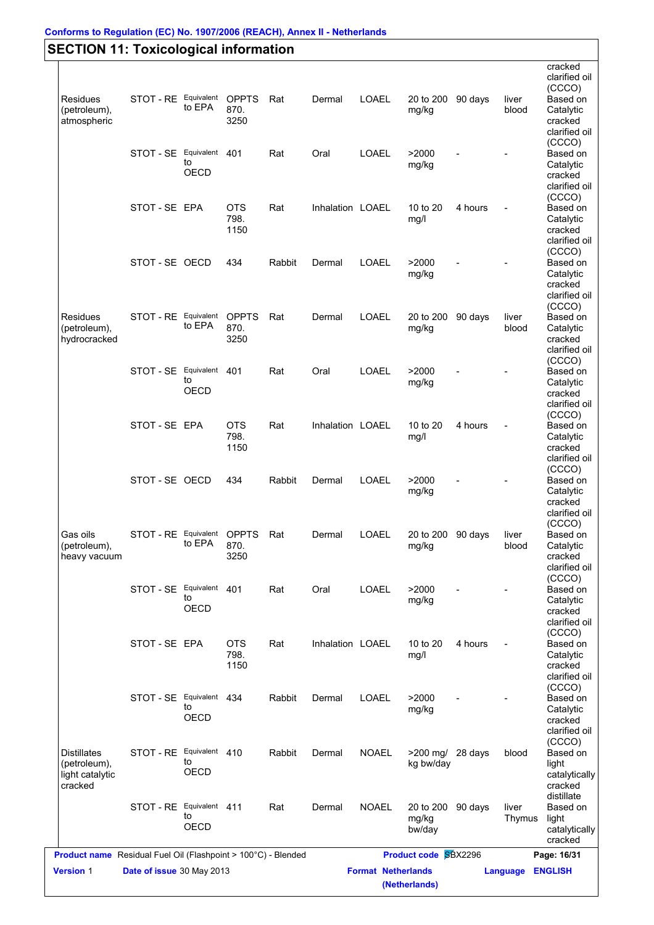|                                 |                          |             |                      |                                                                      |                  |              |                      |         |                | cracked               |
|---------------------------------|--------------------------|-------------|----------------------|----------------------------------------------------------------------|------------------|--------------|----------------------|---------|----------------|-----------------------|
|                                 |                          |             |                      |                                                                      |                  |              |                      |         |                | clarified oil         |
|                                 | STOT - RE Equivalent     |             | <b>OPPTS</b>         |                                                                      |                  |              |                      |         |                | (CCCO)                |
| <b>Residues</b><br>(petroleum), |                          | to EPA      | 870.                 | Rat                                                                  | Dermal           | LOAEL        | 20 to 200<br>mg/kg   | 90 days | liver<br>blood | Based on<br>Catalytic |
| atmospheric                     |                          |             | 3250                 |                                                                      |                  |              |                      |         |                | cracked               |
|                                 |                          |             |                      |                                                                      |                  |              |                      |         |                | clarified oil         |
|                                 |                          |             |                      |                                                                      |                  |              |                      |         |                | (CCCO)                |
|                                 | STOT - SE Equivalent 401 |             |                      | Rat                                                                  | Oral             | LOAEL        | >2000                |         |                | Based on              |
|                                 |                          | to          |                      |                                                                      |                  |              | mg/kg                |         |                | Catalytic             |
|                                 |                          | OECD        |                      |                                                                      |                  |              |                      |         |                | cracked               |
|                                 |                          |             |                      |                                                                      |                  |              |                      |         |                | clarified oil         |
|                                 |                          |             |                      |                                                                      |                  |              |                      |         |                |                       |
|                                 | STOT-SE EPA              |             | <b>OTS</b>           | Rat                                                                  | Inhalation LOAEL |              | 10 to 20             | 4 hours | $\blacksquare$ | (CCCO)<br>Based on    |
|                                 |                          |             | 798.                 |                                                                      |                  |              | mg/l                 |         |                | Catalytic             |
|                                 |                          |             | 1150                 |                                                                      |                  |              |                      |         |                | cracked               |
|                                 |                          |             |                      |                                                                      |                  |              |                      |         |                | clarified oil         |
|                                 |                          |             |                      |                                                                      |                  |              |                      |         |                | (CCCO)                |
|                                 | STOT-SE OECD             |             | 434                  | Rabbit                                                               | Dermal           | LOAEL        | >2000                |         |                | Based on              |
|                                 |                          |             |                      |                                                                      |                  |              | mg/kg                |         |                | Catalytic             |
|                                 |                          |             |                      |                                                                      |                  |              |                      |         |                | cracked               |
|                                 |                          |             |                      |                                                                      |                  |              |                      |         |                | clarified oil         |
|                                 |                          |             |                      |                                                                      |                  |              |                      |         |                |                       |
| Residues                        | STOT - RE Equivalent     |             | <b>OPPTS</b>         | Rat                                                                  | Dermal           | LOAEL        | 20 to 200            | 90 days | liver          | (CCCO)<br>Based on    |
| (petroleum),                    |                          | to EPA      | 870.                 |                                                                      |                  |              | mg/kg                |         | blood          | Catalytic             |
| hydrocracked                    |                          |             | 3250                 |                                                                      |                  |              |                      |         |                | cracked               |
|                                 |                          |             |                      |                                                                      |                  |              |                      |         |                | clarified oil         |
|                                 |                          |             |                      |                                                                      |                  |              |                      |         |                | (CCCO)                |
|                                 | STOT - SE Equivalent     |             | 401                  | Rat                                                                  | Oral             | LOAEL        | >2000                |         |                | Based on              |
|                                 |                          | to          |                      |                                                                      |                  |              | mg/kg                |         |                | Catalytic             |
|                                 |                          | OECD        |                      |                                                                      |                  |              |                      |         |                | cracked               |
|                                 |                          |             |                      |                                                                      |                  |              |                      |         |                | clarified oil         |
|                                 |                          |             |                      |                                                                      |                  |              |                      |         |                | (CCCO)                |
|                                 | STOT-SE EPA              |             | <b>OTS</b>           | Rat                                                                  | Inhalation LOAEL |              | 10 to 20             | 4 hours | $\blacksquare$ | Based on              |
|                                 |                          |             | 798.                 |                                                                      |                  |              |                      |         |                |                       |
|                                 |                          |             | 1150                 |                                                                      |                  |              | mg/l                 |         |                | Catalytic<br>cracked  |
|                                 |                          |             |                      |                                                                      |                  |              |                      |         |                | clarified oil         |
|                                 |                          |             |                      |                                                                      |                  |              |                      |         |                | (CCCO)                |
|                                 |                          |             |                      |                                                                      |                  |              |                      |         |                |                       |
|                                 | STOT-SE OECD             |             | 434                  | Rabbit                                                               | Dermal           | LOAEL        | >2000                |         |                | Based on              |
|                                 |                          |             |                      |                                                                      |                  |              | mg/kg                |         |                | Catalytic             |
|                                 |                          |             |                      |                                                                      |                  |              |                      |         |                | cracked               |
|                                 |                          |             |                      |                                                                      |                  |              |                      |         |                | clarified oil         |
|                                 |                          |             |                      |                                                                      |                  | LOAEL        |                      |         |                | (CCCO)                |
| Gas oils                        | STOT - RE Equivalent     | to EPA      | <b>OPPTS</b><br>870. | Rat                                                                  | Dermal           |              | 20 to 200 90 days    |         | liver          | Based on              |
| (petroleum),                    |                          |             |                      |                                                                      |                  |              | mg/kg                |         | blood          | Catalytic             |
| heavy vacuum                    |                          |             | 3250                 |                                                                      |                  |              |                      |         |                | cracked               |
|                                 |                          |             |                      |                                                                      |                  |              |                      |         |                | clarified oil         |
|                                 |                          |             |                      |                                                                      |                  |              |                      |         |                | (CCCO)                |
|                                 | STOT - SE Equivalent 401 | to          |                      | Rat                                                                  | Oral             | <b>LOAEL</b> | >2000                |         |                | Based on              |
|                                 |                          | <b>OECD</b> |                      |                                                                      |                  |              | mg/kg                |         |                | Catalytic             |
|                                 |                          |             |                      |                                                                      |                  |              |                      |         |                | cracked               |
|                                 |                          |             |                      |                                                                      |                  |              |                      |         |                | clarified oil         |
|                                 |                          |             |                      |                                                                      |                  |              |                      |         |                | (CCCO)                |
|                                 | STOT-SE EPA              |             | <b>OTS</b>           | Rat                                                                  | Inhalation LOAEL |              | 10 to 20             | 4 hours | $\blacksquare$ | Based on              |
|                                 |                          |             | 798.                 |                                                                      |                  |              | mg/l                 |         |                | Catalytic             |
|                                 |                          |             | 1150                 |                                                                      |                  |              |                      |         |                | cracked               |
|                                 |                          |             |                      |                                                                      |                  |              |                      |         |                | clarified oil         |
|                                 |                          |             |                      |                                                                      |                  |              |                      |         |                | (CCCO)                |
|                                 | STOT - SE Equivalent 434 | to          |                      | Rabbit                                                               | Dermal           | <b>LOAEL</b> | >2000                |         |                | Based on              |
|                                 |                          | OECD        |                      |                                                                      |                  |              | mg/kg                |         |                | Catalytic             |
|                                 |                          |             |                      |                                                                      |                  |              |                      |         |                | cracked               |
|                                 |                          |             |                      |                                                                      |                  |              |                      |         |                | clarified oil         |
|                                 |                          |             |                      |                                                                      |                  |              |                      |         |                | (CCCO)                |
| <b>Distillates</b>              | STOT - RE Equivalent 410 |             |                      | Rabbit                                                               | Dermal           | <b>NOAEL</b> | $>200$ mg/           | 28 days | blood          | Based on              |
| (petroleum),                    |                          | to          |                      |                                                                      |                  |              | kg bw/day            |         |                | light                 |
| light catalytic                 |                          | OECD        |                      |                                                                      |                  |              |                      |         |                | catalytically         |
| cracked                         |                          |             |                      |                                                                      |                  |              |                      |         |                | cracked               |
|                                 |                          |             |                      |                                                                      |                  |              |                      |         |                | distillate            |
|                                 | STOT - RE Equivalent 411 |             |                      | Rat                                                                  | Dermal           | <b>NOAEL</b> | 20 to 200            | 90 days | liver          | Based on              |
|                                 |                          | to          |                      |                                                                      |                  |              | mg/kg                |         | Thymus         | light                 |
|                                 |                          | <b>OECD</b> |                      |                                                                      |                  |              | bw/day               |         |                | catalytically         |
|                                 |                          |             |                      |                                                                      |                  |              |                      |         |                | cracked               |
|                                 |                          |             |                      | <b>Product name</b> Residual Fuel Oil (Flashpoint > 100°C) - Blended |                  |              | Product code SBX2296 |         |                | Page: 16/31           |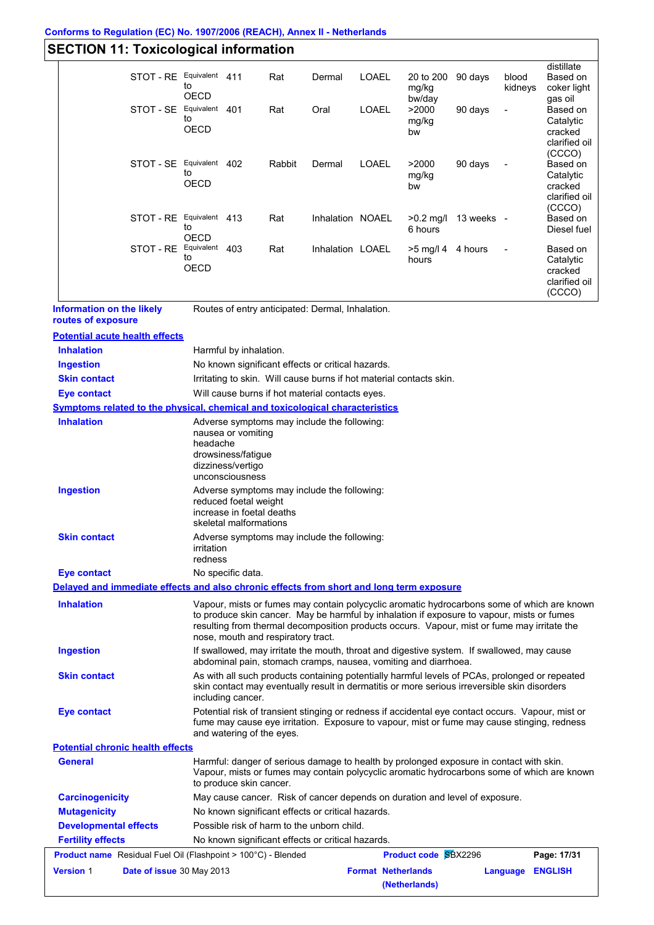#### **Conforms to Regulation (EC) No. 1907/2006 (REACH), Annex II - Netherlands**

# **SECTION 11: Toxicological information**

|                                                                                          | STOT - RE Equivalent 411  | to                        |                                                                                  | Rat                                | Dermal                                            | LOAEL        | 20 to 200<br>mg/kg                                                                                                                                                                                                                                                                       | 90 days                | blood<br>kidneys         | distillate<br>Based on<br>coker light                        |
|------------------------------------------------------------------------------------------|---------------------------|---------------------------|----------------------------------------------------------------------------------|------------------------------------|---------------------------------------------------|--------------|------------------------------------------------------------------------------------------------------------------------------------------------------------------------------------------------------------------------------------------------------------------------------------------|------------------------|--------------------------|--------------------------------------------------------------|
|                                                                                          | STOT - SE Equivalent 401  | OECD<br>to<br><b>OECD</b> |                                                                                  | Rat                                | Oral                                              | LOAEL        | bw/day<br>>2000<br>mg/kg<br>bw                                                                                                                                                                                                                                                           | 90 days                |                          | gas oil<br>Based on<br>Catalytic<br>cracked<br>clarified oil |
|                                                                                          | STOT - SE Equivalent 402  | to<br><b>OECD</b>         |                                                                                  | Rabbit                             | Dermal                                            | <b>LOAEL</b> | >2000<br>mg/kg<br>bw                                                                                                                                                                                                                                                                     | 90 days                |                          | (CCCO)<br>Based on<br>Catalytic<br>cracked<br>clarified oil  |
|                                                                                          | STOT - RE Equivalent 413  | to<br>OECD                |                                                                                  | Rat                                | Inhalation NOAEL                                  |              | 6 hours                                                                                                                                                                                                                                                                                  | $>0.2$ mg/l 13 weeks - |                          | (CCCO)<br>Based on<br>Diesel fuel                            |
|                                                                                          | STOT - RE Equivalent 403  | to<br>OECD                |                                                                                  | Rat                                | Inhalation LOAEL                                  |              | >5 mg/l 4<br>hours                                                                                                                                                                                                                                                                       | 4 hours                | $\overline{\phantom{a}}$ | Based on<br>Catalytic<br>cracked<br>clarified oil<br>(CCCO)  |
| <b>Information on the likely</b><br>routes of exposure                                   |                           |                           |                                                                                  |                                    | Routes of entry anticipated: Dermal, Inhalation.  |              |                                                                                                                                                                                                                                                                                          |                        |                          |                                                              |
| <b>Potential acute health effects</b>                                                    |                           |                           |                                                                                  |                                    |                                                   |              |                                                                                                                                                                                                                                                                                          |                        |                          |                                                              |
| <b>Inhalation</b>                                                                        |                           |                           | Harmful by inhalation.                                                           |                                    |                                                   |              |                                                                                                                                                                                                                                                                                          |                        |                          |                                                              |
| <b>Ingestion</b>                                                                         |                           |                           |                                                                                  |                                    | No known significant effects or critical hazards. |              |                                                                                                                                                                                                                                                                                          |                        |                          |                                                              |
| <b>Skin contact</b>                                                                      |                           |                           |                                                                                  |                                    |                                                   |              | Irritating to skin. Will cause burns if hot material contacts skin.                                                                                                                                                                                                                      |                        |                          |                                                              |
| <b>Eye contact</b>                                                                       |                           |                           |                                                                                  |                                    | Will cause burns if hot material contacts eyes.   |              |                                                                                                                                                                                                                                                                                          |                        |                          |                                                              |
| <b>Symptoms related to the physical, chemical and toxicological characteristics</b>      |                           |                           |                                                                                  |                                    |                                                   |              |                                                                                                                                                                                                                                                                                          |                        |                          |                                                              |
|                                                                                          |                           | headache                  | nausea or vomiting<br>drowsiness/fatigue<br>dizziness/vertigo<br>unconsciousness |                                    | Adverse symptoms may include the following:       |              |                                                                                                                                                                                                                                                                                          |                        |                          |                                                              |
| <b>Ingestion</b>                                                                         |                           |                           | reduced foetal weight<br>increase in foetal deaths<br>skeletal malformations     |                                    | Adverse symptoms may include the following:       |              |                                                                                                                                                                                                                                                                                          |                        |                          |                                                              |
| <b>Skin contact</b>                                                                      |                           | irritation<br>redness     |                                                                                  |                                    | Adverse symptoms may include the following:       |              |                                                                                                                                                                                                                                                                                          |                        |                          |                                                              |
| <b>Eye contact</b>                                                                       |                           |                           | No specific data.                                                                |                                    |                                                   |              |                                                                                                                                                                                                                                                                                          |                        |                          |                                                              |
| Delayed and immediate effects and also chronic effects from short and long term exposure |                           |                           |                                                                                  |                                    |                                                   |              |                                                                                                                                                                                                                                                                                          |                        |                          |                                                              |
| <b>Inhalation</b>                                                                        |                           |                           |                                                                                  | nose, mouth and respiratory tract. |                                                   |              | Vapour, mists or fumes may contain polycyclic aromatic hydrocarbons some of which are known<br>to produce skin cancer. May be harmful by inhalation if exposure to vapour, mists or fumes<br>resulting from thermal decomposition products occurs. Vapour, mist or fume may irritate the |                        |                          |                                                              |
| <b>Ingestion</b>                                                                         |                           |                           |                                                                                  |                                    |                                                   |              | If swallowed, may irritate the mouth, throat and digestive system. If swallowed, may cause<br>abdominal pain, stomach cramps, nausea, vomiting and diarrhoea.                                                                                                                            |                        |                          |                                                              |
| <b>Skin contact</b>                                                                      |                           |                           | including cancer.                                                                |                                    |                                                   |              | As with all such products containing potentially harmful levels of PCAs, prolonged or repeated<br>skin contact may eventually result in dermatitis or more serious irreversible skin disorders                                                                                           |                        |                          |                                                              |
| <b>Eye contact</b>                                                                       |                           |                           | and watering of the eyes.                                                        |                                    |                                                   |              | Potential risk of transient stinging or redness if accidental eye contact occurs. Vapour, mist or<br>fume may cause eye irritation. Exposure to vapour, mist or fume may cause stinging, redness                                                                                         |                        |                          |                                                              |
| <b>Potential chronic health effects</b>                                                  |                           |                           |                                                                                  |                                    |                                                   |              |                                                                                                                                                                                                                                                                                          |                        |                          |                                                              |
| <b>General</b>                                                                           |                           |                           | to produce skin cancer.                                                          |                                    |                                                   |              | Harmful: danger of serious damage to health by prolonged exposure in contact with skin.<br>Vapour, mists or fumes may contain polycyclic aromatic hydrocarbons some of which are known                                                                                                   |                        |                          |                                                              |
| <b>Carcinogenicity</b>                                                                   |                           |                           |                                                                                  |                                    |                                                   |              | May cause cancer. Risk of cancer depends on duration and level of exposure.                                                                                                                                                                                                              |                        |                          |                                                              |
| <b>Mutagenicity</b>                                                                      |                           |                           |                                                                                  |                                    | No known significant effects or critical hazards. |              |                                                                                                                                                                                                                                                                                          |                        |                          |                                                              |
| <b>Developmental effects</b>                                                             |                           |                           |                                                                                  |                                    | Possible risk of harm to the unborn child.        |              |                                                                                                                                                                                                                                                                                          |                        |                          |                                                              |
| <b>Fertility effects</b>                                                                 |                           |                           |                                                                                  |                                    | No known significant effects or critical hazards. |              |                                                                                                                                                                                                                                                                                          |                        |                          |                                                              |
| <b>Product name</b> Residual Fuel Oil (Flashpoint > 100°C) - Blended                     |                           |                           |                                                                                  |                                    |                                                   |              | <b>Product code SBX2296</b>                                                                                                                                                                                                                                                              |                        |                          | Page: 17/31                                                  |
| <b>Version 1</b>                                                                         | Date of issue 30 May 2013 |                           |                                                                                  |                                    |                                                   |              | <b>Format Netherlands</b>                                                                                                                                                                                                                                                                |                        | Language ENGLISH         |                                                              |

**(Netherlands)**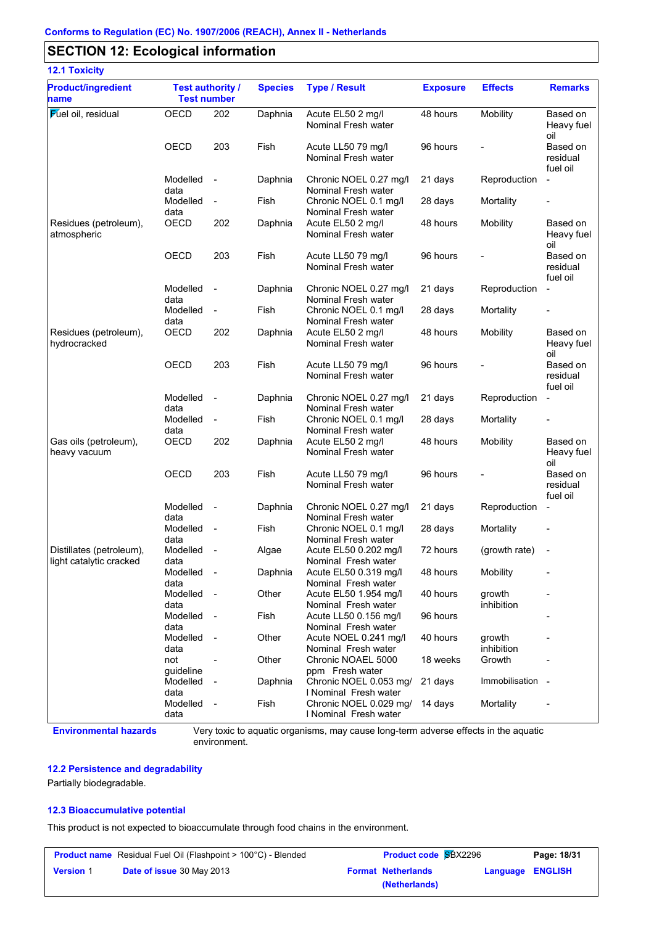# **SECTION 12: Ecological information**

| <b>12.1 Toxicity</b>                                |                                               |                          |                |                                                 |                 |                      |                                  |
|-----------------------------------------------------|-----------------------------------------------|--------------------------|----------------|-------------------------------------------------|-----------------|----------------------|----------------------------------|
| <b>Product/ingredient</b><br>name                   | <b>Test authority /</b><br><b>Test number</b> |                          | <b>Species</b> | <b>Type / Result</b>                            | <b>Exposure</b> | <b>Effects</b>       | <b>Remarks</b>                   |
| <b>Fuel oil</b> , residual                          | OECD                                          | 202                      | Daphnia        | Acute EL50 2 mg/l<br>Nominal Fresh water        | 48 hours        | Mobility             | Based on<br>Heavy fuel<br>oil    |
|                                                     | <b>OECD</b>                                   | 203                      | Fish           | Acute LL50 79 mg/l<br>Nominal Fresh water       | 96 hours        |                      | Based on<br>residual<br>fuel oil |
|                                                     | Modelled<br>data                              | $\sim$                   | Daphnia        | Chronic NOEL 0.27 mg/l<br>Nominal Fresh water   | 21 days         | Reproduction         | $\blacksquare$                   |
|                                                     | Modelled<br>data                              | $\overline{\phantom{a}}$ | Fish           | Chronic NOEL 0.1 mg/l<br>Nominal Fresh water    | 28 days         | Mortality            | -                                |
| Residues (petroleum),<br>atmospheric                | OECD                                          | 202                      | Daphnia        | Acute EL50 2 mg/l<br>Nominal Fresh water        | 48 hours        | Mobility             | Based on<br>Heavy fuel<br>oil    |
|                                                     | <b>OECD</b>                                   | 203                      | Fish           | Acute LL50 79 mg/l<br>Nominal Fresh water       | 96 hours        |                      | Based on<br>residual<br>fuel oil |
|                                                     | Modelled<br>data                              | $\sim$                   | Daphnia        | Chronic NOEL 0.27 mg/l<br>Nominal Fresh water   | 21 days         | Reproduction         | $\blacksquare$                   |
|                                                     | Modelled<br>data                              | $\blacksquare$           | Fish           | Chronic NOEL 0.1 mg/l<br>Nominal Fresh water    | 28 days         | Mortality            |                                  |
| Residues (petroleum),<br>hydrocracked               | <b>OECD</b>                                   | 202                      | Daphnia        | Acute EL50 2 mg/l<br>Nominal Fresh water        | 48 hours        | Mobility             | Based on<br>Heavy fuel<br>oil    |
|                                                     | OECD                                          | 203                      | Fish           | Acute LL50 79 mg/l<br>Nominal Fresh water       | 96 hours        |                      | Based on<br>residual<br>fuel oil |
|                                                     | Modelled<br>data                              | $\sim$                   | Daphnia        | Chronic NOEL 0.27 mg/l<br>Nominal Fresh water   | 21 days         | Reproduction         | $\blacksquare$                   |
|                                                     | Modelled<br>data                              | $\blacksquare$           | Fish           | Chronic NOEL 0.1 mg/l<br>Nominal Fresh water    | 28 days         | Mortality            |                                  |
| Gas oils (petroleum),<br>heavy vacuum               | <b>OECD</b>                                   | 202                      | Daphnia        | Acute EL50 2 mg/l<br>Nominal Fresh water        | 48 hours        | Mobility             | Based on<br>Heavy fuel<br>oil    |
|                                                     | <b>OECD</b>                                   | 203                      | Fish           | Acute LL50 79 mg/l<br>Nominal Fresh water       | 96 hours        |                      | Based on<br>residual<br>fuel oil |
|                                                     | Modelled<br>data                              | $\overline{\phantom{a}}$ | Daphnia        | Chronic NOEL 0.27 mg/l<br>Nominal Fresh water   | 21 days         | Reproduction         | $\blacksquare$                   |
|                                                     | Modelled<br>data                              | $\sim$                   | Fish           | Chronic NOEL 0.1 mg/l<br>Nominal Fresh water    | 28 days         | Mortality            |                                  |
| Distillates (petroleum),<br>light catalytic cracked | Modelled<br>data                              | $\overline{\phantom{a}}$ | Algae          | Acute EL50 0.202 mg/l<br>Nominal Fresh water    | 72 hours        | (growth rate)        |                                  |
|                                                     | Modelled<br>data                              | $\overline{\phantom{a}}$ | Daphnia        | Acute EL50 0.319 mg/l<br>Nominal Fresh water    | 48 hours        | Mobility             |                                  |
|                                                     | Modelled<br>data                              | $\sim$                   | Other          | Acute EL50 1.954 mg/l<br>Nominal Fresh water    | 40 hours        | growth<br>inhibition |                                  |
|                                                     | Modelled<br>data                              | $\sim$                   | Fish           | Acute LL50 0.156 mg/l<br>Nominal Fresh water    | 96 hours        |                      |                                  |
|                                                     | Modelled<br>data                              | $\sim$                   | Other          | Acute NOEL 0.241 mg/l<br>Nominal Fresh water    | 40 hours        | growth<br>inhibition |                                  |
|                                                     | not<br>quideline                              | $\blacksquare$           | Other          | Chronic NOAEL 5000<br>ppm Fresh water           | 18 weeks        | Growth               |                                  |
|                                                     | Modelled<br>data                              | $\sim$                   | Daphnia        | Chronic NOEL 0.053 mg/<br>I Nominal Fresh water | 21 days         | Immobilisation -     |                                  |
|                                                     | Modelled<br>data                              | $\sim$                   | Fish           | Chronic NOEL 0.029 mg/<br>I Nominal Fresh water | 14 days         | Mortality            |                                  |

**Environmental hazards** Very toxic to aquatic organisms, may cause long-term adverse effects in the aquatic environment.

### **12.2 Persistence and degradability**

Partially biodegradable.

#### **12.3 Bioaccumulative potential**

This product is not expected to bioaccumulate through food chains in the environment.

|                  | <b>Product name</b> Residual Fuel Oil (Flashpoint > 100°C) - Blended | <b>Product code SBX2296</b> | Page: 18/31               |                  |  |
|------------------|----------------------------------------------------------------------|-----------------------------|---------------------------|------------------|--|
| <b>Version 1</b> | <b>Date of issue 30 May 2013</b>                                     |                             | <b>Format Netherlands</b> | Language ENGLISH |  |
|                  |                                                                      |                             | (Netherlands)             |                  |  |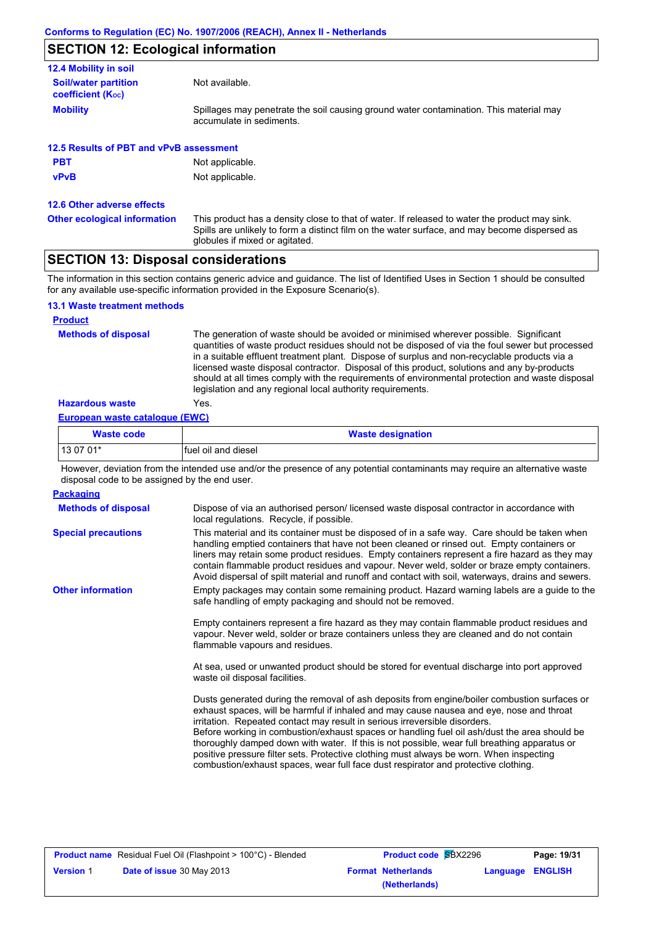# **SECTION 12: Ecological information**

| <b>Soil/water partition</b><br>Not available.<br><b>coefficient (Koc)</b><br><b>Mobility</b><br>Spillages may penetrate the soil causing ground water contamination. This material may |  |
|----------------------------------------------------------------------------------------------------------------------------------------------------------------------------------------|--|
|                                                                                                                                                                                        |  |
| accumulate in sediments.                                                                                                                                                               |  |
| 12.5 Results of PBT and vPvB assessment                                                                                                                                                |  |
| <b>PBT</b><br>Not applicable.                                                                                                                                                          |  |
| Not applicable.<br><b>vPvB</b>                                                                                                                                                         |  |

**12.6 Other adverse effects**

This product has a density close to that of water. If released to water the product may sink. Spills are unlikely to form a distinct film on the water surface, and may become dispersed as globules if mixed or agitated. **Other ecological information**

# **SECTION 13: Disposal considerations**

The information in this section contains generic advice and guidance. The list of Identified Uses in Section 1 should be consulted for any available use-specific information provided in the Exposure Scenario(s).

#### **13.1 Waste treatment methods**

#### **Product**

**Methods of disposal**

The generation of waste should be avoided or minimised wherever possible. Significant quantities of waste product residues should not be disposed of via the foul sewer but processed in a suitable effluent treatment plant. Dispose of surplus and non-recyclable products via a licensed waste disposal contractor. Disposal of this product, solutions and any by-products should at all times comply with the requirements of environmental protection and waste disposal legislation and any regional local authority requirements.

#### **Hazardous waste** Yes.

#### **European waste catalogue (EWC)**

| <b>Waste code</b> | <b>Waste designation</b> |
|-------------------|--------------------------|
| 13 07 01*         | Ifuel oil and diesel     |

However, deviation from the intended use and/or the presence of any potential contaminants may require an alternative waste disposal code to be assigned by the end user.

| Dispose of via an authorised person/licensed waste disposal contractor in accordance with<br>local regulations. Recycle, if possible.                                                                                                                                                                                                                                                                                                                                                                                                                                                                                                                   |
|---------------------------------------------------------------------------------------------------------------------------------------------------------------------------------------------------------------------------------------------------------------------------------------------------------------------------------------------------------------------------------------------------------------------------------------------------------------------------------------------------------------------------------------------------------------------------------------------------------------------------------------------------------|
| This material and its container must be disposed of in a safe way. Care should be taken when<br>handling emptied containers that have not been cleaned or rinsed out. Empty containers or<br>liners may retain some product residues. Empty containers represent a fire hazard as they may<br>contain flammable product residues and vapour. Never weld, solder or braze empty containers.<br>Avoid dispersal of spilt material and runoff and contact with soil, waterways, drains and sewers.                                                                                                                                                         |
| Empty packages may contain some remaining product. Hazard warning labels are a guide to the<br>safe handling of empty packaging and should not be removed.                                                                                                                                                                                                                                                                                                                                                                                                                                                                                              |
| Empty containers represent a fire hazard as they may contain flammable product residues and<br>vapour. Never weld, solder or braze containers unless they are cleaned and do not contain<br>flammable vapours and residues.                                                                                                                                                                                                                                                                                                                                                                                                                             |
| At sea, used or unwanted product should be stored for eventual discharge into port approved<br>waste oil disposal facilities.                                                                                                                                                                                                                                                                                                                                                                                                                                                                                                                           |
| Dusts generated during the removal of ash deposits from engine/boiler combustion surfaces or<br>exhaust spaces, will be harmful if inhaled and may cause nausea and eye, nose and throat<br>irritation. Repeated contact may result in serious irreversible disorders.<br>Before working in combustion/exhaust spaces or handling fuel oil ash/dust the area should be<br>thoroughly damped down with water. If this is not possible, wear full breathing apparatus or<br>positive pressure filter sets. Protective clothing must always be worn. When inspecting<br>combustion/exhaust spaces, wear full face dust respirator and protective clothing. |
|                                                                                                                                                                                                                                                                                                                                                                                                                                                                                                                                                                                                                                                         |

|                  | <b>Product name</b> Residual Fuel Oil (Flashpoint > 100°C) - Blended |
|------------------|----------------------------------------------------------------------|
| <b>Version 1</b> | <b>Date of issue 30 May 2013</b>                                     |

| Residual Fuel Oil (Flashpoint > 100°C) - Blended | <b>Product code SBX2296</b> | Page: 19/31             |
|--------------------------------------------------|-----------------------------|-------------------------|
| <b>Date of issue 30 May 2013</b>                 | <b>Format Netherlands</b>   | <b>Language ENGLISH</b> |
|                                                  | (Netherlands)               |                         |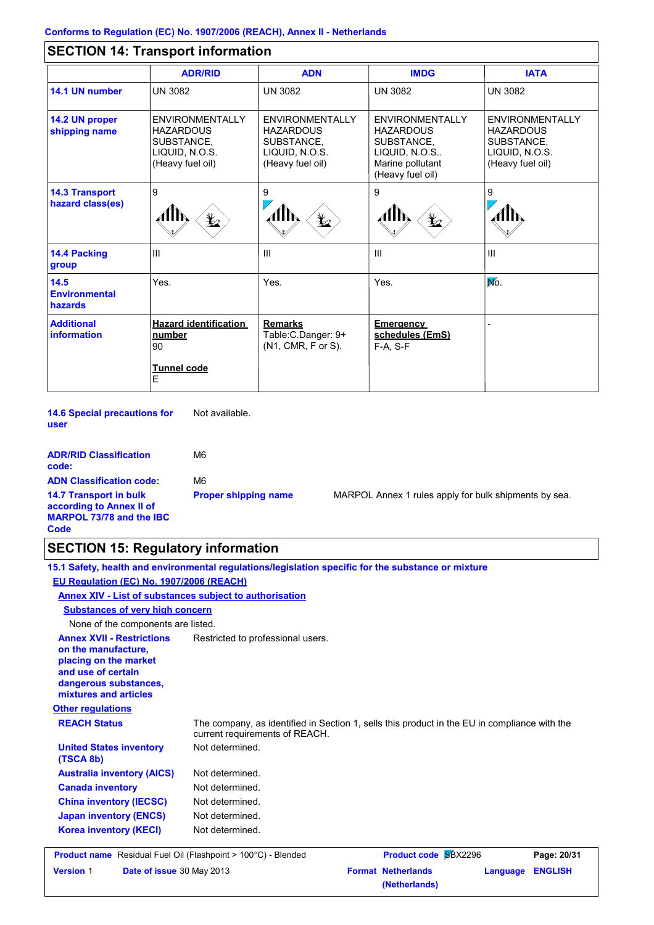# **SECTION 14: Transport information**

|                                           | <b>ADR/RID</b>                                                                                 | <b>ADN</b>                                                                              | <b>IMDG</b>                                                                                                       | <b>IATA</b>                                                                             |
|-------------------------------------------|------------------------------------------------------------------------------------------------|-----------------------------------------------------------------------------------------|-------------------------------------------------------------------------------------------------------------------|-----------------------------------------------------------------------------------------|
| 14.1 UN number                            | <b>UN 3082</b>                                                                                 | <b>UN 3082</b>                                                                          | <b>UN 3082</b>                                                                                                    | <b>UN 3082</b>                                                                          |
| 14.2 UN proper<br>shipping name           | <b>ENVIRONMENTALLY</b><br><b>HAZARDOUS</b><br>SUBSTANCE,<br>LIQUID, N.O.S.<br>(Heavy fuel oil) | ENVIRONMENTALLY<br><b>HAZARDOUS</b><br>SUBSTANCE,<br>LIQUID, N.O.S.<br>(Heavy fuel oil) | <b>ENVIRONMENTALLY</b><br><b>HAZARDOUS</b><br>SUBSTANCE,<br>LIQUID, N.O.S<br>Marine pollutant<br>(Heavy fuel oil) | ENVIRONMENTALLY<br><b>HAZARDOUS</b><br>SUBSTANCE,<br>LIQUID, N.O.S.<br>(Heavy fuel oil) |
| <b>14.3 Transport</b><br>hazard class(es) | $\overline{9}$<br>AHN,<br>$\frac{1}{2}$                                                        | 9<br>迄                                                                                  | 9<br>$\bigstar$                                                                                                   | 9                                                                                       |
| 14.4 Packing<br>group                     | IШ                                                                                             | $\mathbf{III}$                                                                          | $\mathbf{III}$                                                                                                    | Ш                                                                                       |
| $14.5$<br><b>Environmental</b><br>hazards | Yes.                                                                                           | Yes.                                                                                    | Yes.                                                                                                              | No.                                                                                     |
| <b>Additional</b><br>information          | <b>Hazard identification</b><br>number<br>90<br>Tunnel code                                    | <b>Remarks</b><br>Table: C. Danger: 9+<br>(N1, CMR, F or S).                            | <b>Emergency</b><br>schedules (EmS)<br>$F-A. S-F$                                                                 |                                                                                         |
|                                           | E                                                                                              |                                                                                         |                                                                                                                   |                                                                                         |

**14.6 Special precautions for user** Not available.

| <b>ADR/RID Classification</b><br>code:                                                               | M6                          |
|------------------------------------------------------------------------------------------------------|-----------------------------|
| <b>ADN Classification code:</b>                                                                      | M6                          |
| <b>14.7 Transport in bulk</b><br>according to Annex II of<br><b>MARPOL 73/78 and the IBC</b><br>Code | <b>Proper shipping name</b> |

**MARPOL Annex 1 rules apply for bulk shipments by sea.** 

# **SECTION 15: Regulatory information**

|                                                                                                                                                          | 15.1 Safety, health and environmental regulations/legislation specific for the substance or mixture                            |
|----------------------------------------------------------------------------------------------------------------------------------------------------------|--------------------------------------------------------------------------------------------------------------------------------|
| EU Regulation (EC) No. 1907/2006 (REACH)                                                                                                                 |                                                                                                                                |
| Annex XIV - List of substances subject to authorisation                                                                                                  |                                                                                                                                |
| <b>Substances of very high concern</b>                                                                                                                   |                                                                                                                                |
| None of the components are listed.                                                                                                                       |                                                                                                                                |
| <b>Annex XVII - Restrictions</b><br>on the manufacture,<br>placing on the market<br>and use of certain<br>dangerous substances,<br>mixtures and articles | Restricted to professional users.                                                                                              |
| <b>Other regulations</b>                                                                                                                                 |                                                                                                                                |
| <b>REACH Status</b>                                                                                                                                      | The company, as identified in Section 1, sells this product in the EU in compliance with the<br>current requirements of REACH. |
| <b>United States inventory</b><br>(TSCA 8b)                                                                                                              | Not determined.                                                                                                                |
| <b>Australia inventory (AICS)</b>                                                                                                                        | Not determined.                                                                                                                |
| <b>Canada inventory</b>                                                                                                                                  | Not determined.                                                                                                                |
| <b>China inventory (IECSC)</b>                                                                                                                           | Not determined.                                                                                                                |
| <b>Japan inventory (ENCS)</b>                                                                                                                            | Not determined.                                                                                                                |
| <b>Korea inventory (KECI)</b>                                                                                                                            | Not determined.                                                                                                                |
| <b>Product name</b> Residual Fuel Oil (Flashpoint > 100°C) - Blended                                                                                     | <b>Product code SBX2296</b><br>Page: 20/31                                                                                     |
| <b>Version 1</b><br>Date of issue 30 May 2013                                                                                                            | <b>Format Netherlands</b><br><b>ENGLISH</b><br>Language<br>(Netherlands)                                                       |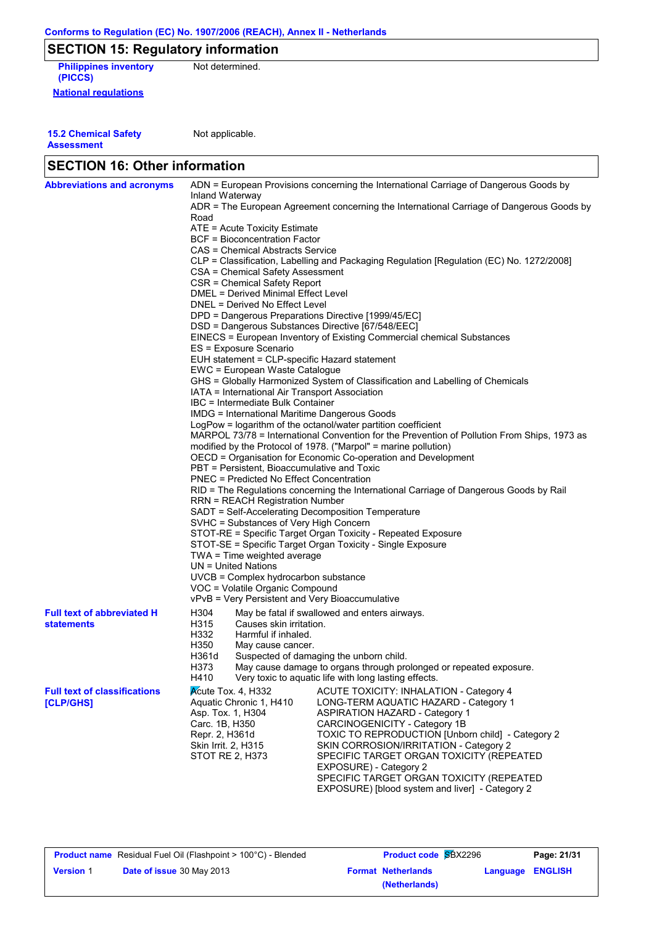# **SECTION 15: Regulatory information**

**National regulations Philippines inventory** Not determined. **(PICCS)**

**15.2 Chemical Safety Assessment**

Not applicable.

| <b>SECTION 16: Other information</b> |                                                                                                          |                                                                                          |  |  |  |
|--------------------------------------|----------------------------------------------------------------------------------------------------------|------------------------------------------------------------------------------------------|--|--|--|
| <b>Abbreviations and acronyms</b>    | ADN = European Provisions concerning the International Carriage of Dangerous Goods by<br>Inland Waterway |                                                                                          |  |  |  |
|                                      | Road                                                                                                     | ADR = The European Agreement concerning the International Carriage of Dangerous Goods by |  |  |  |
|                                      | ATE = Acute Toxicity Estimate                                                                            |                                                                                          |  |  |  |
|                                      | BCF = Bioconcentration Factor                                                                            |                                                                                          |  |  |  |
|                                      | CAS = Chemical Abstracts Service                                                                         |                                                                                          |  |  |  |
|                                      | CLP = Classification, Labelling and Packaging Regulation [Regulation (EC) No. 1272/2008]                 |                                                                                          |  |  |  |
|                                      | CSA = Chemical Safety Assessment                                                                         |                                                                                          |  |  |  |
|                                      | CSR = Chemical Safety Report                                                                             |                                                                                          |  |  |  |
|                                      | <b>DMEL = Derived Minimal Effect Level</b>                                                               |                                                                                          |  |  |  |
|                                      | DNEL = Derived No Effect Level                                                                           |                                                                                          |  |  |  |
|                                      | DPD = Dangerous Preparations Directive [1999/45/EC]                                                      |                                                                                          |  |  |  |
|                                      | DSD = Dangerous Substances Directive [67/548/EEC]                                                        |                                                                                          |  |  |  |
|                                      |                                                                                                          | EINECS = European Inventory of Existing Commercial chemical Substances                   |  |  |  |
|                                      | ES = Exposure Scenario                                                                                   |                                                                                          |  |  |  |
|                                      | EUH statement = CLP-specific Hazard statement                                                            |                                                                                          |  |  |  |
|                                      | EWC = European Waste Catalogue                                                                           |                                                                                          |  |  |  |
|                                      |                                                                                                          | GHS = Globally Harmonized System of Classification and Labelling of Chemicals            |  |  |  |
|                                      | IATA = International Air Transport Association                                                           |                                                                                          |  |  |  |
|                                      | IBC = Intermediate Bulk Container                                                                        |                                                                                          |  |  |  |
|                                      | IMDG = International Maritime Dangerous Goods                                                            |                                                                                          |  |  |  |
|                                      | LogPow = logarithm of the octanol/water partition coefficient                                            |                                                                                          |  |  |  |
|                                      | MARPOL 73/78 = International Convention for the Prevention of Pollution From Ships, 1973 as              |                                                                                          |  |  |  |
|                                      | modified by the Protocol of 1978. ("Marpol" = marine pollution)                                          |                                                                                          |  |  |  |
|                                      | OECD = Organisation for Economic Co-operation and Development                                            |                                                                                          |  |  |  |
|                                      | PBT = Persistent, Bioaccumulative and Toxic<br><b>PNEC = Predicted No Effect Concentration</b>           |                                                                                          |  |  |  |
|                                      | RID = The Regulations concerning the International Carriage of Dangerous Goods by Rail                   |                                                                                          |  |  |  |
|                                      | <b>RRN = REACH Registration Number</b>                                                                   |                                                                                          |  |  |  |
|                                      | SADT = Self-Accelerating Decomposition Temperature                                                       |                                                                                          |  |  |  |
|                                      | SVHC = Substances of Very High Concern                                                                   |                                                                                          |  |  |  |
|                                      | STOT-RE = Specific Target Organ Toxicity - Repeated Exposure                                             |                                                                                          |  |  |  |
|                                      | STOT-SE = Specific Target Organ Toxicity - Single Exposure                                               |                                                                                          |  |  |  |
|                                      | TWA = Time weighted average                                                                              |                                                                                          |  |  |  |
|                                      | $UN = United Nations$                                                                                    |                                                                                          |  |  |  |
|                                      | UVCB = Complex hydrocarbon substance                                                                     |                                                                                          |  |  |  |
|                                      | VOC = Volatile Organic Compound                                                                          |                                                                                          |  |  |  |
|                                      | vPvB = Very Persistent and Very Bioaccumulative                                                          |                                                                                          |  |  |  |
| <b>Full text of abbreviated H</b>    | H304                                                                                                     | May be fatal if swallowed and enters airways.                                            |  |  |  |
| <b>statements</b>                    | H315<br>Causes skin irritation.                                                                          |                                                                                          |  |  |  |
|                                      | H332<br>Harmful if inhaled.                                                                              |                                                                                          |  |  |  |
|                                      | H350<br>May cause cancer.                                                                                |                                                                                          |  |  |  |
|                                      | H361d                                                                                                    | Suspected of damaging the unborn child.                                                  |  |  |  |
|                                      | H373                                                                                                     | May cause damage to organs through prolonged or repeated exposure.                       |  |  |  |
|                                      | H410                                                                                                     | Very toxic to aquatic life with long lasting effects.                                    |  |  |  |
| <b>Full text of classifications</b>  | $\lambda$ Cute Tox. 4, H332                                                                              | <b>ACUTE TOXICITY: INHALATION - Category 4</b>                                           |  |  |  |
| [CLP/GHS]                            | Aquatic Chronic 1, H410                                                                                  | LONG-TERM AQUATIC HAZARD - Category 1                                                    |  |  |  |
|                                      | Asp. Tox. 1, H304                                                                                        | <b>ASPIRATION HAZARD - Category 1</b>                                                    |  |  |  |
|                                      | Carc. 1B, H350                                                                                           | CARCINOGENICITY - Category 1B                                                            |  |  |  |
|                                      | Repr. 2, H361d                                                                                           | TOXIC TO REPRODUCTION [Unborn child] - Category 2                                        |  |  |  |
|                                      | Skin Irrit. 2, H315                                                                                      | SKIN CORROSION/IRRITATION - Category 2                                                   |  |  |  |
|                                      | STOT RE 2, H373                                                                                          | SPECIFIC TARGET ORGAN TOXICITY (REPEATED                                                 |  |  |  |
|                                      |                                                                                                          | EXPOSURE) - Category 2                                                                   |  |  |  |
|                                      |                                                                                                          | SPECIFIC TARGET ORGAN TOXICITY (REPEATED                                                 |  |  |  |
|                                      |                                                                                                          | EXPOSURE) [blood system and liver] - Category 2                                          |  |  |  |

|                  | <b>Product name</b> Residual Fuel Oil (Flashpoint > 100°C) - Blended | <b>Product code SBX2296</b> |                  | Page: 21/31 |
|------------------|----------------------------------------------------------------------|-----------------------------|------------------|-------------|
| <b>Version 1</b> | <b>Date of issue</b> 30 May 2013                                     | <b>Format Netherlands</b>   | Language ENGLISH |             |
|                  |                                                                      | (Netherlands)               |                  |             |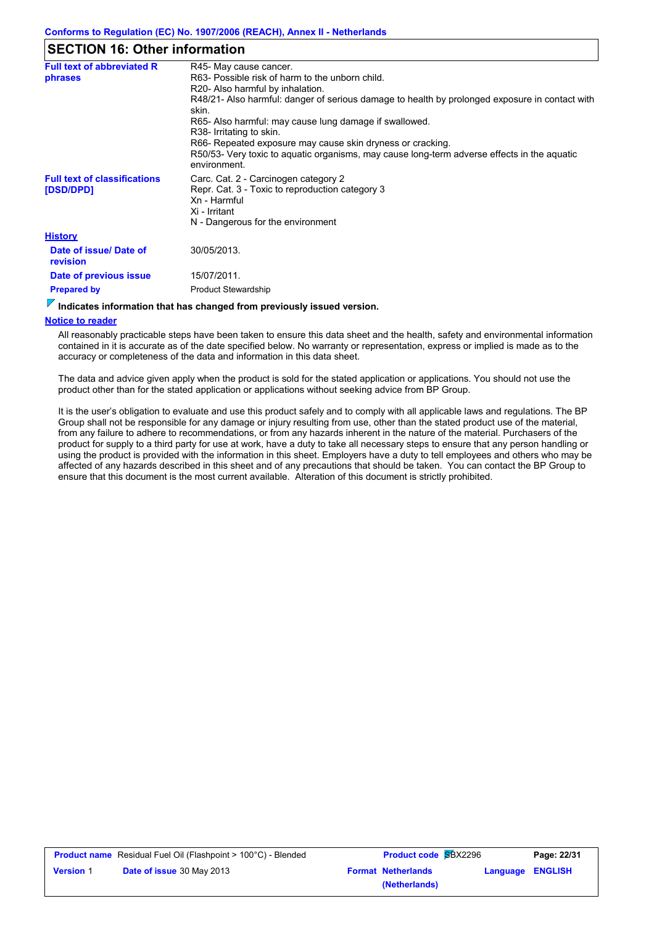### **SECTION 16: Other information**

| <b>Full text of abbreviated R</b>                | R45- May cause cancer.                                                                                                   |
|--------------------------------------------------|--------------------------------------------------------------------------------------------------------------------------|
| phrases                                          | R63- Possible risk of harm to the unborn child.                                                                          |
|                                                  | R20- Also harmful by inhalation.                                                                                         |
|                                                  | R48/21- Also harmful: danger of serious damage to health by prolonged exposure in contact with<br>skin.                  |
|                                                  | R65- Also harmful: may cause lung damage if swallowed.                                                                   |
|                                                  | R38- Irritating to skin.                                                                                                 |
|                                                  | R66- Repeated exposure may cause skin dryness or cracking.                                                               |
|                                                  | R50/53- Very toxic to aguatic organisms, may cause long-term adverse effects in the aguatic<br>environment.              |
| <b>Full text of classifications</b><br>[DSD/DPD] | Carc. Cat. 2 - Carcinogen category 2<br>Repr. Cat. 3 - Toxic to reproduction category 3<br>Xn - Harmful<br>Xi - Irritant |
|                                                  | N - Dangerous for the environment                                                                                        |
| <b>History</b>                                   |                                                                                                                          |
| Date of issue/ Date of<br>revision               | 30/05/2013.                                                                                                              |
| Date of previous issue                           | 15/07/2011.                                                                                                              |
| <b>Prepared by</b>                               | <b>Product Stewardship</b>                                                                                               |
|                                                  |                                                                                                                          |

# **Indicates information that has changed from previously issued version.**

#### **Notice to reader**

All reasonably practicable steps have been taken to ensure this data sheet and the health, safety and environmental information contained in it is accurate as of the date specified below. No warranty or representation, express or implied is made as to the accuracy or completeness of the data and information in this data sheet.

The data and advice given apply when the product is sold for the stated application or applications. You should not use the product other than for the stated application or applications without seeking advice from BP Group.

It is the user's obligation to evaluate and use this product safely and to comply with all applicable laws and regulations. The BP Group shall not be responsible for any damage or injury resulting from use, other than the stated product use of the material, from any failure to adhere to recommendations, or from any hazards inherent in the nature of the material. Purchasers of the product for supply to a third party for use at work, have a duty to take all necessary steps to ensure that any person handling or using the product is provided with the information in this sheet. Employers have a duty to tell employees and others who may be affected of any hazards described in this sheet and of any precautions that should be taken. You can contact the BP Group to ensure that this document is the most current available. Alteration of this document is strictly prohibited.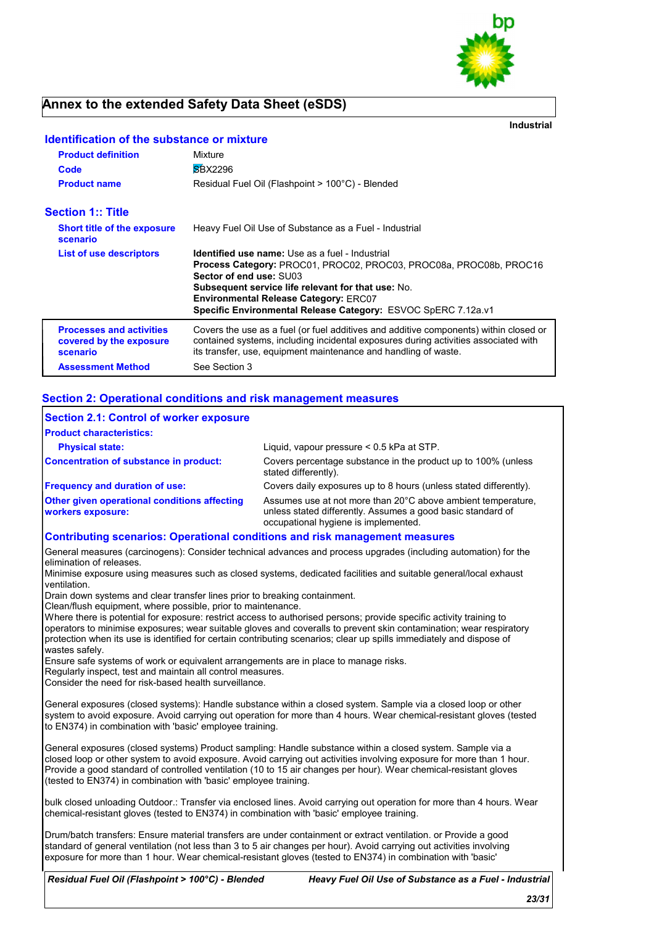

# **Annex to the extended Safety Data Sheet (eSDS)**

**Industrial**

| <b>Product definition</b>                                              | Mixture                                                                                                                                                                                                                                                                                                                               |
|------------------------------------------------------------------------|---------------------------------------------------------------------------------------------------------------------------------------------------------------------------------------------------------------------------------------------------------------------------------------------------------------------------------------|
| Code                                                                   | <b>SBX2296</b>                                                                                                                                                                                                                                                                                                                        |
| <b>Product name</b>                                                    | Residual Fuel Oil (Flashpoint > 100°C) - Blended                                                                                                                                                                                                                                                                                      |
| <b>Section 1:: Title</b>                                               |                                                                                                                                                                                                                                                                                                                                       |
| <b>Short title of the exposure</b><br>scenario                         | Heavy Fuel Oil Use of Substance as a Fuel - Industrial                                                                                                                                                                                                                                                                                |
| List of use descriptors                                                | <b>Identified use name:</b> Use as a fuel - Industrial<br>Process Category: PROC01, PROC02, PROC03, PROC08a, PROC08b, PROC16<br>Sector of end use: SU03<br><b>Subsequent service life relevant for that use: No.</b><br><b>Environmental Release Category: ERC07</b><br>Specific Environmental Release Category: ESVOC SpERC 7.12a.v1 |
| <b>Processes and activities</b><br>covered by the exposure<br>scenario | Covers the use as a fuel (or fuel additives and additive components) within closed or<br>contained systems, including incidental exposures during activities associated with<br>its transfer, use, equipment maintenance and handling of waste.                                                                                       |
| <b>Assessment Method</b>                                               | See Section 3                                                                                                                                                                                                                                                                                                                         |

#### **Identification of the substance or mixture**

### **Section 2: Operational conditions and risk management measures**

| Section 2.1: Control of worker exposure                                            |                                                                                                                                                                     |
|------------------------------------------------------------------------------------|---------------------------------------------------------------------------------------------------------------------------------------------------------------------|
| <b>Product characteristics:</b>                                                    |                                                                                                                                                                     |
| <b>Physical state:</b>                                                             | Liquid, vapour pressure < 0.5 kPa at STP.                                                                                                                           |
| Concentration of substance in product:                                             | Covers percentage substance in the product up to 100% (unless<br>stated differently).                                                                               |
| <b>Frequency and duration of use:</b>                                              | Covers daily exposures up to 8 hours (unless stated differently).                                                                                                   |
| <b>Other given operational conditions affecting</b><br><b>workers exposure:</b>    | Assumes use at not more than 20°C above ambient temperature,<br>unless stated differently. Assumes a good basic standard of<br>occupational hygiene is implemented. |
| <b>Contributing scenarios: Operational conditions and risk management measures</b> |                                                                                                                                                                     |

General measures (carcinogens): Consider technical advances and process upgrades (including automation) for the elimination of releases.

Minimise exposure using measures such as closed systems, dedicated facilities and suitable general/local exhaust ventilation.

Drain down systems and clear transfer lines prior to breaking containment.

Clean/flush equipment, where possible, prior to maintenance.

Where there is potential for exposure: restrict access to authorised persons; provide specific activity training to operators to minimise exposures; wear suitable gloves and coveralls to prevent skin contamination; wear respiratory protection when its use is identified for certain contributing scenarios; clear up spills immediately and dispose of wastes safely.

Ensure safe systems of work or equivalent arrangements are in place to manage risks.

Regularly inspect, test and maintain all control measures.

Consider the need for risk-based health surveillance.

General exposures (closed systems): Handle substance within a closed system. Sample via a closed loop or other system to avoid exposure. Avoid carrying out operation for more than 4 hours. Wear chemical-resistant gloves (tested to EN374) in combination with 'basic' employee training.

General exposures (closed systems) Product sampling: Handle substance within a closed system. Sample via a closed loop or other system to avoid exposure. Avoid carrying out activities involving exposure for more than 1 hour. Provide a good standard of controlled ventilation (10 to 15 air changes per hour). Wear chemical-resistant gloves (tested to EN374) in combination with 'basic' employee training.

bulk closed unloading Outdoor.: Transfer via enclosed lines. Avoid carrying out operation for more than 4 hours. Wear chemical-resistant gloves (tested to EN374) in combination with 'basic' employee training.

Drum/batch transfers: Ensure material transfers are under containment or extract ventilation. or Provide a good standard of general ventilation (not less than 3 to 5 air changes per hour). Avoid carrying out activities involving exposure for more than 1 hour. Wear chemical-resistant gloves (tested to EN374) in combination with 'basic'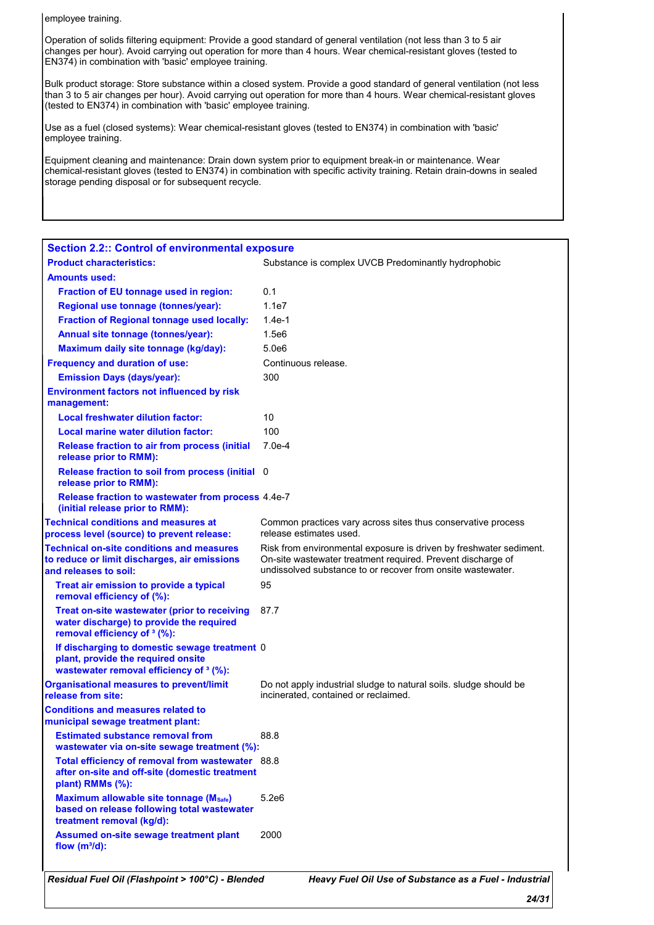employee training.

Operation of solids filtering equipment: Provide a good standard of general ventilation (not less than 3 to 5 air changes per hour). Avoid carrying out operation for more than 4 hours. Wear chemical-resistant gloves (tested to EN374) in combination with 'basic' employee training.

Bulk product storage: Store substance within a closed system. Provide a good standard of general ventilation (not less than 3 to 5 air changes per hour). Avoid carrying out operation for more than 4 hours. Wear chemical-resistant gloves (tested to EN374) in combination with 'basic' employee training.

Use as a fuel (closed systems): Wear chemical-resistant gloves (tested to EN374) in combination with 'basic' employee training.

Equipment cleaning and maintenance: Drain down system prior to equipment break-in or maintenance. Wear chemical-resistant gloves (tested to EN374) in combination with specific activity training. Retain drain-downs in sealed storage pending disposal or for subsequent recycle.

| <b>Section 2.2:: Control of environmental exposure</b>                                                                                    |                                                                                                                                                                                                  |
|-------------------------------------------------------------------------------------------------------------------------------------------|--------------------------------------------------------------------------------------------------------------------------------------------------------------------------------------------------|
| <b>Product characteristics:</b>                                                                                                           | Substance is complex UVCB Predominantly hydrophobic                                                                                                                                              |
| <b>Amounts used:</b>                                                                                                                      |                                                                                                                                                                                                  |
| Fraction of EU tonnage used in region:                                                                                                    | 0.1                                                                                                                                                                                              |
| Regional use tonnage (tonnes/year):                                                                                                       | 1.1e7                                                                                                                                                                                            |
| Fraction of Regional tonnage used locally:                                                                                                | $1.4e-1$                                                                                                                                                                                         |
| Annual site tonnage (tonnes/year):                                                                                                        | 1.5e6                                                                                                                                                                                            |
| Maximum daily site tonnage (kg/day):                                                                                                      | 5.0e6                                                                                                                                                                                            |
| <b>Frequency and duration of use:</b>                                                                                                     | Continuous release.                                                                                                                                                                              |
| <b>Emission Days (days/year):</b>                                                                                                         | 300                                                                                                                                                                                              |
| <b>Environment factors not influenced by risk</b>                                                                                         |                                                                                                                                                                                                  |
| management:                                                                                                                               |                                                                                                                                                                                                  |
| <b>Local freshwater dilution factor:</b>                                                                                                  | 10                                                                                                                                                                                               |
| <b>Local marine water dilution factor:</b>                                                                                                | 100                                                                                                                                                                                              |
| <b>Release fraction to air from process (initial</b><br>release prior to RMM):                                                            | $7.0e-4$                                                                                                                                                                                         |
| Release fraction to soil from process (initial 0<br>release prior to RMM):                                                                |                                                                                                                                                                                                  |
| Release fraction to wastewater from process 4.4e-7<br>(initial release prior to RMM):                                                     |                                                                                                                                                                                                  |
| <b>Technical conditions and measures at</b><br>process level (source) to prevent release:                                                 | Common practices vary across sites thus conservative process<br>release estimates used.                                                                                                          |
| <b>Technical on-site conditions and measures</b><br>to reduce or limit discharges, air emissions<br>and releases to soil:                 | Risk from environmental exposure is driven by freshwater sediment.<br>On-site wastewater treatment required. Prevent discharge of<br>undissolved substance to or recover from onsite wastewater. |
| Treat air emission to provide a typical<br>removal efficiency of (%):                                                                     | 95                                                                                                                                                                                               |
| Treat on-site wastewater (prior to receiving<br>water discharge) to provide the required<br>removal efficiency of <sup>3</sup> (%):       | 87.7                                                                                                                                                                                             |
| If discharging to domestic sewage treatment 0<br>plant, provide the required onsite<br>wastewater removal efficiency of <sup>3</sup> (%): |                                                                                                                                                                                                  |
| <b>Organisational measures to prevent/limit</b><br>release from site:                                                                     | Do not apply industrial sludge to natural soils. sludge should be<br>incinerated, contained or reclaimed.                                                                                        |
| <b>Conditions and measures related to</b><br>municipal sewage treatment plant:                                                            |                                                                                                                                                                                                  |
| <b>Estimated substance removal from</b><br>wastewater via on-site sewage treatment (%):                                                   | 88.8                                                                                                                                                                                             |
| Total efficiency of removal from wastewater 88.8<br>after on-site and off-site (domestic treatment<br>plant) RMMs (%):                    |                                                                                                                                                                                                  |
| Maximum allowable site tonnage (Msafe)<br>based on release following total wastewater<br>treatment removal (kg/d):                        | 5.2e6                                                                                                                                                                                            |
| Assumed on-site sewage treatment plant<br>flow $(m^3/d)$ :                                                                                | 2000                                                                                                                                                                                             |
| Residual Fuel Oil (Flashpoint > 100°C) - Blended                                                                                          | Heavy Fuel Oil Use of Substance as a Fuel - Industrial                                                                                                                                           |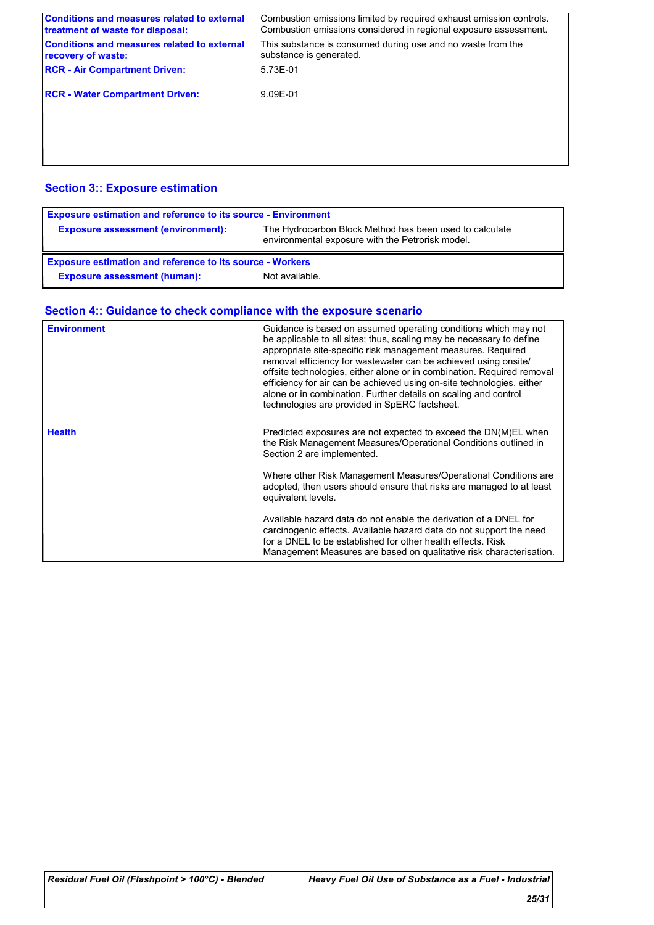| <b>Conditions and measures related to external</b><br>treatment of waste for disposal: | Combustion emissions limited by required exhaust emission controls.<br>Combustion emissions considered in regional exposure assessment. |
|----------------------------------------------------------------------------------------|-----------------------------------------------------------------------------------------------------------------------------------------|
| <b>Conditions and measures related to external</b><br>recovery of waste:               | This substance is consumed during use and no waste from the<br>substance is generated.                                                  |
| <b>RCR - Air Compartment Driven:</b>                                                   | 5.73E-01                                                                                                                                |
| <b>RCR - Water Compartment Driven:</b>                                                 | 9.09E-01                                                                                                                                |
|                                                                                        |                                                                                                                                         |
|                                                                                        |                                                                                                                                         |

# **Section 3:: Exposure estimation**

| <b>Exposure estimation and reference to its source - Environment</b> |                                                                                                             |
|----------------------------------------------------------------------|-------------------------------------------------------------------------------------------------------------|
| <b>Exposure assessment (environment):</b>                            | The Hydrocarbon Block Method has been used to calculate<br>environmental exposure with the Petrorisk model. |
| <b>Exposure estimation and reference to its source - Workers</b>     |                                                                                                             |
| <b>Exposure assessment (human):</b>                                  | Not available.                                                                                              |

# **Section 4:: Guidance to check compliance with the exposure scenario**

| <b>Environment</b> | Guidance is based on assumed operating conditions which may not<br>be applicable to all sites; thus, scaling may be necessary to define<br>appropriate site-specific risk management measures. Required<br>removal efficiency for wastewater can be achieved using onsite/<br>offsite technologies, either alone or in combination. Required removal<br>efficiency for air can be achieved using on-site technologies, either<br>alone or in combination. Further details on scaling and control<br>technologies are provided in SpERC factsheet. |
|--------------------|---------------------------------------------------------------------------------------------------------------------------------------------------------------------------------------------------------------------------------------------------------------------------------------------------------------------------------------------------------------------------------------------------------------------------------------------------------------------------------------------------------------------------------------------------|
| <b>Health</b>      | Predicted exposures are not expected to exceed the DN(M)EL when<br>the Risk Management Measures/Operational Conditions outlined in<br>Section 2 are implemented.                                                                                                                                                                                                                                                                                                                                                                                  |
|                    | Where other Risk Management Measures/Operational Conditions are<br>adopted, then users should ensure that risks are managed to at least<br>equivalent levels.                                                                                                                                                                                                                                                                                                                                                                                     |
|                    | Available hazard data do not enable the derivation of a DNEL for<br>carcinogenic effects. Available hazard data do not support the need<br>for a DNEL to be established for other health effects. Risk<br>Management Measures are based on qualitative risk characterisation.                                                                                                                                                                                                                                                                     |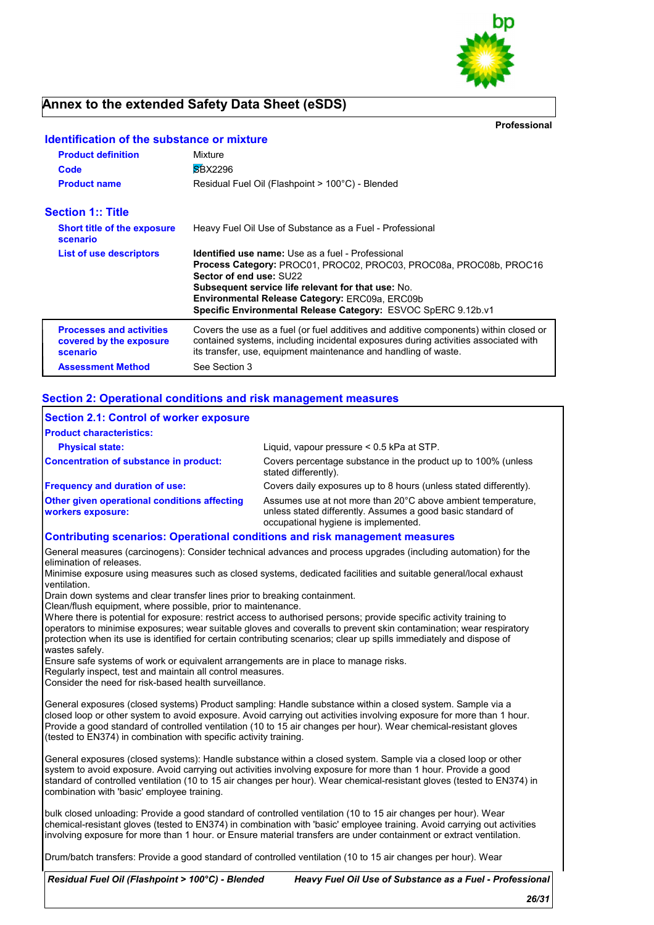

# **Annex to the extended Safety Data Sheet (eSDS)**

**Identification of the substance or mixture**

**Professional**

| <b>Product definition</b>                                              | Mixture<br><b>SBX2296</b>                                                                                                                                                                                                                                                                                                                 |
|------------------------------------------------------------------------|-------------------------------------------------------------------------------------------------------------------------------------------------------------------------------------------------------------------------------------------------------------------------------------------------------------------------------------------|
| Code<br><b>Product name</b>                                            | Residual Fuel Oil (Flashpoint > 100°C) - Blended                                                                                                                                                                                                                                                                                          |
| <b>Section 1:: Title</b>                                               |                                                                                                                                                                                                                                                                                                                                           |
| <b>Short title of the exposure</b><br>scenario                         | Heavy Fuel Oil Use of Substance as a Fuel - Professional                                                                                                                                                                                                                                                                                  |
| List of use descriptors                                                | <b>Identified use name:</b> Use as a fuel - Professional<br>Process Category: PROC01, PROC02, PROC03, PROC08a, PROC08b, PROC16<br>Sector of end use: SU22<br><b>Subsequent service life relevant for that use: No.</b><br>Environmental Release Category: ERC09a, ERC09b<br>Specific Environmental Release Category: ESVOC SpERC 9.12b.v1 |
| <b>Processes and activities</b><br>covered by the exposure<br>scenario | Covers the use as a fuel (or fuel additives and additive components) within closed or<br>contained systems, including incidental exposures during activities associated with<br>its transfer, use, equipment maintenance and handling of waste.                                                                                           |
| <b>Assessment Method</b>                                               | See Section 3                                                                                                                                                                                                                                                                                                                             |

### **Section 2: Operational conditions and risk management measures**

| Section 2.1: Control of worker exposure                                         |                                                                                                                                                                     |
|---------------------------------------------------------------------------------|---------------------------------------------------------------------------------------------------------------------------------------------------------------------|
| <b>Product characteristics:</b>                                                 |                                                                                                                                                                     |
| <b>Physical state:</b>                                                          | Liquid, vapour pressure $< 0.5$ kPa at STP.                                                                                                                         |
| Concentration of substance in product:                                          | Covers percentage substance in the product up to 100% (unless<br>stated differently).                                                                               |
| <b>Frequency and duration of use:</b>                                           | Covers daily exposures up to 8 hours (unless stated differently).                                                                                                   |
| <b>Other given operational conditions affecting</b><br><b>workers exposure:</b> | Assumes use at not more than 20°C above ambient temperature.<br>unless stated differently. Assumes a good basic standard of<br>occupational hygiene is implemented. |
| Contributing scenarios: Operational conditions and risk management measures     |                                                                                                                                                                     |

General measures (carcinogens): Consider technical advances and process upgrades (including automation) for the elimination of releases.

Minimise exposure using measures such as closed systems, dedicated facilities and suitable general/local exhaust ventilation.

Drain down systems and clear transfer lines prior to breaking containment.

Clean/flush equipment, where possible, prior to maintenance.

Where there is potential for exposure: restrict access to authorised persons; provide specific activity training to operators to minimise exposures; wear suitable gloves and coveralls to prevent skin contamination; wear respiratory protection when its use is identified for certain contributing scenarios; clear up spills immediately and dispose of wastes safely.

Ensure safe systems of work or equivalent arrangements are in place to manage risks.

Regularly inspect, test and maintain all control measures.

Consider the need for risk-based health surveillance.

General exposures (closed systems) Product sampling: Handle substance within a closed system. Sample via a closed loop or other system to avoid exposure. Avoid carrying out activities involving exposure for more than 1 hour. Provide a good standard of controlled ventilation (10 to 15 air changes per hour). Wear chemical-resistant gloves (tested to EN374) in combination with specific activity training.

General exposures (closed systems): Handle substance within a closed system. Sample via a closed loop or other system to avoid exposure. Avoid carrying out activities involving exposure for more than 1 hour. Provide a good standard of controlled ventilation (10 to 15 air changes per hour). Wear chemical-resistant gloves (tested to EN374) in combination with 'basic' employee training.

bulk closed unloading: Provide a good standard of controlled ventilation (10 to 15 air changes per hour). Wear chemical-resistant gloves (tested to EN374) in combination with 'basic' employee training. Avoid carrying out activities involving exposure for more than 1 hour. or Ensure material transfers are under containment or extract ventilation.

Drum/batch transfers: Provide a good standard of controlled ventilation (10 to 15 air changes per hour). Wear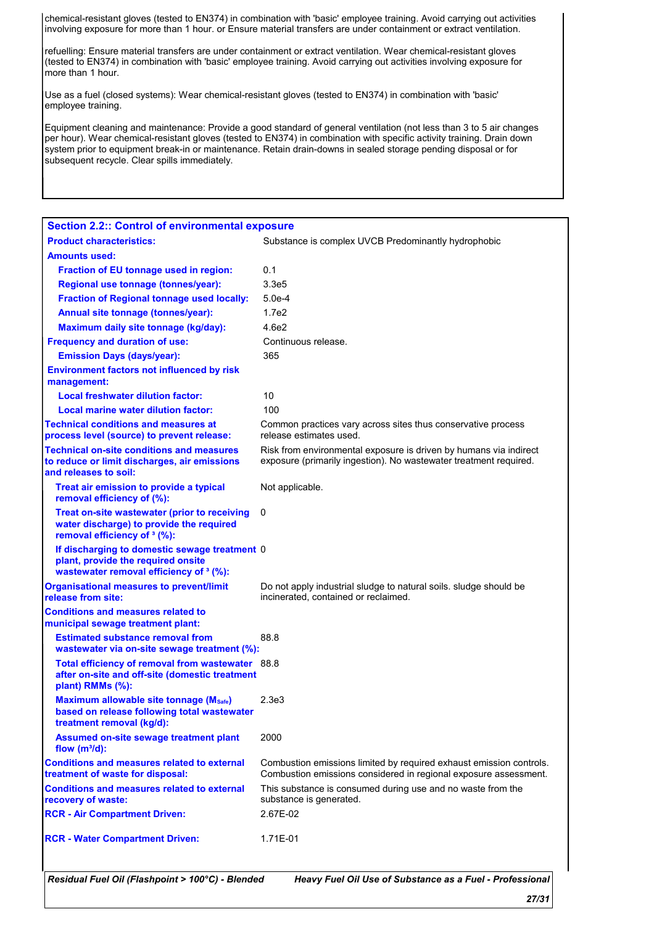chemical-resistant gloves (tested to EN374) in combination with 'basic' employee training. Avoid carrying out activities involving exposure for more than 1 hour. or Ensure material transfers are under containment or extract ventilation.

refuelling: Ensure material transfers are under containment or extract ventilation. Wear chemical-resistant gloves (tested to EN374) in combination with 'basic' employee training. Avoid carrying out activities involving exposure for more than 1 hour.

Use as a fuel (closed systems): Wear chemical-resistant gloves (tested to EN374) in combination with 'basic' employee training.

Equipment cleaning and maintenance: Provide a good standard of general ventilation (not less than 3 to 5 air changes per hour). Wear chemical-resistant gloves (tested to EN374) in combination with specific activity training. Drain down system prior to equipment break-in or maintenance. Retain drain-downs in sealed storage pending disposal or for subsequent recycle. Clear spills immediately.

| <b>Section 2.2:: Control of environmental exposure</b>                                                                                    |                                                                                                                                         |
|-------------------------------------------------------------------------------------------------------------------------------------------|-----------------------------------------------------------------------------------------------------------------------------------------|
| <b>Product characteristics:</b>                                                                                                           | Substance is complex UVCB Predominantly hydrophobic                                                                                     |
| <b>Amounts used:</b>                                                                                                                      |                                                                                                                                         |
| Fraction of EU tonnage used in region:                                                                                                    | 0.1                                                                                                                                     |
| Regional use tonnage (tonnes/year):                                                                                                       | 3.3e5                                                                                                                                   |
| <b>Fraction of Regional tonnage used locally:</b>                                                                                         | $5.0e-4$                                                                                                                                |
| Annual site tonnage (tonnes/year):                                                                                                        | 1.7e2                                                                                                                                   |
| Maximum daily site tonnage (kg/day):                                                                                                      | 4.6e2                                                                                                                                   |
| <b>Frequency and duration of use:</b>                                                                                                     | Continuous release.                                                                                                                     |
| <b>Emission Days (days/year):</b>                                                                                                         | 365                                                                                                                                     |
| <b>Environment factors not influenced by risk</b><br>management:                                                                          |                                                                                                                                         |
| <b>Local freshwater dilution factor:</b>                                                                                                  | 10                                                                                                                                      |
| Local marine water dilution factor:                                                                                                       | 100                                                                                                                                     |
| <b>Technical conditions and measures at</b><br>process level (source) to prevent release:                                                 | Common practices vary across sites thus conservative process<br>release estimates used.                                                 |
| <b>Technical on-site conditions and measures</b><br>to reduce or limit discharges, air emissions<br>and releases to soil:                 | Risk from environmental exposure is driven by humans via indirect<br>exposure (primarily ingestion). No wastewater treatment required.  |
| Treat air emission to provide a typical<br>removal efficiency of (%):                                                                     | Not applicable.                                                                                                                         |
| Treat on-site wastewater (prior to receiving<br>water discharge) to provide the required<br>removal efficiency of <sup>3</sup> (%):       | 0                                                                                                                                       |
| If discharging to domestic sewage treatment 0<br>plant, provide the required onsite<br>wastewater removal efficiency of <sup>3</sup> (%): |                                                                                                                                         |
| <b>Organisational measures to prevent/limit</b><br>release from site:                                                                     | Do not apply industrial sludge to natural soils. sludge should be<br>incinerated, contained or reclaimed.                               |
| <b>Conditions and measures related to</b><br>municipal sewage treatment plant:                                                            |                                                                                                                                         |
| <b>Estimated substance removal from</b><br>wastewater via on-site sewage treatment (%):                                                   | 88.8                                                                                                                                    |
| Total efficiency of removal from wastewater 88.8<br>after on-site and off-site (domestic treatment<br>plant) RMMs (%):                    |                                                                                                                                         |
| <b>Maximum allowable site tonnage (Msafe)</b><br>based on release following total wastewater<br>treatment removal (kg/d):                 | 2.3e3                                                                                                                                   |
| <b>Assumed on-site sewage treatment plant</b><br>flow $(m^3/d)$ :                                                                         | 2000                                                                                                                                    |
| <b>Conditions and measures related to external</b><br>treatment of waste for disposal:                                                    | Combustion emissions limited by required exhaust emission controls.<br>Combustion emissions considered in regional exposure assessment. |
| <b>Conditions and measures related to external</b><br>recovery of waste:                                                                  | This substance is consumed during use and no waste from the<br>substance is generated.                                                  |
| <b>RCR - Air Compartment Driven:</b>                                                                                                      | 2.67E-02                                                                                                                                |
| <b>RCR - Water Compartment Driven:</b>                                                                                                    | 1.71E-01                                                                                                                                |
| Residual Fuel Oil (Flashpoint > 100°C) - Blended                                                                                          | Heavy Fuel Oil Use of Substance as a Fuel - Professional                                                                                |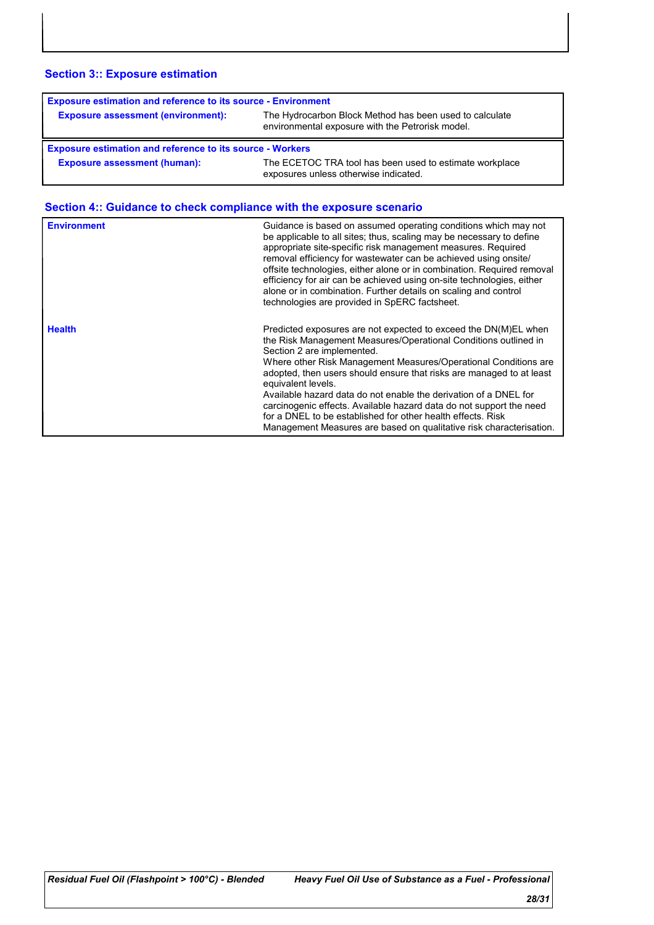# **Section 3:: Exposure estimation**

| <b>Exposure estimation and reference to its source - Environment</b>                                                                                     |  |  |
|----------------------------------------------------------------------------------------------------------------------------------------------------------|--|--|
| The Hydrocarbon Block Method has been used to calculate<br><b>Exposure assessment (environment):</b><br>environmental exposure with the Petrorisk model. |  |  |
|                                                                                                                                                          |  |  |
| <b>Exposure estimation and reference to its source - Workers</b>                                                                                         |  |  |

# **Section 4:: Guidance to check compliance with the exposure scenario**

| <b>Environment</b> | Guidance is based on assumed operating conditions which may not<br>be applicable to all sites; thus, scaling may be necessary to define<br>appropriate site-specific risk management measures. Required<br>removal efficiency for wastewater can be achieved using onsite/<br>offsite technologies, either alone or in combination. Required removal<br>efficiency for air can be achieved using on-site technologies, either<br>alone or in combination. Further details on scaling and control<br>technologies are provided in SpERC factsheet.                                                                  |
|--------------------|--------------------------------------------------------------------------------------------------------------------------------------------------------------------------------------------------------------------------------------------------------------------------------------------------------------------------------------------------------------------------------------------------------------------------------------------------------------------------------------------------------------------------------------------------------------------------------------------------------------------|
| <b>Health</b>      | Predicted exposures are not expected to exceed the DN(M)EL when<br>the Risk Management Measures/Operational Conditions outlined in<br>Section 2 are implemented.<br>Where other Risk Management Measures/Operational Conditions are<br>adopted, then users should ensure that risks are managed to at least<br>equivalent levels.<br>Available hazard data do not enable the derivation of a DNEL for<br>carcinogenic effects. Available hazard data do not support the need<br>for a DNEL to be established for other health effects. Risk<br>Management Measures are based on qualitative risk characterisation. |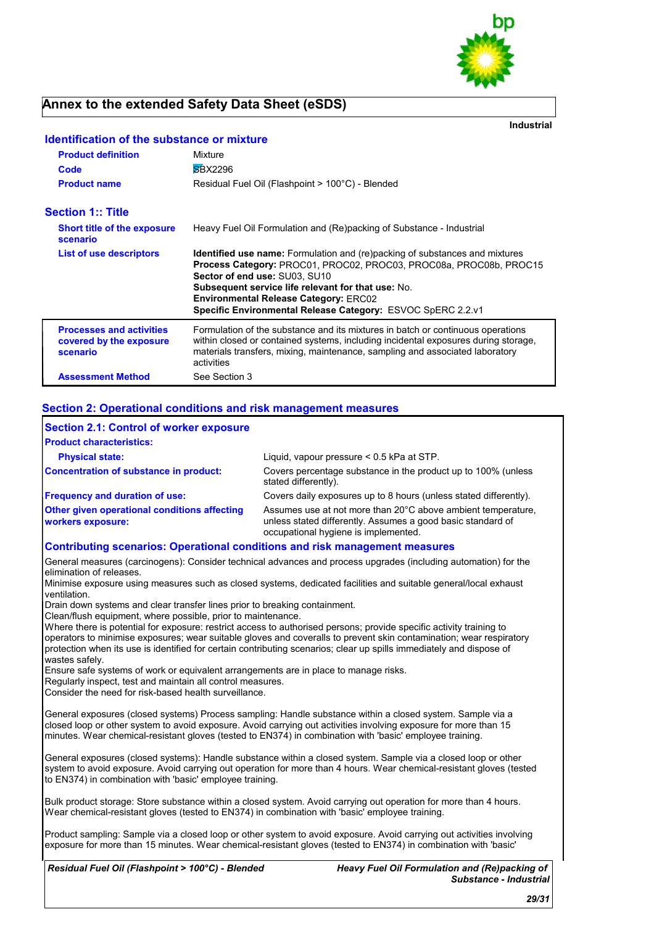

# **Annex to the extended Safety Data Sheet (eSDS)**

**Industrial**

| <u>Neuthlication of the substance of imagine</u>                       |                                                                                                                                                                                                                                                                                                                                                                       |
|------------------------------------------------------------------------|-----------------------------------------------------------------------------------------------------------------------------------------------------------------------------------------------------------------------------------------------------------------------------------------------------------------------------------------------------------------------|
| <b>Product definition</b>                                              | Mixture                                                                                                                                                                                                                                                                                                                                                               |
| Code                                                                   | <b>SBX2296</b>                                                                                                                                                                                                                                                                                                                                                        |
| <b>Product name</b>                                                    | Residual Fuel Oil (Flashpoint > 100°C) - Blended                                                                                                                                                                                                                                                                                                                      |
| <b>Section 1:: Title</b>                                               |                                                                                                                                                                                                                                                                                                                                                                       |
| <b>Short title of the exposure</b><br>scenario                         | Heavy Fuel Oil Formulation and (Re)packing of Substance - Industrial                                                                                                                                                                                                                                                                                                  |
| List of use descriptors                                                | <b>Identified use name:</b> Formulation and (re)packing of substances and mixtures<br>Process Category: PROC01, PROC02, PROC03, PROC08a, PROC08b, PROC15<br>Sector of end use: SU03, SU10<br><b>Subsequent service life relevant for that use: No.</b><br><b>Environmental Release Category: ERC02</b><br>Specific Environmental Release Category: ESVOC SpERC 2.2.v1 |
| <b>Processes and activities</b><br>covered by the exposure<br>scenario | Formulation of the substance and its mixtures in batch or continuous operations<br>within closed or contained systems, including incidental exposures during storage,<br>materials transfers, mixing, maintenance, sampling and associated laboratory<br>activities                                                                                                   |
| <b>Assessment Method</b>                                               | See Section 3                                                                                                                                                                                                                                                                                                                                                         |

# **Identification of the substance or mixture**

### **Section 2: Operational conditions and risk management measures**

| Section 2.1: Control of worker exposure<br><b>Product characteristics:</b>         |                                                                                                                                                                     |
|------------------------------------------------------------------------------------|---------------------------------------------------------------------------------------------------------------------------------------------------------------------|
| <b>Physical state:</b>                                                             | Liquid, vapour pressure $< 0.5$ kPa at STP.                                                                                                                         |
| Concentration of substance in product:                                             | Covers percentage substance in the product up to 100% (unless<br>stated differently).                                                                               |
| <b>Frequency and duration of use:</b>                                              | Covers daily exposures up to 8 hours (unless stated differently).                                                                                                   |
| <b>Other given operational conditions affecting</b><br><b>workers exposure:</b>    | Assumes use at not more than 20°C above ambient temperature,<br>unless stated differently. Assumes a good basic standard of<br>occupational hygiene is implemented. |
| <b>Contributing scenarios: Operational conditions and risk management measures</b> |                                                                                                                                                                     |

General measures (carcinogens): Consider technical advances and process upgrades (including automation) for the elimination of releases.

Minimise exposure using measures such as closed systems, dedicated facilities and suitable general/local exhaust ventilation.

Drain down systems and clear transfer lines prior to breaking containment.

Clean/flush equipment, where possible, prior to maintenance.

Where there is potential for exposure: restrict access to authorised persons; provide specific activity training to operators to minimise exposures; wear suitable gloves and coveralls to prevent skin contamination; wear respiratory protection when its use is identified for certain contributing scenarios; clear up spills immediately and dispose of wastes safely.

Ensure safe systems of work or equivalent arrangements are in place to manage risks.

Regularly inspect, test and maintain all control measures.

Consider the need for risk-based health surveillance.

General exposures (closed systems) Process sampling: Handle substance within a closed system. Sample via a closed loop or other system to avoid exposure. Avoid carrying out activities involving exposure for more than 15 minutes. Wear chemical-resistant gloves (tested to EN374) in combination with 'basic' employee training.

General exposures (closed systems): Handle substance within a closed system. Sample via a closed loop or other system to avoid exposure. Avoid carrying out operation for more than 4 hours. Wear chemical-resistant gloves (tested to EN374) in combination with 'basic' employee training.

Bulk product storage: Store substance within a closed system. Avoid carrying out operation for more than 4 hours. Wear chemical-resistant gloves (tested to EN374) in combination with 'basic' employee training.

Product sampling: Sample via a closed loop or other system to avoid exposure. Avoid carrying out activities involving exposure for more than 15 minutes. Wear chemical-resistant gloves (tested to EN374) in combination with 'basic'

*Residual Fuel Oil (Flashpoint > 100°C) - Blended*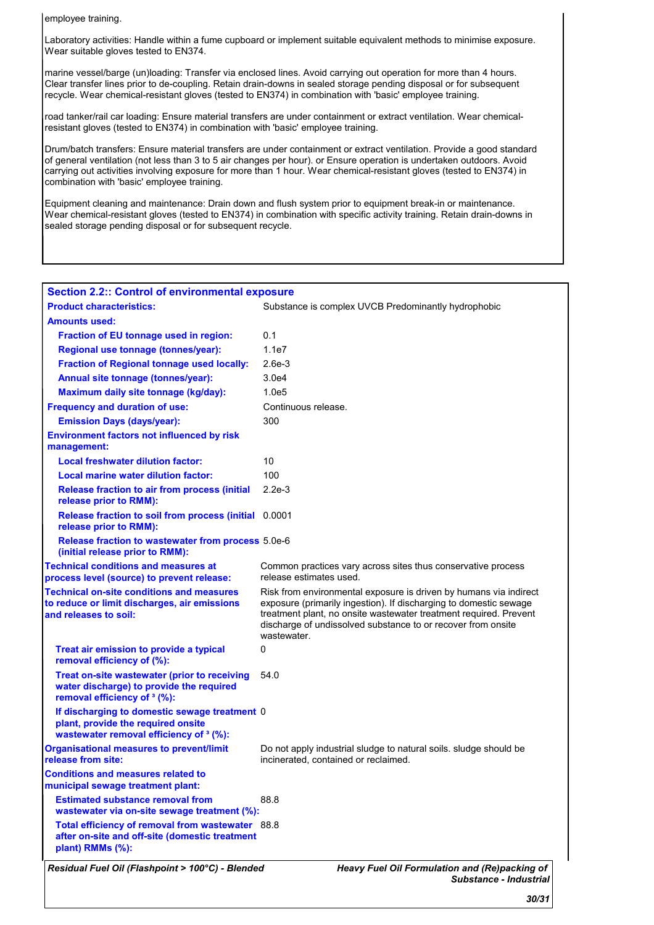employee training.

Laboratory activities: Handle within a fume cupboard or implement suitable equivalent methods to minimise exposure. Wear suitable gloves tested to EN374.

marine vessel/barge (un)loading: Transfer via enclosed lines. Avoid carrying out operation for more than 4 hours. Clear transfer lines prior to de-coupling. Retain drain-downs in sealed storage pending disposal or for subsequent recycle. Wear chemical-resistant gloves (tested to EN374) in combination with 'basic' employee training.

road tanker/rail car loading: Ensure material transfers are under containment or extract ventilation. Wear chemicalresistant gloves (tested to EN374) in combination with 'basic' employee training.

Drum/batch transfers: Ensure material transfers are under containment or extract ventilation. Provide a good standard of general ventilation (not less than 3 to 5 air changes per hour). or Ensure operation is undertaken outdoors. Avoid carrying out activities involving exposure for more than 1 hour. Wear chemical-resistant gloves (tested to EN374) in combination with 'basic' employee training.

Equipment cleaning and maintenance: Drain down and flush system prior to equipment break-in or maintenance. Wear chemical-resistant gloves (tested to EN374) in combination with specific activity training. Retain drain-downs in sealed storage pending disposal or for subsequent recycle.

| <b>Section 2.2:: Control of environmental exposure</b>                                                                                     |                                                                                                                                                                                                                                                                                            |
|--------------------------------------------------------------------------------------------------------------------------------------------|--------------------------------------------------------------------------------------------------------------------------------------------------------------------------------------------------------------------------------------------------------------------------------------------|
| <b>Product characteristics:</b>                                                                                                            | Substance is complex UVCB Predominantly hydrophobic                                                                                                                                                                                                                                        |
| <b>Amounts used:</b>                                                                                                                       |                                                                                                                                                                                                                                                                                            |
| Fraction of EU tonnage used in region:                                                                                                     | 0.1                                                                                                                                                                                                                                                                                        |
| Regional use tonnage (tonnes/year):                                                                                                        | 1.1e7                                                                                                                                                                                                                                                                                      |
| <b>Fraction of Regional tonnage used locally:</b>                                                                                          | $2.6e-3$                                                                                                                                                                                                                                                                                   |
| Annual site tonnage (tonnes/year):                                                                                                         | 3.0e4                                                                                                                                                                                                                                                                                      |
| Maximum daily site tonnage (kg/day):                                                                                                       | 1.0e5                                                                                                                                                                                                                                                                                      |
| <b>Frequency and duration of use:</b>                                                                                                      | Continuous release.                                                                                                                                                                                                                                                                        |
| <b>Emission Days (days/year):</b>                                                                                                          | 300                                                                                                                                                                                                                                                                                        |
| <b>Environment factors not influenced by risk</b><br>management:                                                                           |                                                                                                                                                                                                                                                                                            |
| <b>Local freshwater dilution factor:</b>                                                                                                   | 10                                                                                                                                                                                                                                                                                         |
| Local marine water dilution factor:                                                                                                        | 100                                                                                                                                                                                                                                                                                        |
| <b>Release fraction to air from process (initial</b><br>release prior to RMM):                                                             | $2.2e-3$                                                                                                                                                                                                                                                                                   |
| Release fraction to soil from process (initial 0.0001<br>release prior to RMM):                                                            |                                                                                                                                                                                                                                                                                            |
| Release fraction to wastewater from process 5.0e-6<br>(initial release prior to RMM):                                                      |                                                                                                                                                                                                                                                                                            |
| <b>Technical conditions and measures at</b><br>process level (source) to prevent release:                                                  | Common practices vary across sites thus conservative process<br>release estimates used.                                                                                                                                                                                                    |
| <b>Technical on-site conditions and measures</b><br>to reduce or limit discharges, air emissions<br>and releases to soil:                  | Risk from environmental exposure is driven by humans via indirect<br>exposure (primarily ingestion). If discharging to domestic sewage<br>treatment plant, no onsite wastewater treatment required. Prevent<br>discharge of undissolved substance to or recover from onsite<br>wastewater. |
| Treat air emission to provide a typical<br>removal efficiency of (%):                                                                      | 0                                                                                                                                                                                                                                                                                          |
| <b>Treat on-site wastewater (prior to receiving</b><br>water discharge) to provide the required<br>removal efficiency of <sup>3</sup> (%): | 54.0                                                                                                                                                                                                                                                                                       |
| If discharging to domestic sewage treatment 0<br>plant, provide the required onsite<br>wastewater removal efficiency of 3 (%):             |                                                                                                                                                                                                                                                                                            |
| <b>Organisational measures to prevent/limit</b><br>release from site:                                                                      | Do not apply industrial sludge to natural soils. Sludge should be<br>incinerated, contained or reclaimed.                                                                                                                                                                                  |
| <b>Conditions and measures related to</b><br>municipal sewage treatment plant:                                                             |                                                                                                                                                                                                                                                                                            |
| <b>Estimated substance removal from</b><br>wastewater via on-site sewage treatment (%):                                                    | 88.8                                                                                                                                                                                                                                                                                       |
| Total efficiency of removal from wastewater 88.8<br>after on-site and off-site (domestic treatment<br>plant) RMMs (%):                     |                                                                                                                                                                                                                                                                                            |
| Residual Fuel Oil (Flashpoint > 100°C) - Blended                                                                                           | Heavy Fuel Oil Formulation and (Re)packing of<br><b>Substance - Industrial</b>                                                                                                                                                                                                             |